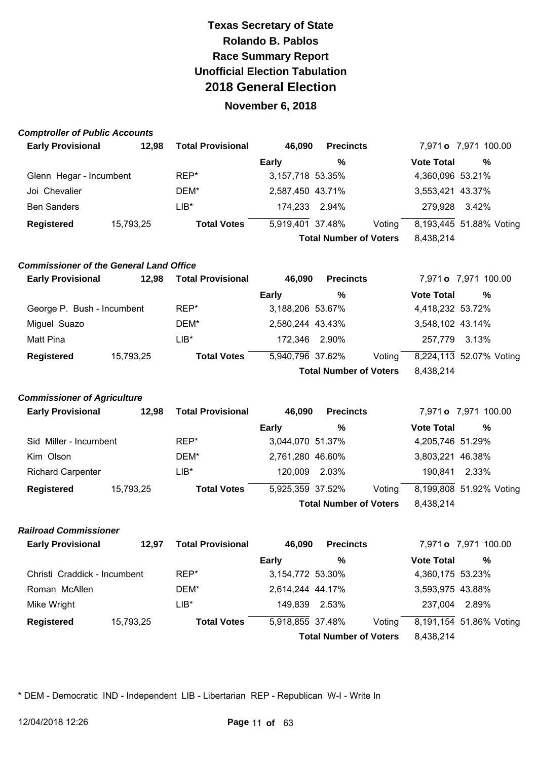#### **November 6, 2018**

#### **Comptroller of Public Accounts**

| <b>Early Provisional</b>       | <b>Total Provisional</b><br>12,98 | 46.090           | <b>Precincts</b>              |                   | 7,971 <b>o</b> 7,971 100.00 |
|--------------------------------|-----------------------------------|------------------|-------------------------------|-------------------|-----------------------------|
|                                |                                   | Early            | %                             | <b>Vote Total</b> | %                           |
| Glenn Hegar - Incumbent        | REP*                              | 3,157,718 53.35% |                               | 4,360,096 53.21%  |                             |
| Joi Chevalier                  | DEM*                              | 2,587,450 43.71% |                               | 3,553,421 43.37%  |                             |
| <b>Ben Sanders</b>             | LIB*                              | 174,233          | 2.94%                         | 279.928           | 3.42%                       |
| <b>Registered</b><br>15,793,25 | <b>Total Votes</b>                | 5,919,401 37.48% | Voting                        |                   | 8,193,445 51.88% Voting     |
|                                |                                   |                  | <b>Total Number of Voters</b> | 8,438,214         |                             |

#### **Commissioner of the General Land Office**

| <b>Early Provisional</b>   | 12.98     | <b>Total Provisional</b> | 46,090           | <b>Precincts</b>              |        |                         | 7,971 <b>o</b> 7,971 100.00 |  |
|----------------------------|-----------|--------------------------|------------------|-------------------------------|--------|-------------------------|-----------------------------|--|
|                            |           |                          | <b>Early</b>     | %                             |        | <b>Vote Total</b>       | $\%$                        |  |
| George P. Bush - Incumbent |           | REP*                     | 3,188,206 53.67% |                               |        | 4,418,232 53.72%        |                             |  |
| Miguel Suazo               |           | DEM*                     | 2,580,244 43.43% |                               |        | 3,548,102 43.14%        |                             |  |
| Matt Pina                  |           | LIB*                     | 172,346 2.90%    |                               |        | 257,779                 | 3.13%                       |  |
| <b>Registered</b>          | 15,793,25 | <b>Total Votes</b>       | 5,940,796 37.62% |                               | Voting | 8,224,113 52.07% Voting |                             |  |
|                            |           |                          |                  | <b>Total Number of Voters</b> |        | 8,438,214               |                             |  |

#### **Commissioner of Agriculture**

| <b>Early Provisional</b> | 12.98     | <b>Total Provisional</b> | 46,090           | <b>Precincts</b>              |        |                         | 7,971 <b>o</b> 7,971 100.00 |  |
|--------------------------|-----------|--------------------------|------------------|-------------------------------|--------|-------------------------|-----------------------------|--|
|                          |           |                          | <b>Early</b>     | %                             |        | <b>Vote Total</b>       | %                           |  |
| Sid Miller - Incumbent   |           | REP*                     | 3,044,070 51.37% |                               |        | 4,205,746 51.29%        |                             |  |
| Kim Olson                |           | DEM*                     | 2,761,280 46.60% |                               |        | 3,803,221 46.38%        |                             |  |
| <b>Richard Carpenter</b> |           | $LIB*$                   | 120,009          | 2.03%                         |        | 190.841                 | 2.33%                       |  |
| <b>Registered</b>        | 15,793,25 | <b>Total Votes</b>       | 5,925,359 37.52% |                               | Voting | 8,199,808 51.92% Voting |                             |  |
|                          |           |                          |                  | <b>Total Number of Voters</b> |        | 8,438,214               |                             |  |

#### **Railroad Commissioner**

| <b>Early Provisional</b>     | 12.97     | <b>Total Provisional</b> | 46.090           | <b>Precincts</b>              |        |                   | 7,971 <b>o</b> 7,971 100.00 |
|------------------------------|-----------|--------------------------|------------------|-------------------------------|--------|-------------------|-----------------------------|
|                              |           |                          | <b>Early</b>     | %                             |        | <b>Vote Total</b> | %                           |
| Christi Craddick - Incumbent |           | REP*                     | 3,154,772 53.30% |                               |        | 4,360,175 53.23%  |                             |
| Roman McAllen                |           | DEM*                     | 2,614,244 44.17% |                               |        | 3,593,975 43.88%  |                             |
| Mike Wright                  |           | LIB*                     | 149,839          | 2.53%                         |        | 237,004           | 2.89%                       |
| <b>Registered</b>            | 15,793,25 | <b>Total Votes</b>       | 5,918,855 37.48% |                               | Voting |                   | 8,191,154 51.86% Voting     |
|                              |           |                          |                  | <b>Total Number of Voters</b> |        | 8.438.214         |                             |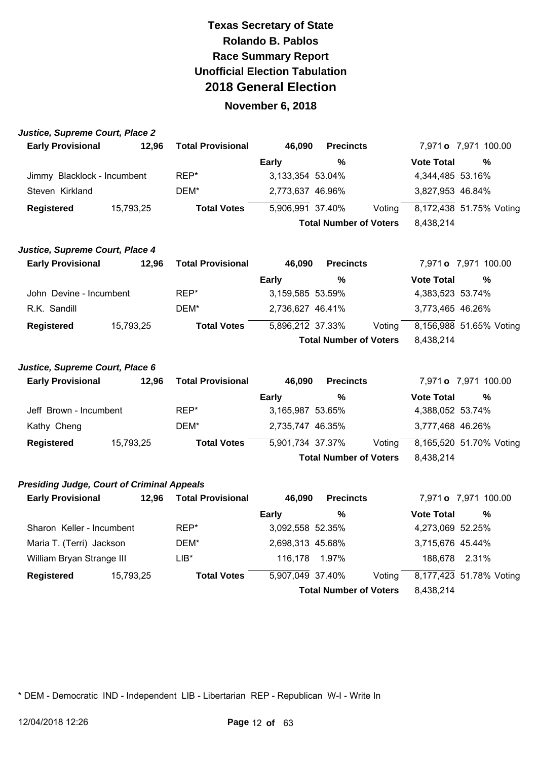#### **November 6, 2018**

| Justice, Supreme Court, Place 2                   |           |                          |                  |                               |        |                   |                             |
|---------------------------------------------------|-----------|--------------------------|------------------|-------------------------------|--------|-------------------|-----------------------------|
| <b>Early Provisional</b>                          | 12,96     | <b>Total Provisional</b> | 46,090           | <b>Precincts</b>              |        |                   | 7,971 <b>o</b> 7,971 100.00 |
|                                                   |           |                          | <b>Early</b>     | $\frac{0}{0}$                 |        | <b>Vote Total</b> | $\frac{9}{6}$               |
| Jimmy Blacklock - Incumbent                       |           | REP*                     | 3,133,354 53.04% |                               |        | 4,344,485 53.16%  |                             |
| Steven Kirkland                                   |           | DEM*                     | 2,773,637 46.96% |                               |        | 3,827,953 46.84%  |                             |
| <b>Registered</b>                                 | 15,793,25 | <b>Total Votes</b>       | 5,906,991 37.40% |                               | Voting |                   | 8,172,438 51.75% Voting     |
|                                                   |           |                          |                  | <b>Total Number of Voters</b> |        | 8,438,214         |                             |
| Justice, Supreme Court, Place 4                   |           |                          |                  |                               |        |                   |                             |
| <b>Early Provisional</b>                          | 12,96     | <b>Total Provisional</b> | 46,090           | <b>Precincts</b>              |        |                   | 7,971 o 7,971 100.00        |
|                                                   |           |                          | <b>Early</b>     | %                             |        | <b>Vote Total</b> | %                           |
| John Devine - Incumbent                           |           | REP*                     | 3,159,585 53.59% |                               |        | 4,383,523 53.74%  |                             |
| R.K. Sandill                                      |           | DEM*                     | 2,736,627 46.41% |                               |        | 3,773,465 46.26%  |                             |
| <b>Registered</b>                                 | 15,793,25 | <b>Total Votes</b>       | 5,896,212 37.33% |                               | Voting |                   | 8,156,988 51.65% Voting     |
|                                                   |           |                          |                  | <b>Total Number of Voters</b> |        | 8,438,214         |                             |
| Justice, Supreme Court, Place 6                   |           |                          |                  |                               |        |                   |                             |
| <b>Early Provisional</b>                          | 12,96     | <b>Total Provisional</b> | 46,090           | <b>Precincts</b>              |        |                   | 7,971 <b>o</b> 7,971 100.00 |
|                                                   |           |                          | <b>Early</b>     | %                             |        | <b>Vote Total</b> | $\frac{0}{0}$               |
| Jeff Brown - Incumbent                            |           | REP*                     | 3,165,987 53.65% |                               |        | 4,388,052 53.74%  |                             |
| Kathy Cheng                                       |           | DEM*                     | 2,735,747 46.35% |                               |        | 3,777,468 46.26%  |                             |
| <b>Registered</b>                                 | 15,793,25 | <b>Total Votes</b>       | 5,901,734 37.37% |                               | Voting |                   | 8,165,520 51.70% Voting     |
|                                                   |           |                          |                  | <b>Total Number of Voters</b> |        | 8,438,214         |                             |
| <b>Presiding Judge, Court of Criminal Appeals</b> |           |                          |                  |                               |        |                   |                             |
| <b>Early Provisional</b>                          | 12,96     | <b>Total Provisional</b> | 46,090           | <b>Precincts</b>              |        |                   | 7,971 <b>o</b> 7,971 100.00 |
|                                                   |           |                          | <b>Early</b>     | %                             |        | <b>Vote Total</b> | $\frac{0}{0}$               |
| Sharon Keller - Incumbent                         |           | REP*                     | 3,092,558 52.35% |                               |        | 4,273,069 52.25%  |                             |
| Maria T. (Terri) Jackson                          |           | DEM*                     | 2,698,313 45.68% |                               |        | 3,715,676 45.44%  |                             |
| William Bryan Strange III                         |           | $LIB*$                   | 116,178          | 1.97%                         |        | 188,678 2.31%     |                             |

\* DEM - Democratic IND - Independent LIB - Libertarian REP - Republican W-I - Write In

**Registered 15,793,25 <b>Total Votes** 5,907,049 37.40% Voting 8,177,423 51.78% Voting

**Total Number of Voters** 8,438,214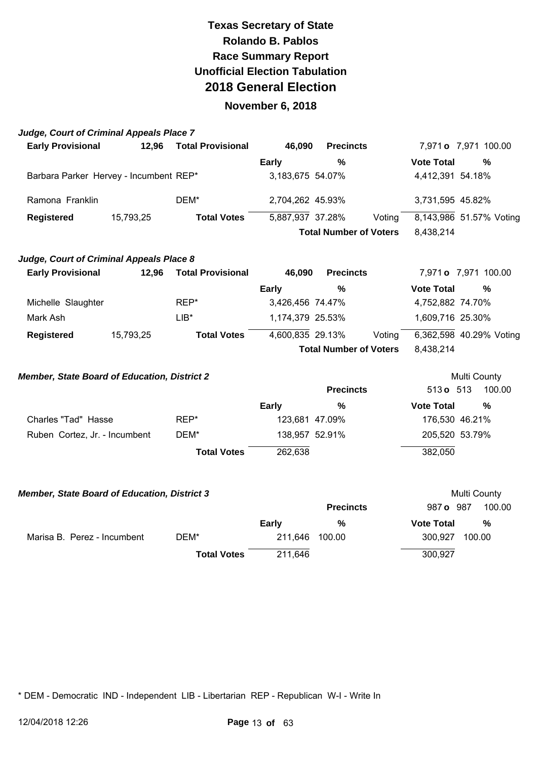#### **November 6, 2018**

| Judge, Court of Criminal Appeals Place 7            |           |                          |                  |                               |        |                             |              |
|-----------------------------------------------------|-----------|--------------------------|------------------|-------------------------------|--------|-----------------------------|--------------|
| <b>Early Provisional</b>                            | 12,96     | <b>Total Provisional</b> | 46,090           | <b>Precincts</b>              |        | 7,971 <b>o</b> 7,971 100.00 |              |
|                                                     |           |                          | <b>Early</b>     | $\frac{0}{0}$                 |        | <b>Vote Total</b>           | $\%$         |
| Barbara Parker Hervey - Incumbent REP*              |           |                          | 3,183,675 54.07% |                               |        | 4,412,391 54.18%            |              |
| Ramona Franklin                                     |           | DEM*                     | 2,704,262 45.93% |                               |        | 3,731,595 45.82%            |              |
| Registered                                          | 15,793,25 | <b>Total Votes</b>       | 5,887,937 37.28% |                               | Voting | 8,143,986 51.57% Voting     |              |
|                                                     |           |                          |                  | <b>Total Number of Voters</b> |        | 8,438,214                   |              |
| Judge, Court of Criminal Appeals Place 8            |           |                          |                  |                               |        |                             |              |
| <b>Early Provisional</b>                            | 12,96     | <b>Total Provisional</b> | 46,090           | <b>Precincts</b>              |        | 7,971 <b>o</b> 7,971 100.00 |              |
|                                                     |           |                          | <b>Early</b>     | %                             |        | <b>Vote Total</b>           | $\%$         |
| Michelle Slaughter                                  |           | REP*                     | 3,426,456 74.47% |                               |        | 4,752,882 74.70%            |              |
| Mark Ash                                            |           | $LIB*$                   | 1,174,379 25.53% |                               |        | 1,609,716 25.30%            |              |
| <b>Registered</b>                                   | 15,793,25 | <b>Total Votes</b>       | 4,600,835 29.13% |                               | Voting | 6,362,598 40.29% Voting     |              |
|                                                     |           |                          |                  | <b>Total Number of Voters</b> |        | 8,438,214                   |              |
| <b>Member, State Board of Education, District 2</b> |           |                          |                  |                               |        |                             | Multi County |
|                                                     |           |                          |                  | <b>Precincts</b>              |        | 513 o 513                   | 100.00       |
|                                                     |           |                          | <b>Early</b>     | %                             |        | <b>Vote Total</b>           | %            |
| Charles "Tad" Hasse                                 |           | REP*                     | 123,681 47.09%   |                               |        | 176,530 46.21%              |              |
| Ruben Cortez, Jr. - Incumbent                       |           | DEM*                     | 138,957 52.91%   |                               |        | 205,520 53.79%              |              |
|                                                     |           | <b>Total Votes</b>       | 262,638          |                               |        | 382,050                     |              |
| <b>Member, State Board of Education, District 3</b> |           |                          |                  |                               |        |                             | Multi County |
|                                                     |           |                          |                  | <b>Precincts</b>              |        | 987 o 987                   | 100.00       |
|                                                     |           |                          |                  |                               |        | <b>17.</b>                  |              |

**Early % Vote Total %**  Marisa B. Perez - Incumbent DEM\* 211,646 100.00 300,927 100.00 **Total Votes** 211,646 300,927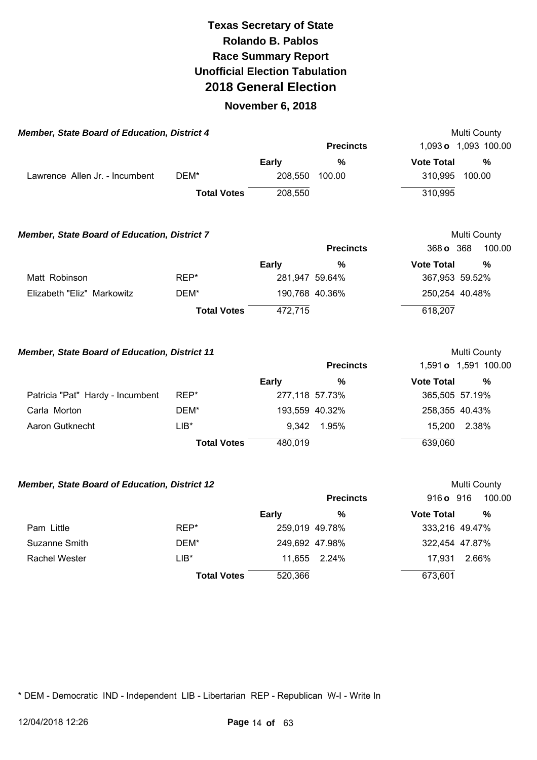#### **November 6, 2018**

| <b>Member, State Board of Education, District 4</b> |                    |              |                  |                   | Multi County                                                            |
|-----------------------------------------------------|--------------------|--------------|------------------|-------------------|-------------------------------------------------------------------------|
|                                                     |                    |              | <b>Precincts</b> |                   | 1,093 o 1,093 100.00                                                    |
|                                                     |                    | <b>Early</b> | %                | <b>Vote Total</b> | %                                                                       |
| Lawrence Allen Jr. - Incumbent                      | DEM*               | 208,550      | 100.00           | 310,995           | 100.00                                                                  |
|                                                     | <b>Total Votes</b> | 208,550      |                  | 310,995           |                                                                         |
| $M$ ambar, Ciais Deard of Education, District $7$   |                    |              |                  |                   | $M_{1}$ , $M_{2}$ , $\bigcap_{n=1}^{\infty}$ , $\bigcap_{n=1}^{\infty}$ |

| <b>Member, State Board of Education, District 7</b> |                    |         |                  | Multi County      |        |  |
|-----------------------------------------------------|--------------------|---------|------------------|-------------------|--------|--|
|                                                     |                    |         | <b>Precincts</b> | 368 o 368         | 100.00 |  |
|                                                     |                    | Early   | %                | <b>Vote Total</b> | %      |  |
| Matt Robinson                                       | REP*               |         | 281,947 59.64%   | 367,953 59.52%    |        |  |
| Elizabeth "Eliz" Markowitz                          | DEM*               |         | 190,768 40.36%   | 250,254 40.48%    |        |  |
|                                                     | <b>Total Votes</b> | 472.715 |                  | 618,207           |        |  |

**Member, State Board of Education, District 11 Multi County Multi County** 

|                                  |                    |                | <b>Precincts</b> |                   | 1,591 <b>o</b> 1,591 100.00 |
|----------------------------------|--------------------|----------------|------------------|-------------------|-----------------------------|
|                                  |                    | Early          | %                | <b>Vote Total</b> | %                           |
| Patricia "Pat" Hardy - Incumbent | REP*               | 277,118 57.73% |                  |                   | 365,505 57.19%              |
| Carla Morton                     | DEM*               |                | 193,559 40.32%   |                   | 258,355 40.43%              |
| Aaron Gutknecht                  | $LIB*$             |                | 9,342 1.95%      |                   | 15,200 2.38%                |
|                                  | <b>Total Votes</b> | 480,019        |                  | 639,060           |                             |

#### **Member, State Board of Education, District 12 Multi County Multi County**

|                      |                    |         | <b>Precincts</b> | 916 <b>o</b> 916  | 100.00 |
|----------------------|--------------------|---------|------------------|-------------------|--------|
|                      |                    | Early   | %                | <b>Vote Total</b> | %      |
| Pam Little           | REP*               |         | 259,019 49.78%   | 333,216 49.47%    |        |
| Suzanne Smith        | DEM*               |         | 249,692 47.98%   | 322,454 47.87%    |        |
| <b>Rachel Wester</b> | LIB*               |         | 11,655 2.24%     | 17.931            | 2.66%  |
|                      | <b>Total Votes</b> | 520,366 |                  | 673,601           |        |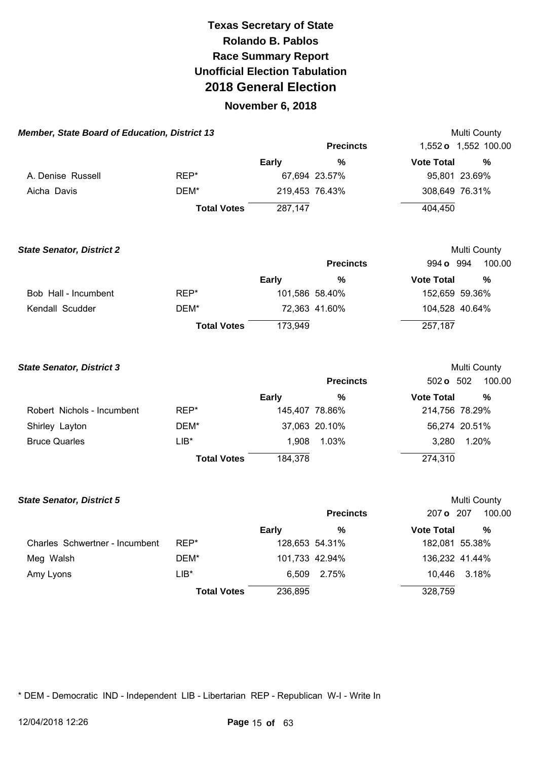### **November 6, 2018**

| <b>Member, State Board of Education, District 13</b> |                    |              |                  | Multi County         |        |
|------------------------------------------------------|--------------------|--------------|------------------|----------------------|--------|
|                                                      |                    |              | <b>Precincts</b> | 1,552 o 1,552 100.00 |        |
|                                                      |                    | <b>Early</b> | %                | <b>Vote Total</b>    | %      |
| A. Denise Russell                                    | REP*               |              | 67,694 23.57%    | 95,801 23.69%        |        |
| Aicha Davis                                          | DEM*               |              | 219,453 76.43%   | 308,649 76.31%       |        |
|                                                      | <b>Total Votes</b> | 287,147      |                  | 404,450              |        |
| <b>State Senator, District 2</b>                     |                    |              |                  | Multi County         |        |
|                                                      |                    |              | <b>Precincts</b> | 994 o 994            | 100.00 |
|                                                      |                    | <b>Early</b> | %                | <b>Vote Total</b>    | %      |
| Bob Hall - Incumbent                                 | REP*               |              | 101,586 58.40%   | 152,659 59.36%       |        |
| Kendall Scudder                                      | DEM*               |              | 72,363 41.60%    | 104,528 40.64%       |        |
|                                                      | <b>Total Votes</b> | 173,949      |                  | 257,187              |        |
| <b>State Senator, District 3</b>                     |                    |              |                  | Multi County         |        |
|                                                      |                    |              | <b>Precincts</b> | 502 <b>o</b> 502     | 100.00 |
|                                                      |                    | <b>Early</b> | $\%$             | <b>Vote Total</b>    | %      |
| Robert Nichols - Incumbent                           | REP*               |              | 145,407 78.86%   | 214,756 78.29%       |        |
| Shirley Layton                                       | DEM*               |              | 37.063 20.10%    | 56.274 20.51%        |        |

| Shirley Layton       | DEM*               |         | 37,063 20.10% |         | 56,274 20.51% |
|----------------------|--------------------|---------|---------------|---------|---------------|
| <b>Bruce Quarles</b> | LIB*               |         | 1.908 1.03%   | 3.280   | 1.20%         |
|                      | <b>Total Votes</b> | 184,378 |               | 274,310 |               |

| <b>State Senator, District 5</b> |                    |                |                  |                   | <b>Multi County</b> |
|----------------------------------|--------------------|----------------|------------------|-------------------|---------------------|
|                                  |                    |                | <b>Precincts</b> | 207 o 207         | 100.00              |
|                                  |                    | <b>Early</b>   | %                | <b>Vote Total</b> | $\frac{0}{0}$       |
| Charles Schwertner - Incumbent   | REP*               |                | 128,653 54.31%   | 182,081 55.38%    |                     |
| Meg Walsh                        | DEM*               | 101,733 42.94% |                  | 136,232 41.44%    |                     |
| Amy Lyons                        | $LIB*$             | 6.509          | 2.75%            | 10.446            | 3.18%               |
|                                  | <b>Total Votes</b> | 236,895        |                  | 328,759           |                     |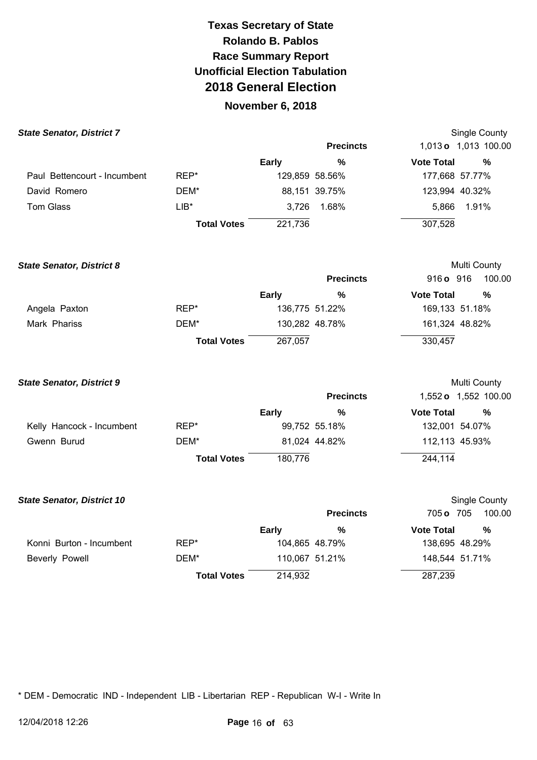### **November 6, 2018**

| <b>State Senator, District 7</b> |                    |                |                  |                   | Single County        |
|----------------------------------|--------------------|----------------|------------------|-------------------|----------------------|
|                                  |                    |                | <b>Precincts</b> |                   | 1,013 o 1,013 100.00 |
|                                  |                    | <b>Early</b>   | %                | <b>Vote Total</b> | %                    |
| Paul Bettencourt - Incumbent     | REP*               | 129,859 58.56% |                  | 177,668 57.77%    |                      |
| David Romero                     | DEM*               |                | 88,151 39.75%    | 123,994 40.32%    |                      |
| <b>Tom Glass</b>                 | $LIB*$             | 3.726          | 1.68%            | 5,866             | 1.91%                |
|                                  | <b>Total Votes</b> | 221,736        |                  | 307,528           |                      |

| <b>State Senator, District 8</b> |                    |                |                  |                   | Multi County   |
|----------------------------------|--------------------|----------------|------------------|-------------------|----------------|
|                                  |                    |                | <b>Precincts</b> | 916 o 916         | 100.00         |
|                                  |                    | <b>Early</b>   | %                | <b>Vote Total</b> | %              |
| Angela Paxton                    | REP*               | 136,775 51.22% |                  |                   | 169,133 51.18% |
| Mark Phariss                     | DEM*               |                | 130,282 48.78%   |                   | 161,324 48.82% |
|                                  | <b>Total Votes</b> | 267.057        |                  | 330,457           |                |

| <b>State Senator, District 9</b> |                    |              |                  |                   | Multi County                |
|----------------------------------|--------------------|--------------|------------------|-------------------|-----------------------------|
|                                  |                    |              | <b>Precincts</b> |                   | 1,552 <b>o</b> 1,552 100.00 |
|                                  |                    | <b>Early</b> | %                | <b>Vote Total</b> | %                           |
| Kelly Hancock - Incumbent        | REP*               |              | 99,752 55.18%    |                   | 132,001 54.07%              |
| Gwenn Burud                      | DEM*               |              | 81,024 44.82%    |                   | 112,113 45.93%              |
|                                  | <b>Total Votes</b> | 180.776      |                  | 244,114           |                             |

| <b>State Senator, District 10</b> |                    |         |                  |                   | Single County  |
|-----------------------------------|--------------------|---------|------------------|-------------------|----------------|
|                                   |                    |         | <b>Precincts</b> | 705 o 705         | 100.00         |
|                                   |                    | Early   | %                | <b>Vote Total</b> | %              |
| Konni Burton - Incumbent          | REP*               |         | 104,865 48.79%   |                   | 138,695 48.29% |
| Beverly Powell                    | DEM*               |         | 110,067 51.21%   |                   | 148,544 51.71% |
|                                   | <b>Total Votes</b> | 214,932 |                  | 287,239           |                |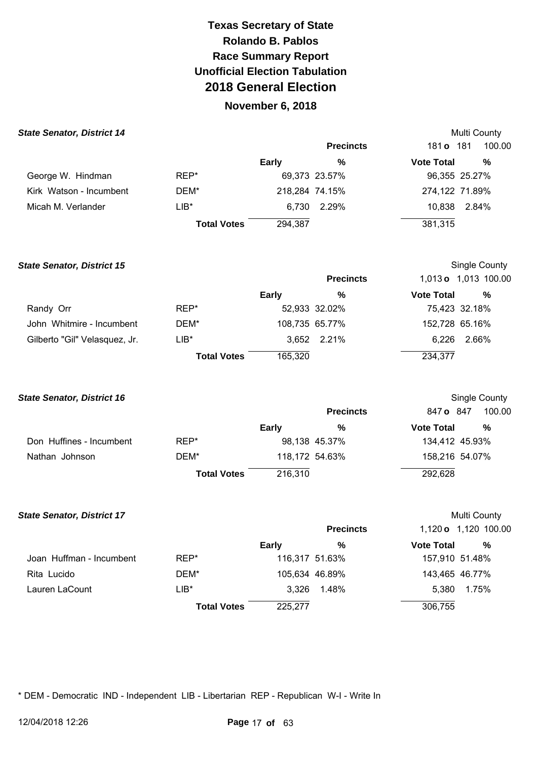## **November 6, 2018**

| <b>State Senator, District 14</b> |                    |                |                  |                   | <b>Multi County</b> |
|-----------------------------------|--------------------|----------------|------------------|-------------------|---------------------|
|                                   |                    |                | <b>Precincts</b> | 181 <b>o</b> 181  | 100.00              |
|                                   |                    | <b>Early</b>   | %                | <b>Vote Total</b> | %                   |
| George W. Hindman                 | REP*               |                | 69,373 23.57%    |                   | 96,355 25.27%       |
| Kirk Watson - Incumbent           | DEM*               | 218,284 74.15% |                  | 274,122 71.89%    |                     |
| Micah M. Verlander                | LIB*               |                | 6,730 2.29%      | 10,838            | 2.84%               |
|                                   | <b>Total Votes</b> | 294,387        |                  | 381,315           |                     |

| <b>State Senator, District 15</b> |                    |              |                  |                   | Single County        |
|-----------------------------------|--------------------|--------------|------------------|-------------------|----------------------|
|                                   |                    |              | <b>Precincts</b> |                   | 1,013 o 1,013 100.00 |
|                                   |                    | <b>Early</b> | %                | <b>Vote Total</b> | %                    |
| Randy Orr                         | REP*               |              | 52,933 32.02%    |                   | 75,423 32.18%        |
| John Whitmire - Incumbent         | DEM*               |              | 108,735 65.77%   | 152,728 65.16%    |                      |
| Gilberto "Gil" Velasquez, Jr.     | $LIB*$             |              | 3,652 2.21%      | 6.226             | 2.66%                |
|                                   | <b>Total Votes</b> | 165,320      |                  | 234,377           |                      |

**State Senator, District 16 State Senator, District 16 Single County Single County Single County Single County** 

|                          |                    |         | <b>Precincts</b> | 847 o 847         | 100.00 |
|--------------------------|--------------------|---------|------------------|-------------------|--------|
|                          |                    | Early   | %                | <b>Vote Total</b> | %      |
| Don Huffines - Incumbent | REP*               |         | 98,138 45.37%    | 134,412 45.93%    |        |
| Nathan Johnson           | DEM*               |         | 118,172 54.63%   | 158,216 54.07%    |        |
|                          | <b>Total Votes</b> | 216.310 |                  | 292,628           |        |

| <b>State Senator, District 17</b> |                    |                |                  |                   | Multi County         |
|-----------------------------------|--------------------|----------------|------------------|-------------------|----------------------|
|                                   |                    |                | <b>Precincts</b> |                   | 1,120 o 1,120 100.00 |
|                                   |                    | <b>Early</b>   | %                | <b>Vote Total</b> | %                    |
| Joan Huffman - Incumbent          | REP*               | 116,317 51.63% |                  | 157,910 51.48%    |                      |
| Rita Lucido                       | DEM*               |                | 105,634 46.89%   | 143,465 46.77%    |                      |
| Lauren LaCount                    | $LIB*$             |                | 3,326 1.48%      | 5.380             | 1.75%                |
|                                   | <b>Total Votes</b> | 225,277        |                  | 306,755           |                      |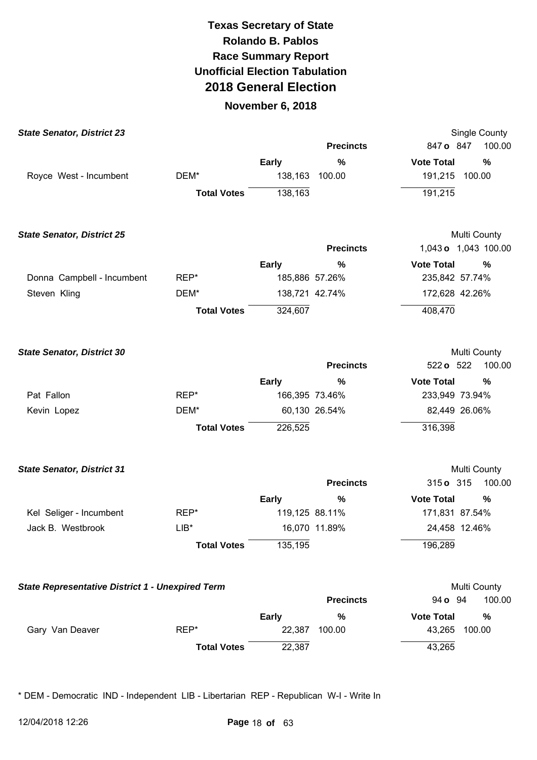### **November 6, 2018**

| <b>State Senator, District 23</b>                       |                    |              |                  | <b>Single County</b>     |
|---------------------------------------------------------|--------------------|--------------|------------------|--------------------------|
|                                                         |                    |              | <b>Precincts</b> | 847 o 847<br>100.00      |
|                                                         |                    | Early        | $\%$             | <b>Vote Total</b><br>%   |
| Royce West - Incumbent                                  | DEM*               | 138,163      | 100.00           | 191,215<br>100.00        |
|                                                         | <b>Total Votes</b> | 138,163      |                  | 191,215                  |
| <b>State Senator, District 25</b>                       |                    |              |                  | Multi County             |
|                                                         |                    |              | <b>Precincts</b> | 1,043 o 1,043 100.00     |
|                                                         |                    | <b>Early</b> | %                | <b>Vote Total</b><br>%   |
| Donna Campbell - Incumbent                              | REP*               |              | 185,886 57.26%   | 235,842 57.74%           |
| Steven Kling                                            | DEM*               |              | 138,721 42.74%   | 172,628 42.26%           |
|                                                         | <b>Total Votes</b> | 324,607      |                  | 408,470                  |
| <b>State Senator, District 30</b>                       |                    |              |                  | Multi County             |
|                                                         |                    |              | <b>Precincts</b> | 522 o 522<br>100.00      |
|                                                         |                    | <b>Early</b> | %                | <b>Vote Total</b><br>%   |
| Pat Fallon                                              | REP*               |              | 166,395 73.46%   | 233,949 73.94%           |
| Kevin Lopez                                             | DEM*               |              | 60,130 26.54%    | 82,449 26.06%            |
|                                                         | <b>Total Votes</b> | 226,525      |                  | 316,398                  |
| <b>State Senator, District 31</b>                       |                    |              |                  | Multi County             |
|                                                         |                    |              | <b>Precincts</b> | 315 o 315<br>100.00      |
|                                                         |                    | <b>Early</b> | %                | <b>Vote Total</b><br>%   |
| Kel Seliger - Incumbent                                 | REP*               |              | 119,125 88.11%   | 171,831 87.54%           |
| Jack B. Westbrook                                       | $LIB*$             |              | 16,070 11.89%    | 24,458 12.46%            |
|                                                         | <b>Total Votes</b> | 135,195      |                  | 196,289                  |
| <b>State Representative District 1 - Unexpired Term</b> |                    |              |                  | Multi County             |
|                                                         |                    |              | <b>Precincts</b> | 100.00<br>94 <b>o</b> 94 |
|                                                         |                    | <b>Early</b> | %                | <b>Vote Total</b><br>%   |
| Gary Van Deaver                                         | REP*               | 22,387       | 100.00           | 43,265<br>100.00         |
|                                                         | <b>Total Votes</b> | 22,387       |                  | 43,265                   |
|                                                         |                    |              |                  |                          |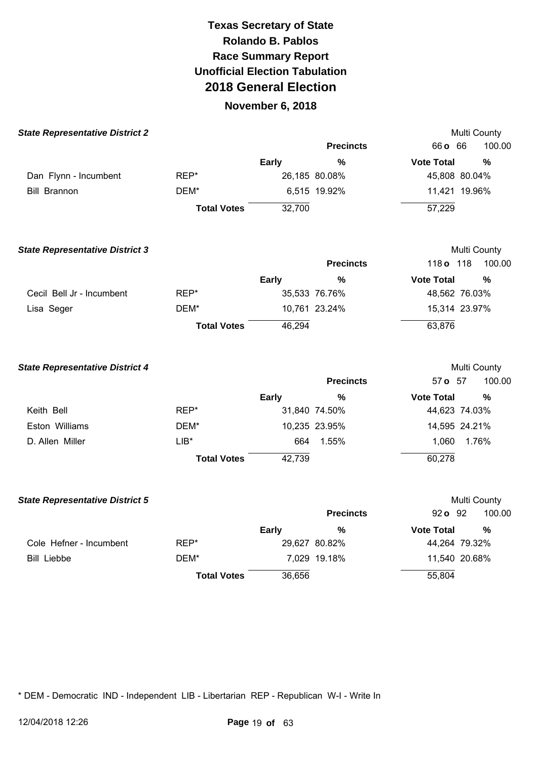#### **November 6, 2018**

| <b>State Representative District 2</b> |                    |              |                  | Multi County      |               |
|----------------------------------------|--------------------|--------------|------------------|-------------------|---------------|
|                                        |                    |              | <b>Precincts</b> | 66 o 66           | 100.00        |
|                                        |                    | <b>Early</b> | $\%$             | <b>Vote Total</b> | %             |
| Dan Flynn - Incumbent                  | REP*               |              | 26,185 80.08%    | 45,808 80.04%     |               |
| <b>Bill Brannon</b>                    | DEM*               |              | 6,515 19.92%     | 11,421 19.96%     |               |
|                                        | <b>Total Votes</b> | 32,700       |                  | 57,229            |               |
| <b>State Representative District 3</b> |                    |              |                  | Multi County      |               |
|                                        |                    |              | <b>Precincts</b> | 118 o 118         | 100.00        |
|                                        |                    | <b>Early</b> | $\frac{0}{0}$    | <b>Vote Total</b> | %             |
| Cecil Bell Jr - Incumbent              | REP*               |              | 35,533 76.76%    | 48,562 76.03%     |               |
| Lisa Seger                             | DEM*               |              | 10,761 23.24%    | 15,314 23.97%     |               |
|                                        | <b>Total Votes</b> | 46,294       |                  | 63,876            |               |
| <b>State Representative District 4</b> |                    |              |                  | Multi County      |               |
|                                        |                    |              | <b>Precincts</b> | 57 o 57           | 100.00        |
|                                        |                    | <b>Early</b> | %                | <b>Vote Total</b> | $\frac{0}{0}$ |
| Keith Bell                             | REP*               |              | 31,840 74.50%    | 44,623 74.03%     |               |
| Eston Williams                         | DEM*               |              | 10,235 23.95%    | 14,595 24.21%     |               |
| D. Allen Miller                        | $LIB*$             | 664          | 1.55%            | 1,060             | 1.76%         |
|                                        | <b>Total Votes</b> | 42,739       |                  | 60,278            |               |
| <b>State Representative District 5</b> |                    |              |                  | Multi County      |               |
|                                        |                    |              | <b>Precincts</b> | 92 o 92           | 100.00        |
|                                        |                    | <b>Early</b> | %                | <b>Vote Total</b> | %             |
| Cole Hefner - Incumbent                | REP*               |              | 29,627 80.82%    | 44,264 79.32%     |               |
| <b>Bill Liebbe</b>                     | DEM*               |              | 7,029 19.18%     | 11,540 20.68%     |               |

**Total Votes** 36,656 55,804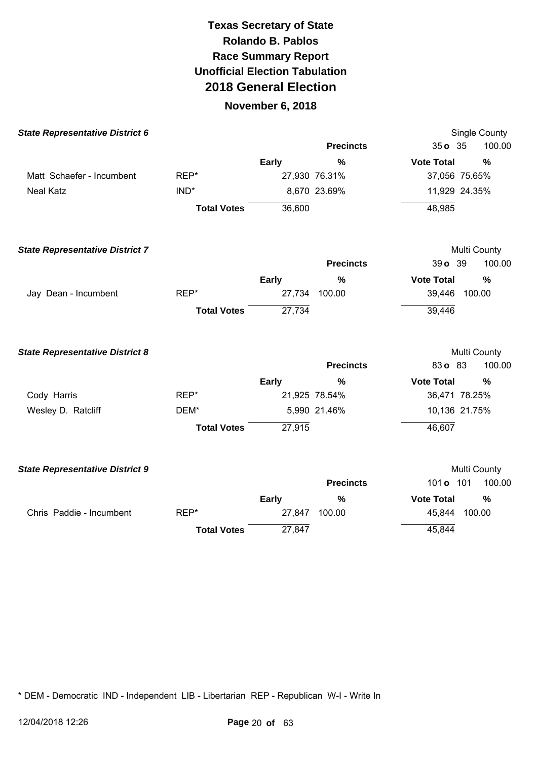### **November 6, 2018**

| <b>State Representative District 6</b> |                    |              |                  |                   | <b>Single County</b> |
|----------------------------------------|--------------------|--------------|------------------|-------------------|----------------------|
|                                        |                    |              | <b>Precincts</b> | $35o$ $35$        | 100.00               |
|                                        |                    | <b>Early</b> | $\frac{0}{0}$    | <b>Vote Total</b> | $\frac{0}{0}$        |
| Matt Schaefer - Incumbent              | REP*               |              | 27,930 76.31%    | 37,056 75.65%     |                      |
| <b>Neal Katz</b>                       | $IND^*$            |              | 8,670 23.69%     | 11,929 24.35%     |                      |
|                                        | <b>Total Votes</b> | 36,600       |                  | 48,985            |                      |
| <b>State Representative District 7</b> |                    |              |                  |                   | Multi County         |
|                                        |                    |              | <b>Precincts</b> | 39 o 39           | 100.00               |
|                                        |                    | <b>Early</b> | %                | <b>Vote Total</b> | $\frac{0}{0}$        |
| Jay Dean - Incumbent                   | REP*               | 27,734       | 100.00           | 39,446            | 100.00               |
|                                        | <b>Total Votes</b> | 27,734       |                  | 39,446            |                      |
| <b>State Representative District 8</b> |                    |              |                  |                   | Multi County         |
|                                        |                    |              | <b>Precincts</b> | 83 o 83           | 100.00               |
|                                        |                    | <b>Early</b> | %                | <b>Vote Total</b> | $\frac{0}{0}$        |
| Cody Harris                            | REP*               |              | 21,925 78.54%    | 36,471 78.25%     |                      |
| Wesley D. Ratcliff                     | DEM*               |              | 5,990 21.46%     | 10,136 21.75%     |                      |
|                                        | <b>Total Votes</b> | 27,915       |                  | 46,607            |                      |
| <b>State Representative District 9</b> |                    |              |                  |                   | Multi County         |
|                                        |                    |              | <b>Precincts</b> | 101 <b>o</b> 101  | 100.00               |
|                                        |                    | Early        | $\frac{0}{0}$    | <b>Vote Total</b> | $\frac{0}{0}$        |
| Chris Paddie - Incumbent               | REP*               | 27,847       | 100.00           | 45,844            | 100.00               |
|                                        | <b>Total Votes</b> | 27,847       |                  | 45,844            |                      |
|                                        |                    |              |                  |                   |                      |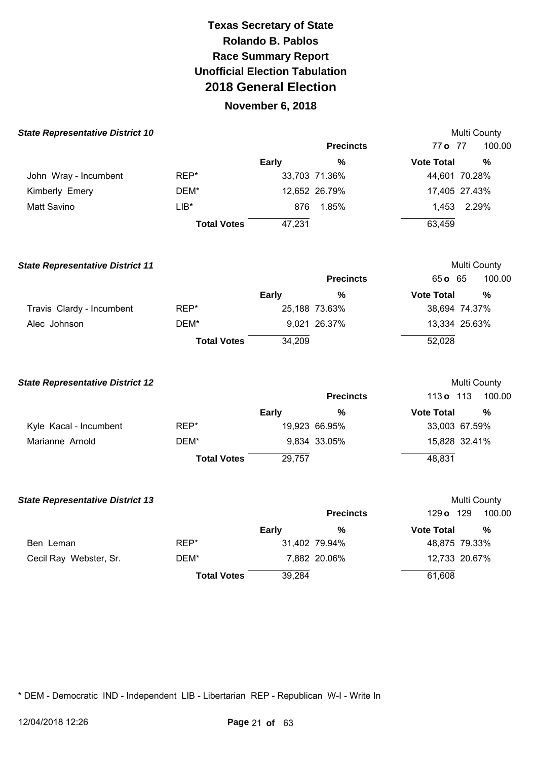### **November 6, 2018**

| <b>State Representative District 10</b> |                    |        |                  |                   | <b>Multi County</b> |
|-----------------------------------------|--------------------|--------|------------------|-------------------|---------------------|
|                                         |                    |        | <b>Precincts</b> | 77 o 77           | 100.00              |
|                                         |                    | Early  | %                | <b>Vote Total</b> | %                   |
| John Wray - Incumbent                   | REP*               |        | 33,703 71.36%    |                   | 44,601 70.28%       |
| Kimberly Emery                          | DEM*               |        | 12,652 26.79%    |                   | 17,405 27.43%       |
| Matt Savino                             | $LIB*$             | 876    | 1.85%            | 1.453             | 2.29%               |
|                                         | <b>Total Votes</b> | 47,231 |                  | 63,459            |                     |

| <b>State Representative District 11</b> |                    |              |                  |                   | Multi County  |
|-----------------------------------------|--------------------|--------------|------------------|-------------------|---------------|
|                                         |                    |              | <b>Precincts</b> | 65 o 65           | 100.00        |
|                                         |                    | <b>Early</b> | %                | <b>Vote Total</b> | %             |
| Travis Clardy - Incumbent               | REP*               |              | 25,188 73.63%    |                   | 38,694 74.37% |
| Alec Johnson                            | DEM*               |              | 9,021 26.37%     |                   | 13,334 25.63% |
|                                         | <b>Total Votes</b> | 34,209       |                  | 52,028            |               |

| <b>State Representative District 12</b> |                    |              |                  |                   | Multi County  |
|-----------------------------------------|--------------------|--------------|------------------|-------------------|---------------|
|                                         |                    |              | <b>Precincts</b> | 113 <b>o</b> 113  | 100.00        |
|                                         |                    | <b>Early</b> | %                | <b>Vote Total</b> | %             |
| Kyle Kacal - Incumbent                  | REP*               |              | 19,923 66.95%    |                   | 33,003 67.59% |
| Marianne Arnold                         | DEM*               |              | 9,834 33.05%     |                   | 15,828 32.41% |
|                                         | <b>Total Votes</b> | 29,757       |                  | 48,831            |               |

| <b>State Representative District 13</b> |                    |              |                  |                   | <b>Multi County</b> |
|-----------------------------------------|--------------------|--------------|------------------|-------------------|---------------------|
|                                         |                    |              | <b>Precincts</b> | 129 o 129         | 100.00              |
|                                         |                    | <b>Early</b> | %                | <b>Vote Total</b> | %                   |
| Ben Leman                               | REP*               |              | 31,402 79.94%    |                   | 48,875 79.33%       |
| Cecil Ray Webster, Sr.                  | DEM*               |              | 7,882 20.06%     |                   | 12,733 20.67%       |
|                                         | <b>Total Votes</b> | 39,284       |                  | 61,608            |                     |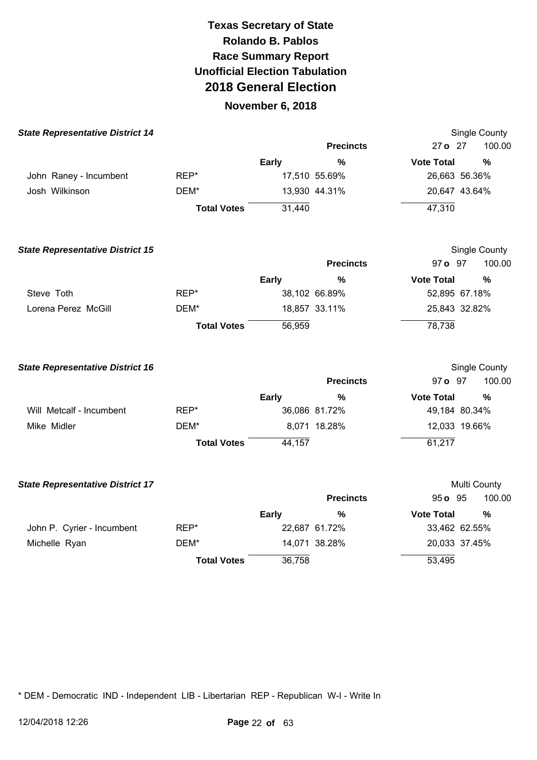### **November 6, 2018**

| <b>State Representative District 14</b> |                    |              |                  |                   | Single County |
|-----------------------------------------|--------------------|--------------|------------------|-------------------|---------------|
|                                         |                    |              | <b>Precincts</b> | 27 o 27           | 100.00        |
|                                         |                    | <b>Early</b> | $\frac{0}{0}$    | <b>Vote Total</b> | $\frac{0}{0}$ |
| John Raney - Incumbent                  | REP*               |              | 17,510 55.69%    | 26,663 56.36%     |               |
| Josh Wilkinson                          | DEM*               |              | 13,930 44.31%    | 20,647 43.64%     |               |
|                                         | <b>Total Votes</b> | 31,440       |                  | 47,310            |               |
| <b>State Representative District 15</b> |                    |              |                  |                   | Single County |
|                                         |                    |              | <b>Precincts</b> | 97 o 97           | 100.00        |
|                                         |                    | <b>Early</b> | $\frac{0}{0}$    | <b>Vote Total</b> | %             |
| Steve Toth                              | REP*               |              | 38,102 66.89%    | 52,895 67.18%     |               |
| Lorena Perez McGill                     | DEM*               |              | 18,857 33.11%    | 25,843 32.82%     |               |
|                                         | <b>Total Votes</b> | 56,959       |                  | 78,738            |               |
| <b>State Representative District 16</b> |                    |              |                  |                   | Single County |
|                                         |                    |              | <b>Precincts</b> | 97 o 97           | 100.00        |
|                                         |                    | <b>Early</b> | $\%$             | <b>Vote Total</b> | $\frac{0}{0}$ |
| Will Metcalf - Incumbent                | REP*               |              | 36,086 81.72%    | 49,184 80.34%     |               |
| Mike Midler                             | DEM*               |              | 8,071 18.28%     | 12,033 19.66%     |               |
|                                         | <b>Total Votes</b> | 44,157       |                  | 61,217            |               |
| <b>State Representative District 17</b> |                    |              |                  |                   | Multi County  |
|                                         |                    |              | <b>Precincts</b> | 95 o 95           | 100.00        |
|                                         |                    | <b>Early</b> | $\%$             | <b>Vote Total</b> | $\frac{0}{0}$ |
| John P. Cyrier - Incumbent              | REP*               |              | 22,687 61.72%    | 33,462 62.55%     |               |
| Michelle Ryan                           | DEM*               |              | 14,071 38.28%    | 20,033 37.45%     |               |
|                                         | <b>Total Votes</b> | 36,758       |                  | 53,495            |               |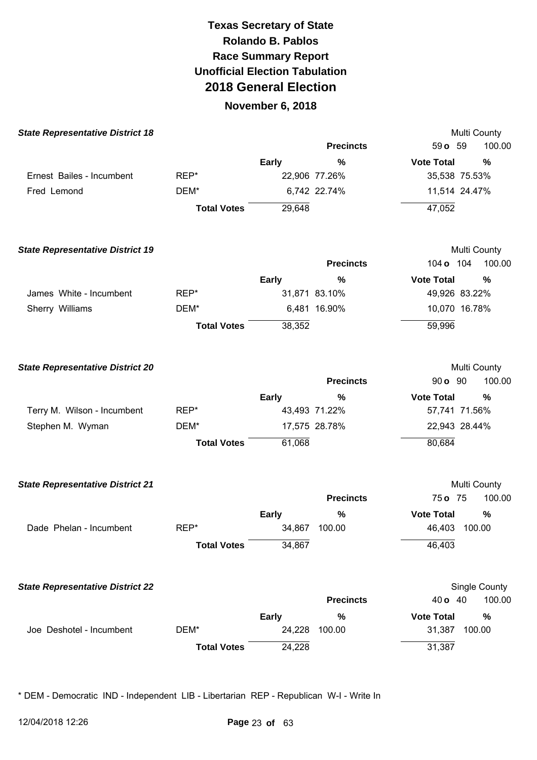### **November 6, 2018**

| <b>State Representative District 18</b> |                    |              |                  | Multi County              |
|-----------------------------------------|--------------------|--------------|------------------|---------------------------|
|                                         |                    |              | <b>Precincts</b> | 59 o 59<br>100.00         |
|                                         |                    | Early        | %                | <b>Vote Total</b><br>%    |
| Ernest Bailes - Incumbent               | REP*               |              | 22,906 77.26%    | 35,538 75.53%             |
| Fred Lemond                             | DEM*               |              | 6,742 22.74%     | 11,514 24.47%             |
|                                         | <b>Total Votes</b> | 29,648       |                  | 47,052                    |
| <b>State Representative District 19</b> |                    |              |                  | Multi County              |
|                                         |                    |              | <b>Precincts</b> | 104 o 104<br>100.00       |
|                                         |                    | Early        | $\%$             | <b>Vote Total</b><br>%    |
| James White - Incumbent                 | REP*               |              | 31,871 83.10%    | 49,926 83.22%             |
| Sherry Williams                         | DEM*               |              | 6,481 16.90%     | 10,070 16.78%             |
|                                         | <b>Total Votes</b> | 38,352       |                  | 59,996                    |
| <b>State Representative District 20</b> |                    |              |                  | Multi County              |
|                                         |                    |              | <b>Precincts</b> | 90 <b>o</b> 90<br>100.00  |
|                                         |                    | <b>Early</b> | %                | <b>Vote Total</b><br>$\%$ |
| Terry M. Wilson - Incumbent             | REP*               |              | 43,493 71.22%    | 57,741 71.56%             |
| Stephen M. Wyman                        | DEM*               |              | 17,575 28.78%    | 22,943 28.44%             |
|                                         | <b>Total Votes</b> | 61,068       |                  | 80,684                    |
| <b>State Representative District 21</b> |                    |              |                  | Multi County              |
|                                         |                    |              | <b>Precincts</b> | 75 o 75<br>100.00         |
|                                         |                    | <b>Early</b> | %                | <b>Vote Total</b><br>%    |
| Dade Phelan - Incumbent                 | REP*               |              | 34,867 100.00    | 46,403 100.00             |
|                                         | <b>Total Votes</b> | 34,867       |                  | 46,403                    |
| <b>State Representative District 22</b> |                    |              |                  | Single County             |
|                                         |                    |              | <b>Precincts</b> | 100.00<br>40 o 40         |
|                                         |                    | <b>Early</b> | $\%$             | <b>Vote Total</b><br>%    |
| Joe Deshotel - Incumbent                | DEM*               | 24,228       | 100.00           | 31,387<br>100.00          |
|                                         | <b>Total Votes</b> | 24,228       |                  | 31,387                    |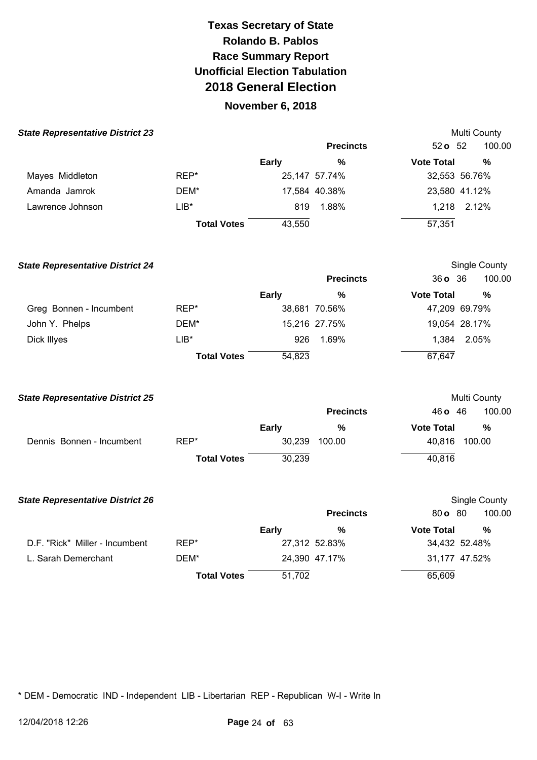## **November 6, 2018**

| <b>State Representative District 23</b> |                    |        |                  |                   | Multi County  |
|-----------------------------------------|--------------------|--------|------------------|-------------------|---------------|
|                                         |                    |        | <b>Precincts</b> | $52o$ 52          | 100.00        |
|                                         |                    | Early  | %                | <b>Vote Total</b> | %             |
| Mayes Middleton                         | REP*               |        | 25,147 57.74%    |                   | 32,553 56.76% |
| Amanda Jamrok                           | DEM*               |        | 17,584 40.38%    |                   | 23,580 41.12% |
| Lawrence Johnson                        | $LIB^*$            | 819    | 1.88%            | 1.218             | 2.12%         |
|                                         | <b>Total Votes</b> | 43,550 |                  | 57,351            |               |

| <b>State Representative District 24</b> |                    |              |                  |                   | Single County |
|-----------------------------------------|--------------------|--------------|------------------|-------------------|---------------|
|                                         |                    |              | <b>Precincts</b> | 360, 36           | 100.00        |
|                                         |                    | <b>Early</b> | %                | <b>Vote Total</b> | %             |
| Greg Bonnen - Incumbent                 | REP*               |              | 38,681 70.56%    |                   | 47,209 69.79% |
| John Y. Phelps                          | DEM*               |              | 15,216 27.75%    |                   | 19,054 28.17% |
| Dick Illyes                             | $LIB*$             | 926          | 1.69%            | 1.384             | 2.05%         |
|                                         | <b>Total Votes</b> | 54,823       |                  | 67,647            |               |

| <b>State Representative District 25</b> |                    |              |                  |                   | Multi County |
|-----------------------------------------|--------------------|--------------|------------------|-------------------|--------------|
|                                         |                    |              | <b>Precincts</b> | 46 <b>o</b> 46    | 100.00       |
|                                         |                    | <b>Early</b> | %                | <b>Vote Total</b> | %            |
| Dennis Bonnen - Incumbent               | REP*               | 30,239       | 100.00           | 40,816            | 100.00       |
|                                         | <b>Total Votes</b> | 30,239       |                  | 40,816            |              |

| <b>State Representative District 26</b> |                    |        |                  |                           | Single County |
|-----------------------------------------|--------------------|--------|------------------|---------------------------|---------------|
|                                         |                    |        | <b>Precincts</b> | $80 \, \text{o} \quad 80$ | 100.00        |
|                                         |                    | Early  | %                | <b>Vote Total</b>         | $\%$          |
| D.F. "Rick" Miller - Incumbent          | REP*               |        | 27,312 52.83%    |                           | 34,432 52.48% |
| L. Sarah Demerchant                     | DEM*               |        | 24,390 47.17%    |                           | 31,177 47.52% |
|                                         | <b>Total Votes</b> | 51,702 |                  | 65,609                    |               |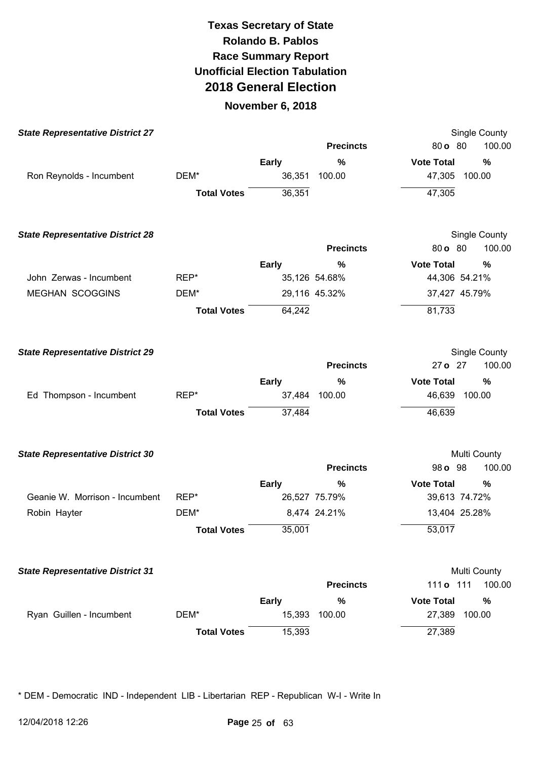### **November 6, 2018**

| <b>State Representative District 27</b> |                    |              |                  |                   | Single County |
|-----------------------------------------|--------------------|--------------|------------------|-------------------|---------------|
|                                         |                    |              | <b>Precincts</b> | 80 o 80           | 100.00        |
|                                         |                    | <b>Early</b> | $\%$             | <b>Vote Total</b> | %             |
| Ron Reynolds - Incumbent                | DEM*               | 36,351       | 100.00           | 47,305            | 100.00        |
|                                         | <b>Total Votes</b> | 36,351       |                  | 47,305            |               |
| <b>State Representative District 28</b> |                    |              |                  |                   | Single County |
|                                         |                    |              | <b>Precincts</b> | 80 o 80           | 100.00        |
|                                         |                    | <b>Early</b> | %                | <b>Vote Total</b> | %             |
| John Zerwas - Incumbent                 | REP*               |              | 35,126 54.68%    | 44,306 54.21%     |               |
| <b>MEGHAN SCOGGINS</b>                  | DEM*               |              | 29,116 45.32%    | 37,427 45.79%     |               |
|                                         | <b>Total Votes</b> | 64,242       |                  | 81,733            |               |
| <b>State Representative District 29</b> |                    |              |                  |                   | Single County |
|                                         |                    |              | <b>Precincts</b> | 27 o 27           | 100.00        |
|                                         |                    | <b>Early</b> | $\%$             | <b>Vote Total</b> | %             |
| Ed Thompson - Incumbent                 | REP*               | 37,484       | 100.00           | 46,639            | 100.00        |
|                                         | <b>Total Votes</b> | 37,484       |                  | 46,639            |               |
| <b>State Representative District 30</b> |                    |              |                  |                   | Multi County  |
|                                         |                    |              | <b>Precincts</b> | 98 o 98           | 100.00        |
|                                         |                    | <b>Early</b> | %                | <b>Vote Total</b> | %             |
| Geanie W. Morrison - Incumbent          | REP*               |              | 26,527 75.79%    | 39,613 74.72%     |               |
| Robin Hayter                            | DEM*               |              | 8,474 24.21%     | 13,404 25.28%     |               |
|                                         | <b>Total Votes</b> | 35,001       |                  | 53,017            |               |
| <b>State Representative District 31</b> |                    |              |                  |                   | Multi County  |
|                                         |                    |              | <b>Precincts</b> | 111 o 111         | 100.00        |
|                                         |                    | <b>Early</b> | $\%$             | <b>Vote Total</b> | $\%$          |
| Ryan Guillen - Incumbent                | DEM*               | 15,393       | 100.00           | 27,389            | 100.00        |
|                                         | <b>Total Votes</b> | 15,393       |                  | 27,389            |               |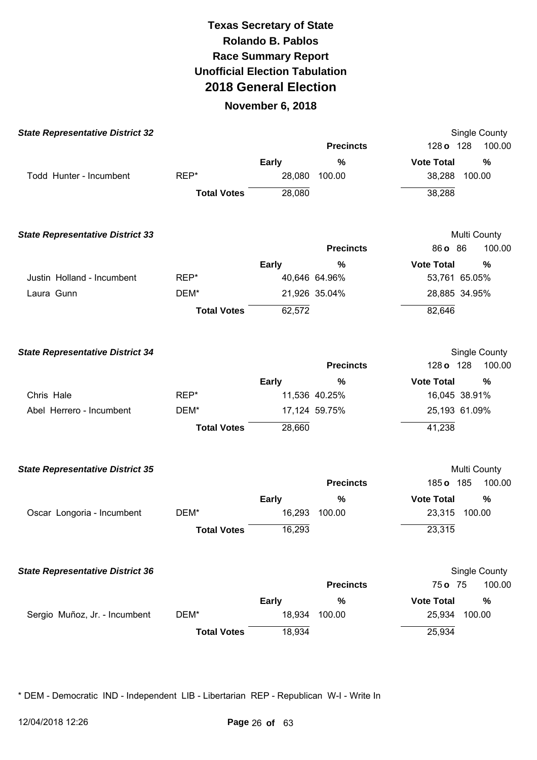### **November 6, 2018**

| <b>State Representative District 32</b> |                    |              |                  | Single County             |
|-----------------------------------------|--------------------|--------------|------------------|---------------------------|
|                                         |                    |              | <b>Precincts</b> | 128 o 128<br>100.00       |
|                                         |                    | <b>Early</b> | $\%$             | <b>Vote Total</b><br>$\%$ |
| Todd Hunter - Incumbent                 | REP*               | 28,080       | 100.00           | 100.00<br>38,288          |
|                                         | <b>Total Votes</b> | 28,080       |                  | 38,288                    |
| <b>State Representative District 33</b> |                    |              |                  | Multi County              |
|                                         |                    |              | <b>Precincts</b> | 86 o 86<br>100.00         |
|                                         |                    | <b>Early</b> | %                | <b>Vote Total</b><br>%    |
| Justin Holland - Incumbent              | REP*               |              | 40,646 64.96%    | 53,761 65.05%             |
| Laura Gunn                              | DEM*               |              | 21,926 35.04%    | 28,885 34.95%             |
|                                         | <b>Total Votes</b> | 62,572       |                  | 82,646                    |
| <b>State Representative District 34</b> |                    |              |                  | Single County             |
|                                         |                    |              | <b>Precincts</b> | 100.00<br>128 o 128       |
|                                         |                    | <b>Early</b> | %                | <b>Vote Total</b><br>%    |
| Chris Hale                              | REP*               |              | 11,536 40.25%    | 16,045 38.91%             |
| Abel Herrero - Incumbent                | DEM*               |              | 17,124 59.75%    | 25,193 61.09%             |
|                                         | <b>Total Votes</b> | 28,660       |                  | 41,238                    |
| <b>State Representative District 35</b> |                    |              |                  | Multi County              |
|                                         |                    |              | <b>Precincts</b> | 185 o 185<br>100.00       |
|                                         |                    | <b>Early</b> | %                | <b>Vote Total</b><br>%    |
| Oscar Longoria - Incumbent              | DEM*               | 16,293       | 100.00           | 23,315<br>100.00          |
|                                         | <b>Total Votes</b> | 16,293       |                  | 23,315                    |
| <b>State Representative District 36</b> |                    |              |                  | Single County             |
|                                         |                    |              | <b>Precincts</b> | 75 o 75<br>100.00         |
|                                         |                    | <b>Early</b> | $\%$             | <b>Vote Total</b><br>$\%$ |
| Sergio Muñoz, Jr. - Incumbent           | DEM*               | 18,934       | 100.00           | 100.00<br>25,934          |
|                                         | <b>Total Votes</b> | 18,934       |                  | 25,934                    |
|                                         |                    |              |                  |                           |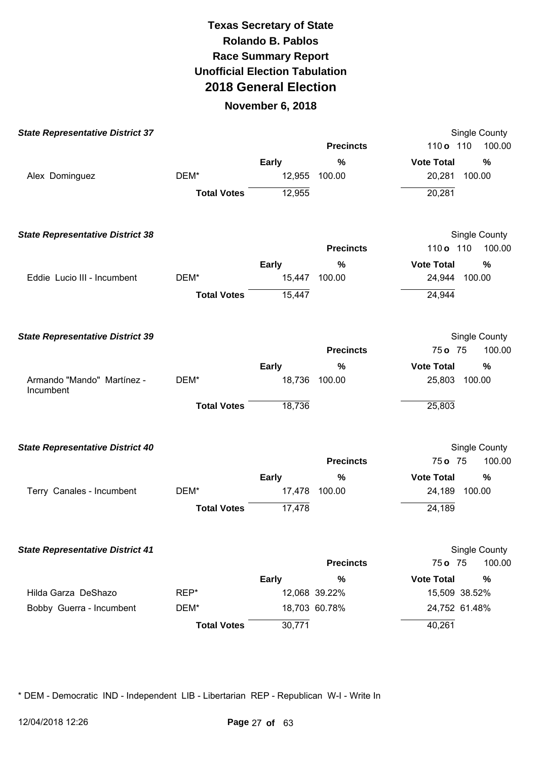#### **November 6, 2018**

| <b>State Representative District 37</b> |                    |              |                  | Single County          |
|-----------------------------------------|--------------------|--------------|------------------|------------------------|
|                                         |                    |              | <b>Precincts</b> | 100.00<br>110 o 110    |
|                                         |                    | <b>Early</b> | %                | <b>Vote Total</b><br>% |
| Alex Dominguez                          | DEM*               | 12,955       | 100.00           | 20,281<br>100.00       |
|                                         | <b>Total Votes</b> | 12,955       |                  | 20,281                 |
| <b>State Representative District 38</b> |                    |              |                  | Single County          |
|                                         |                    |              | <b>Precincts</b> | 100.00<br>110 o 110    |
|                                         |                    | <b>Early</b> | %                | <b>Vote Total</b><br>% |
| Eddie Lucio III - Incumbent             | DEM*               |              | 15,447 100.00    | 24,944 100.00          |
|                                         | <b>Total Votes</b> | 15,447       |                  | 24,944                 |
| <b>State Representative District 39</b> |                    |              |                  | Single County          |
|                                         |                    |              | <b>Precincts</b> | 100.00<br>75 o 75      |
|                                         |                    | <b>Early</b> | %                | <b>Vote Total</b><br>% |
| Armando "Mando" Martínez -<br>Incumbent | DEM*               | 18,736       | 100.00           | 25,803 100.00          |
|                                         | <b>Total Votes</b> | 18,736       |                  | 25,803                 |
| <b>State Representative District 40</b> |                    |              |                  | Single County          |
|                                         |                    |              | <b>Precincts</b> | 75 o 75<br>100.00      |
|                                         |                    | <b>Early</b> | %                | <b>Vote Total</b><br>% |
| Terry Canales - Incumbent               | DEM*               | 17,478       | 100.00           | 24,189<br>100.00       |
|                                         | <b>Total Votes</b> | 17,478       |                  | 24,189                 |
| <b>State Representative District 41</b> |                    |              |                  | Single County          |
|                                         |                    |              | <b>Precincts</b> | 100.00<br>75 o 75      |
|                                         |                    | <b>Early</b> | %                | <b>Vote Total</b><br>% |
| Hilda Garza DeShazo                     | REP*               |              | 12,068 39.22%    | 15,509 38.52%          |
| Bobby Guerra - Incumbent                | DEM*               |              | 18,703 60.78%    | 24,752 61.48%          |
|                                         | <b>Total Votes</b> | 30,771       |                  | 40,261                 |
|                                         |                    |              |                  |                        |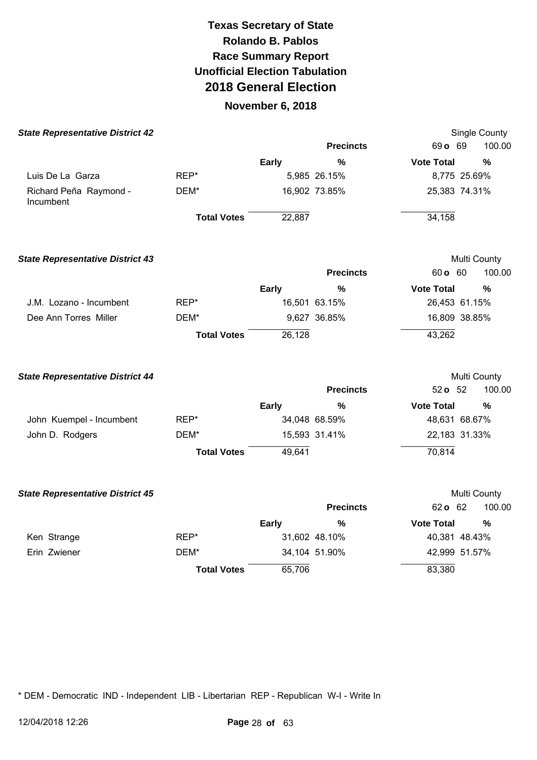### **November 6, 2018**

| <b>State Representative District 42</b> |                    |              |                  |                   | Single County |
|-----------------------------------------|--------------------|--------------|------------------|-------------------|---------------|
|                                         |                    |              | <b>Precincts</b> | 69 o 69           | 100.00        |
|                                         |                    | <b>Early</b> | $\%$             | <b>Vote Total</b> | %             |
| Luis De La Garza                        | REP*               |              | 5,985 26.15%     | 8,775 25.69%      |               |
| Richard Peña Raymond -<br>Incumbent     | DEM*               |              | 16,902 73.85%    | 25,383 74.31%     |               |
|                                         | <b>Total Votes</b> | 22,887       |                  | 34,158            |               |
| <b>State Representative District 43</b> |                    |              |                  | Multi County      |               |
|                                         |                    |              | <b>Precincts</b> | 60 o 60           | 100.00        |
|                                         |                    | <b>Early</b> | %                | <b>Vote Total</b> | %             |
| J.M. Lozano - Incumbent                 | REP*               |              | 16,501 63.15%    | 26,453 61.15%     |               |
| Dee Ann Torres Miller                   | DEM*               |              | 9,627 36.85%     | 16,809 38.85%     |               |
|                                         | <b>Total Votes</b> | 26,128       |                  | 43,262            |               |
| <b>State Representative District 44</b> |                    |              |                  | Multi County      |               |
|                                         |                    |              | <b>Precincts</b> | 52 o 52           | 100.00        |
|                                         |                    | <b>Early</b> | %                | <b>Vote Total</b> | %             |
| John Kuempel - Incumbent                | REP*               |              | 34,048 68.59%    | 48,631 68.67%     |               |
| John D. Rodgers                         | DEM*               |              | 15,593 31.41%    | 22,183 31.33%     |               |
|                                         | <b>Total Votes</b> | 49,641       |                  | 70,814            |               |
| <b>State Representative District 45</b> |                    |              |                  | Multi County      |               |
|                                         |                    |              | <b>Precincts</b> | 62 o 62           | 100.00        |
|                                         |                    | <b>Early</b> | $\%$             | <b>Vote Total</b> | %             |
| Ken Strange                             | REP*               |              | 31,602 48.10%    | 40,381 48.43%     |               |
| Erin Zwiener                            | DEM*               |              | 34,104 51.90%    | 42,999 51.57%     |               |
|                                         | <b>Total Votes</b> | 65,706       |                  | 83,380            |               |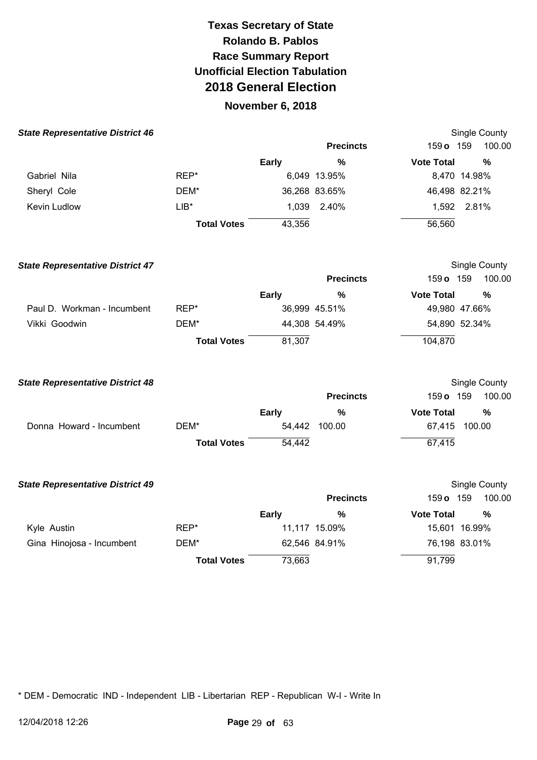### **November 6, 2018**

| <b>State Representative District 46</b> |                    |              |                  |                   | Single County |  |
|-----------------------------------------|--------------------|--------------|------------------|-------------------|---------------|--|
|                                         |                    |              | <b>Precincts</b> | 159 o 159         | 100.00        |  |
|                                         |                    | <b>Early</b> | %                | <b>Vote Total</b> | $\frac{0}{0}$ |  |
| Gabriel Nila                            | REP*               |              | 6,049 13.95%     | 8,470 14.98%      |               |  |
| Sheryl Cole                             | DEM*               |              | 36,268 83.65%    | 46,498 82.21%     |               |  |
| Kevin Ludlow                            | $LIB*$             |              | 1,039 2.40%      | 1,592 2.81%       |               |  |
|                                         | <b>Total Votes</b> | 43,356       |                  | 56,560            |               |  |
| <b>State Representative District 47</b> |                    |              |                  |                   | Single County |  |
|                                         |                    |              | <b>Precincts</b> | 159 o 159         | 100.00        |  |
|                                         |                    | <b>Early</b> | $\frac{0}{0}$    | <b>Vote Total</b> | $\frac{0}{0}$ |  |
| Paul D. Workman - Incumbent             | REP*               |              | 36,999 45.51%    | 49,980 47.66%     |               |  |
| Vikki Goodwin                           | DEM*               |              | 44,308 54.49%    | 54,890 52.34%     |               |  |
|                                         | <b>Total Votes</b> | 81,307       |                  | 104,870           |               |  |
| <b>State Representative District 48</b> |                    |              |                  |                   | Single County |  |
|                                         |                    |              | <b>Precincts</b> | 159 o 159         | 100.00        |  |
|                                         |                    | <b>Early</b> | $\%$             | <b>Vote Total</b> | %             |  |
| Donna Howard - Incumbent                | DEM*               |              | 54,442 100.00    | 67,415 100.00     |               |  |
|                                         | <b>Total Votes</b> | 54,442       |                  | 67,415            |               |  |
| <b>State Representative District 49</b> |                    |              |                  |                   | Single County |  |
|                                         |                    |              | <b>Precincts</b> | 159 o 159         | 100.00        |  |
|                                         |                    | <b>Early</b> | $\frac{0}{0}$    | <b>Vote Total</b> | $\%$          |  |
| Kyle Austin                             | REP*               |              | 11,117 15.09%    | 15,601 16.99%     |               |  |
| Gina Hinojosa - Incumbent               | DEM*               |              | 62,546 84.91%    | 76,198 83.01%     |               |  |
|                                         | <b>Total Votes</b> | 73,663       |                  | 91,799            |               |  |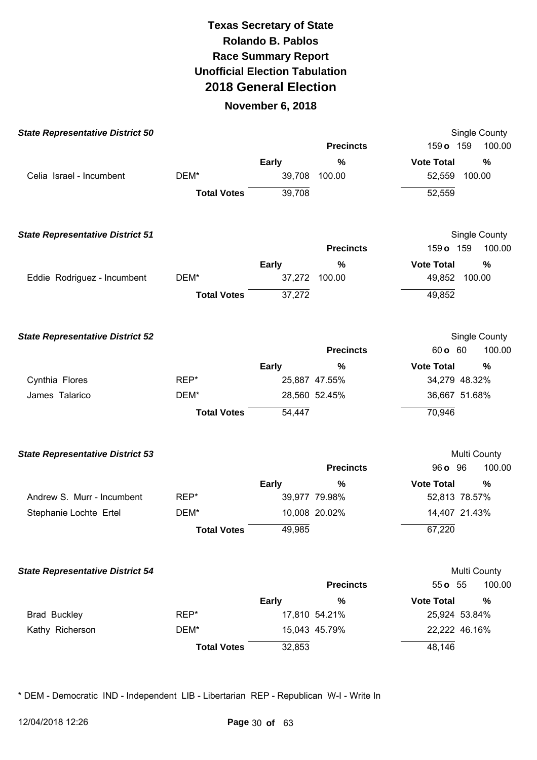#### **November 6, 2018**

| <b>State Representative District 50</b> |                    |              |                  | Single County             |
|-----------------------------------------|--------------------|--------------|------------------|---------------------------|
|                                         |                    |              | <b>Precincts</b> | 159 o 159<br>100.00       |
|                                         |                    | <b>Early</b> | $\%$             | <b>Vote Total</b><br>%    |
| Celia Israel - Incumbent                | DEM*               | 39,708       | 100.00           | 52,559 100.00             |
|                                         | <b>Total Votes</b> | 39,708       |                  | 52,559                    |
| <b>State Representative District 51</b> |                    |              |                  | Single County             |
|                                         |                    |              | <b>Precincts</b> | 100.00<br>159 o 159       |
|                                         |                    | <b>Early</b> | %                | <b>Vote Total</b><br>%    |
| Eddie Rodriguez - Incumbent             | DEM*               | 37,272       | 100.00           | 49,852 100.00             |
|                                         | <b>Total Votes</b> | 37,272       |                  | 49,852                    |
| <b>State Representative District 52</b> |                    |              |                  | Single County             |
|                                         |                    |              | <b>Precincts</b> | 60 o 60<br>100.00         |
|                                         |                    | <b>Early</b> | %                | <b>Vote Total</b><br>$\%$ |
| Cynthia Flores                          | REP*               |              | 25,887 47.55%    | 34,279 48.32%             |
| James Talarico                          | DEM*               |              | 28,560 52.45%    | 36,667 51.68%             |
|                                         | <b>Total Votes</b> | 54,447       |                  | 70,946                    |
| <b>State Representative District 53</b> |                    |              |                  | Multi County              |
|                                         |                    |              | <b>Precincts</b> | 96 <b>o</b> 96<br>100.00  |
|                                         |                    | <b>Early</b> | %                | <b>Vote Total</b><br>$\%$ |
| Andrew S. Murr - Incumbent              | REP*               |              | 39,977 79.98%    | 52,813 78.57%             |
| Stephanie Lochte Ertel                  | DEM*               |              | 10,008 20.02%    | 14,407 21.43%             |
|                                         | <b>Total Votes</b> | 49,985       |                  | 67,220                    |
| <b>State Representative District 54</b> |                    |              |                  | Multi County              |
|                                         |                    |              | <b>Precincts</b> | 55 o 55<br>100.00         |
|                                         |                    | <b>Early</b> | %                | <b>Vote Total</b><br>%    |
| <b>Brad Buckley</b>                     | REP*               |              | 17,810 54.21%    | 25,924 53.84%             |
| Kathy Richerson                         | DEM*               |              | 15,043 45.79%    | 22,222 46.16%             |
|                                         | <b>Total Votes</b> | 32,853       |                  | 48,146                    |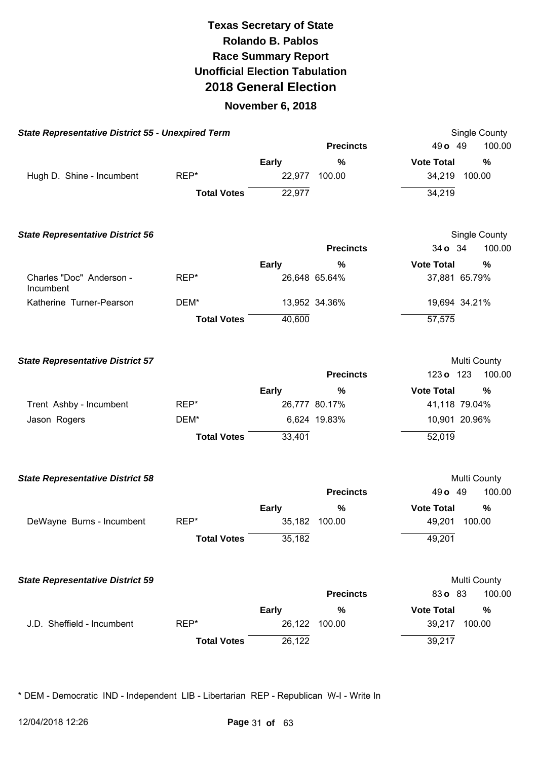#### **November 6, 2018**

| <b>Total Votes</b> | <b>Early</b><br>22,977<br>22,977 | <b>Precincts</b><br>%<br>100.00 | 49 o 49<br><b>Vote Total</b><br>34,219<br>34,219                                 | 100.00<br>%<br>100.00 |
|--------------------|----------------------------------|---------------------------------|----------------------------------------------------------------------------------|-----------------------|
|                    |                                  |                                 |                                                                                  |                       |
|                    |                                  |                                 |                                                                                  |                       |
|                    |                                  |                                 |                                                                                  |                       |
|                    |                                  |                                 |                                                                                  |                       |
|                    |                                  |                                 |                                                                                  | Single County         |
|                    |                                  | <b>Precincts</b>                | 34 o 34                                                                          | 100.00                |
|                    | <b>Early</b>                     | %                               | <b>Vote Total</b>                                                                | %                     |
|                    |                                  |                                 | 37,881 65.79%                                                                    |                       |
|                    |                                  |                                 | 19,694 34.21%                                                                    |                       |
| <b>Total Votes</b> | 40,600                           |                                 | 57,575                                                                           |                       |
|                    |                                  |                                 |                                                                                  | Multi County          |
|                    |                                  | <b>Precincts</b>                | 123 o 123                                                                        | 100.00                |
|                    | <b>Early</b>                     | %                               | <b>Vote Total</b>                                                                | %                     |
|                    |                                  |                                 | 41,118 79.04%                                                                    |                       |
|                    |                                  |                                 | 10,901 20.96%                                                                    |                       |
| <b>Total Votes</b> | 33,401                           |                                 | 52,019                                                                           |                       |
|                    |                                  |                                 |                                                                                  | Multi County          |
|                    |                                  | <b>Precincts</b>                | 49 o 49                                                                          | 100.00                |
|                    | <b>Early</b>                     | %                               | <b>Vote Total</b>                                                                | %                     |
|                    |                                  |                                 | 49,201                                                                           | 100.00                |
| <b>Total Votes</b> | 35,182                           |                                 | 49,201                                                                           |                       |
|                    |                                  |                                 |                                                                                  | Multi County          |
|                    |                                  | <b>Precincts</b>                | 83 o 83                                                                          | 100.00                |
|                    | <b>Early</b>                     | $\%$                            | <b>Vote Total</b>                                                                | %                     |
|                    | 26,122                           | 100.00                          | 39,217                                                                           | 100.00                |
| <b>Total Votes</b> | 26,122                           |                                 | 39,217                                                                           |                       |
|                    |                                  |                                 | 26,648 65.64%<br>13,952 34.36%<br>26,777 80.17%<br>6,624 19.83%<br>35,182 100.00 |                       |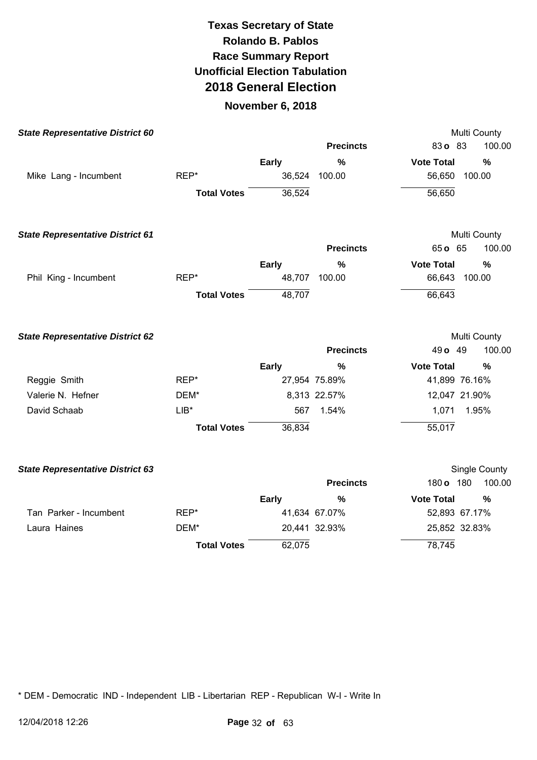### **November 6, 2018**

| <b>State Representative District 60</b> |                    |              |                  | Multi County                       |
|-----------------------------------------|--------------------|--------------|------------------|------------------------------------|
|                                         |                    |              | <b>Precincts</b> | 83o 83<br>100.00                   |
|                                         |                    | <b>Early</b> | $\%$             | <b>Vote Total</b><br>$\%$          |
| Mike Lang - Incumbent                   | REP*               | 36,524       | 100.00           | 56,650<br>100.00                   |
|                                         | <b>Total Votes</b> | 36,524       |                  | 56,650                             |
| <b>State Representative District 61</b> |                    |              |                  | Multi County                       |
|                                         |                    |              | <b>Precincts</b> | 65 o 65<br>100.00                  |
|                                         |                    | Early        | $\%$             | <b>Vote Total</b><br>%             |
| Phil King - Incumbent                   | REP*               | 48,707       | 100.00           | 66,643 100.00                      |
|                                         | <b>Total Votes</b> | 48,707       |                  | 66,643                             |
| <b>State Representative District 62</b> |                    |              | <b>Precincts</b> | Multi County<br>49 o 49<br>100.00  |
|                                         |                    | Early        | $\%$             | <b>Vote Total</b><br>%             |
| Reggie Smith                            | REP*               |              | 27,954 75.89%    | 41,899 76.16%                      |
| Valerie N. Hefner                       | DEM*               |              | 8,313 22.57%     | 12,047 21.90%                      |
| David Schaab                            | $LIB^*$            | 567          | 1.54%            | 1,071<br>1.95%                     |
|                                         | <b>Total Votes</b> | 36,834       |                  | 55,017                             |
| <b>State Representative District 63</b> |                    |              |                  | Single County                      |
|                                         |                    |              | <b>Precincts</b> | 180 o 180<br>100.00                |
|                                         |                    | <b>Early</b> | $\%$             | <b>Vote Total</b><br>$\frac{0}{0}$ |
| Tan Parker - Incumbent                  | REP*               |              | 41,634 67.07%    | 52,893 67.17%                      |
| Laura Haines                            | DEM*               |              | 20,441 32.93%    | 25,852 32.83%                      |
|                                         | <b>Total Votes</b> | 62,075       |                  | 78,745                             |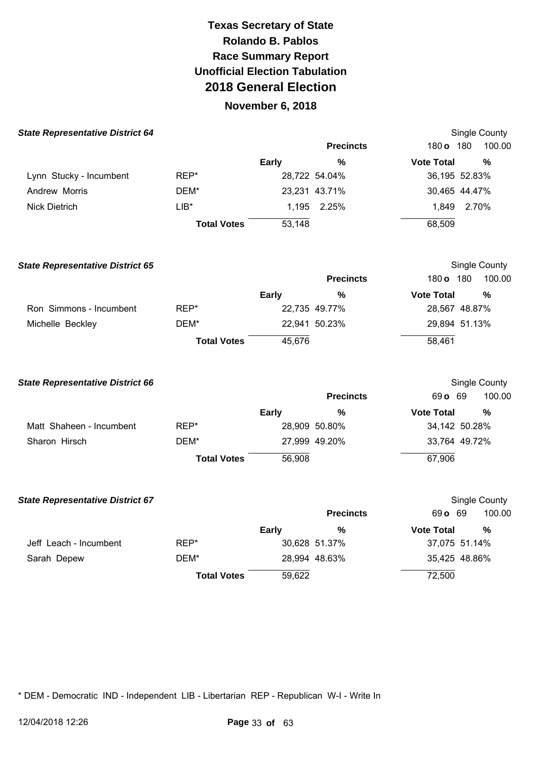### **November 6, 2018**

| <b>State Representative District 64</b> |                    |              |                  |                   | Single County |
|-----------------------------------------|--------------------|--------------|------------------|-------------------|---------------|
|                                         |                    |              | <b>Precincts</b> | $180$ o           | 100.00<br>180 |
|                                         |                    | <b>Early</b> | %                | <b>Vote Total</b> | %             |
| Lynn Stucky - Incumbent                 | REP*               |              | 28,722 54.04%    |                   | 36,195 52.83% |
| Andrew Morris                           | DEM*               |              | 23,231 43.71%    |                   | 30,465 44.47% |
| <b>Nick Dietrich</b>                    | $LIB*$             |              | 1,195 2.25%      | 1.849             | 2.70%         |
|                                         | <b>Total Votes</b> | 53,148       |                  | 68,509            |               |

| <b>State Representative District 65</b> |                    |              |                  |                   | Single County |  |
|-----------------------------------------|--------------------|--------------|------------------|-------------------|---------------|--|
|                                         |                    |              | <b>Precincts</b> | 180 o             | 180<br>100.00 |  |
|                                         |                    | <b>Early</b> | %                | <b>Vote Total</b> | %             |  |
| Ron Simmons - Incumbent                 | REP*               |              | 22,735 49.77%    |                   | 28,567 48.87% |  |
| Michelle Beckley                        | DEM*               |              | 22,941 50.23%    |                   | 29,894 51.13% |  |
|                                         | <b>Total Votes</b> | 45,676       |                  | 58,461            |               |  |

| <b>State Representative District 66</b> |                    |              |                  |                   | Single County |
|-----------------------------------------|--------------------|--------------|------------------|-------------------|---------------|
|                                         |                    |              | <b>Precincts</b> | 69 o 69           | 100.00        |
|                                         |                    | <b>Early</b> | %                | <b>Vote Total</b> | %             |
| Matt Shaheen - Incumbent                | REP*               |              | 28,909 50.80%    |                   | 34,142 50.28% |
| Sharon Hirsch                           | DEM*               |              | 27,999 49.20%    |                   | 33,764 49.72% |
|                                         | <b>Total Votes</b> | 56,908       |                  | 67,906            |               |

| <b>State Representative District 67</b> |                    |              |                  |                   | Single County |
|-----------------------------------------|--------------------|--------------|------------------|-------------------|---------------|
|                                         |                    |              | <b>Precincts</b> | 69 o 69           | 100.00        |
|                                         |                    | <b>Early</b> | %                | <b>Vote Total</b> | %             |
| Jeff Leach - Incumbent                  | REP*               |              | 30,628 51.37%    |                   | 37,075 51.14% |
| Sarah Depew                             | DEM*               |              | 28,994 48.63%    |                   | 35,425 48.86% |
|                                         | <b>Total Votes</b> | 59,622       |                  | 72,500            |               |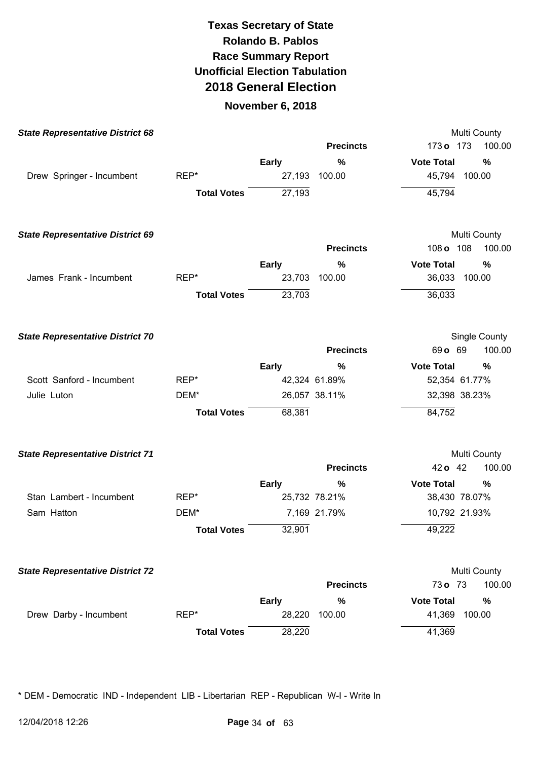#### **November 6, 2018**

| <b>State Representative District 68</b> |                    |              |                  | Multi County                      |
|-----------------------------------------|--------------------|--------------|------------------|-----------------------------------|
|                                         |                    |              | <b>Precincts</b> | 173 o 173<br>100.00               |
|                                         |                    | <b>Early</b> | $\%$             | <b>Vote Total</b><br>%            |
| Drew Springer - Incumbent               | REP*               | 27,193       | 100.00           | 45,794 100.00                     |
|                                         | <b>Total Votes</b> | 27,193       |                  | 45,794                            |
| <b>State Representative District 69</b> |                    |              |                  | Multi County                      |
|                                         |                    |              | <b>Precincts</b> | 108<br>108 <sub>o</sub><br>100.00 |
|                                         |                    | <b>Early</b> | %                | <b>Vote Total</b><br>%            |
| James Frank - Incumbent                 | REP*               | 23,703       | 100.00           | 36,033<br>100.00                  |
|                                         | <b>Total Votes</b> | 23,703       |                  | 36,033                            |
| <b>State Representative District 70</b> |                    |              |                  | Single County                     |
|                                         |                    |              | <b>Precincts</b> | 69 o 69<br>100.00                 |
|                                         |                    | <b>Early</b> | %                | <b>Vote Total</b><br>%            |
| Scott Sanford - Incumbent               | REP*               |              | 42,324 61.89%    | 52,354 61.77%                     |
| Julie Luton                             | DEM*               |              | 26,057 38.11%    | 32,398 38.23%                     |
|                                         | <b>Total Votes</b> | 68,381       |                  | 84,752                            |
| <b>State Representative District 71</b> |                    |              |                  | Multi County                      |
|                                         |                    |              | <b>Precincts</b> | 100.00<br>42 o 42                 |
|                                         |                    | <b>Early</b> | %                | <b>Vote Total</b><br>%            |
| Stan Lambert - Incumbent                | REP*               |              | 25,732 78.21%    | 38,430 78.07%                     |
| Sam Hatton                              | DEM*               |              | 7,169 21.79%     | 10,792 21.93%                     |
|                                         | <b>Total Votes</b> | 32,901       |                  | 49,222                            |
| <b>State Representative District 72</b> |                    |              |                  | Multi County                      |
|                                         |                    |              | <b>Precincts</b> | 100.00<br>73o 73                  |
|                                         |                    | <b>Early</b> | %                | <b>Vote Total</b><br>%            |
| Drew Darby - Incumbent                  | REP*               | 28,220       | 100.00           | 100.00<br>41,369                  |
|                                         | <b>Total Votes</b> | 28,220       |                  | 41,369                            |
|                                         |                    |              |                  |                                   |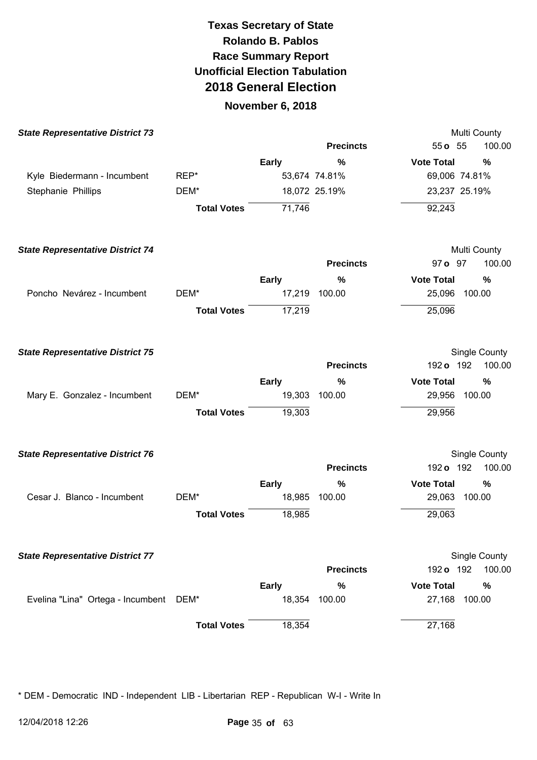### **November 6, 2018**

| <b>State Representative District 73</b> |                    |              |                    | Multi County                                  |
|-----------------------------------------|--------------------|--------------|--------------------|-----------------------------------------------|
|                                         |                    |              | <b>Precincts</b>   | 100.00<br>$55o$ 55                            |
|                                         |                    | <b>Early</b> | %                  | <b>Vote Total</b><br>%                        |
| Kyle Biedermann - Incumbent             | REP*               |              | 53,674 74.81%      | 69,006 74.81%                                 |
| Stephanie Phillips                      | DEM*               |              | 18,072 25.19%      | 23,237 25.19%                                 |
|                                         | <b>Total Votes</b> | 71,746       |                    | 92,243                                        |
| <b>State Representative District 74</b> |                    |              |                    | Multi County                                  |
|                                         |                    |              | <b>Precincts</b>   | 100.00<br>97 o 97                             |
|                                         |                    | <b>Early</b> | %                  | <b>Vote Total</b><br>$\%$                     |
| Poncho Nevárez - Incumbent              | DEM*               | 17,219       | 100.00             | 25,096<br>100.00                              |
|                                         | <b>Total Votes</b> | 17,219       |                    | 25,096                                        |
| <b>State Representative District 75</b> |                    |              |                    | Single County                                 |
|                                         |                    |              | <b>Precincts</b>   | 192 o 192<br>100.00                           |
|                                         |                    | <b>Early</b> | %                  | <b>Vote Total</b><br>%                        |
| Mary E. Gonzalez - Incumbent            | DEM*               | 19,303       | 100.00             | 29,956<br>100.00                              |
|                                         | <b>Total Votes</b> | 19,303       |                    | 29,956                                        |
| <b>State Representative District 76</b> |                    |              |                    | Single County                                 |
|                                         |                    |              | <b>Precincts</b>   | 192 o 192<br>100.00                           |
|                                         |                    | <b>Early</b> | $\%$               | <b>Vote Total</b><br>$\%$                     |
| Cesar J. Blanco - Incumbent             | DEM*               | 18,985       | 100.00             | 100.00<br>29,063                              |
|                                         | <b>Total Votes</b> | 18,985       |                    | 29,063                                        |
| <b>State Representative District 77</b> |                    |              |                    | Single County                                 |
|                                         |                    |              | <b>Precincts</b>   | 100.00<br>192 o 192                           |
| Evelina "Lina" Ortega - Incumbent       | DEM*               | <b>Early</b> | %<br>18,354 100.00 | <b>Vote Total</b><br>$\%$<br>27,168<br>100.00 |
|                                         | <b>Total Votes</b> | 18,354       |                    | 27,168                                        |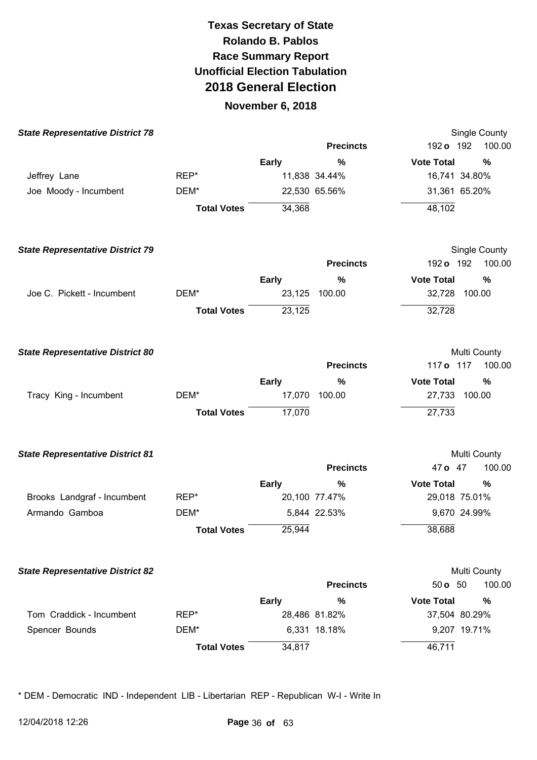### **November 6, 2018**

| <b>State Representative District 78</b> |                    |              |                  | Single County                      |
|-----------------------------------------|--------------------|--------------|------------------|------------------------------------|
|                                         |                    |              | <b>Precincts</b> | 100.00<br>192 <b>o</b> 192         |
|                                         |                    | <b>Early</b> | %                | <b>Vote Total</b><br>$\frac{0}{0}$ |
| Jeffrey Lane                            | REP*               |              | 11,838 34.44%    | 16,741 34.80%                      |
| Joe Moody - Incumbent                   | DEM*               |              | 22,530 65.56%    | 31,361 65.20%                      |
|                                         | <b>Total Votes</b> | 34,368       |                  | 48,102                             |
| <b>State Representative District 79</b> |                    |              |                  | Single County                      |
|                                         |                    |              | <b>Precincts</b> | 192 o 192<br>100.00                |
|                                         |                    | <b>Early</b> | %                | <b>Vote Total</b><br>%             |
| Joe C. Pickett - Incumbent              | DEM*               | 23,125       | 100.00           | 32,728 100.00                      |
|                                         | <b>Total Votes</b> | 23,125       |                  | 32,728                             |
| <b>State Representative District 80</b> |                    |              |                  | Multi County                       |
|                                         |                    |              | <b>Precincts</b> | 117 o 117<br>100.00                |
|                                         |                    | <b>Early</b> | %                | <b>Vote Total</b><br>%             |
| Tracy King - Incumbent                  | DEM*               |              | 17,070 100.00    | 27,733<br>100.00                   |
|                                         | <b>Total Votes</b> | 17,070       |                  | 27,733                             |
| <b>State Representative District 81</b> |                    |              |                  | Multi County                       |
|                                         |                    |              | <b>Precincts</b> | 47 o 47<br>100.00                  |
|                                         |                    | <b>Early</b> | %                | <b>Vote Total</b><br>%             |
| Brooks Landgraf - Incumbent             | REP*               |              | 20,100 77.47%    | 29,018 75.01%                      |
| Armando Gamboa                          | DEM*               |              | 5,844 22.53%     | 9,670 24.99%                       |
|                                         | <b>Total Votes</b> | 25,944       |                  | 38,688                             |
| <b>State Representative District 82</b> |                    |              |                  | Multi County                       |
|                                         |                    |              | <b>Precincts</b> | 100.00<br>50 o 50                  |
|                                         |                    | <b>Early</b> | $\frac{0}{0}$    | <b>Vote Total</b><br>%             |
| Tom Craddick - Incumbent                | REP*               |              | 28,486 81.82%    | 37,504 80.29%                      |
| Spencer Bounds                          | DEM*               |              | 6,331 18.18%     | 9,207 19.71%                       |
|                                         | <b>Total Votes</b> | 34,817       |                  | 46,711                             |
|                                         |                    |              |                  |                                    |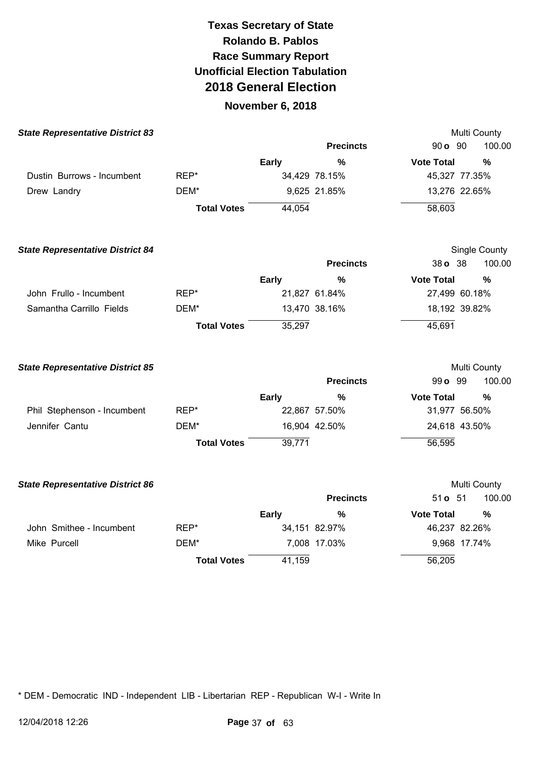### **November 6, 2018**

| <b>State Representative District 83</b> |                    |              |                  |                   | Multi County  |
|-----------------------------------------|--------------------|--------------|------------------|-------------------|---------------|
|                                         |                    |              | <b>Precincts</b> | 90 o 90           | 100.00        |
|                                         |                    | Early        | %                | <b>Vote Total</b> | %             |
| Dustin Burrows - Incumbent              | REP*               |              | 34,429 78.15%    | 45,327 77.35%     |               |
| Drew Landry                             | DEM*               |              | 9,625 21.85%     | 13,276 22.65%     |               |
|                                         | <b>Total Votes</b> | 44,054       |                  | 58,603            |               |
| <b>State Representative District 84</b> |                    |              |                  |                   | Single County |
|                                         |                    |              | <b>Precincts</b> | 38 o 38           | 100.00        |
|                                         |                    | <b>Early</b> | $\frac{0}{0}$    | <b>Vote Total</b> | $\frac{0}{0}$ |
| John Frullo - Incumbent                 | REP*               |              | 21,827 61.84%    | 27,499 60.18%     |               |
| Samantha Carrillo Fields                | DEM*               |              | 13,470 38.16%    | 18,192 39.82%     |               |
|                                         | <b>Total Votes</b> | 35,297       |                  | 45,691            |               |
| <b>State Representative District 85</b> |                    |              |                  |                   | Multi County  |
|                                         |                    |              | <b>Precincts</b> | 99 o 99           | 100.00        |
|                                         |                    | <b>Early</b> | $\%$             | <b>Vote Total</b> | $\%$          |
| Phil Stephenson - Incumbent             | REP*               |              | 22,867 57.50%    | 31,977 56.50%     |               |
| Jennifer Cantu                          | DEM*               |              | 16,904 42.50%    | 24,618 43.50%     |               |
|                                         | <b>Total Votes</b> | 39,771       |                  | 56,595            |               |
| <b>State Representative District 86</b> |                    |              |                  |                   | Multi County  |
|                                         |                    |              | <b>Precincts</b> | 51 <b>o</b> 51    | 100.00        |
|                                         |                    | <b>Early</b> | %                | <b>Vote Total</b> | %             |
| John Smithee - Incumbent                | REP*               |              | 34,151 82.97%    | 46,237 82.26%     |               |
| Mike Purcell                            | DEM*               |              | 7,008 17.03%     | 9,968 17.74%      |               |
|                                         | <b>Total Votes</b> | 41,159       |                  | 56,205            |               |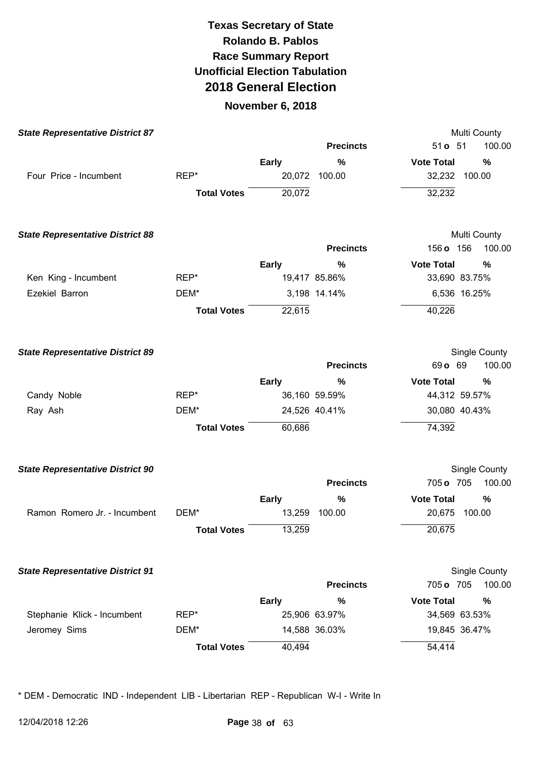### **November 6, 2018**

| <b>State Representative District 87</b> |                    |              |                  | Multi County              |  |
|-----------------------------------------|--------------------|--------------|------------------|---------------------------|--|
|                                         |                    |              | <b>Precincts</b> | 51 <b>o</b> 51<br>100.00  |  |
|                                         |                    | <b>Early</b> | $\%$             | <b>Vote Total</b><br>%    |  |
| Four Price - Incumbent                  | REP*               |              | 20,072 100.00    | 32,232 100.00             |  |
|                                         | <b>Total Votes</b> | 20,072       |                  | 32,232                    |  |
| <b>State Representative District 88</b> |                    |              |                  | Multi County              |  |
|                                         |                    |              | <b>Precincts</b> | 156 o 156<br>100.00       |  |
|                                         |                    | <b>Early</b> | %                | <b>Vote Total</b><br>%    |  |
| Ken King - Incumbent                    | REP*               |              | 19,417 85.86%    | 33,690 83.75%             |  |
| Ezekiel Barron                          | DEM*               |              | 3,198 14.14%     | 6,536 16.25%              |  |
|                                         | <b>Total Votes</b> | 22,615       |                  | 40,226                    |  |
| <b>State Representative District 89</b> |                    |              |                  | Single County             |  |
|                                         |                    |              | <b>Precincts</b> | 69 o 69<br>100.00         |  |
|                                         |                    | <b>Early</b> | %                | <b>Vote Total</b><br>%    |  |
| Candy Noble                             | REP*               |              | 36,160 59.59%    | 44,312 59.57%             |  |
| Ray Ash                                 | DEM*               |              | 24,526 40.41%    | 30,080 40.43%             |  |
|                                         | <b>Total Votes</b> | 60,686       |                  | 74,392                    |  |
| <b>State Representative District 90</b> |                    |              |                  | Single County             |  |
|                                         |                    |              | <b>Precincts</b> | 705 o 705<br>100.00       |  |
|                                         |                    | Early        | $\%$             | <b>Vote Total</b><br>%    |  |
| Ramon Romero Jr. - Incumbent            | DEM*               | 13,259       | 100.00           | 20,675<br>100.00          |  |
|                                         | <b>Total Votes</b> | 13,259       |                  | 20,675                    |  |
| <b>State Representative District 91</b> |                    |              |                  | Single County             |  |
|                                         |                    |              | <b>Precincts</b> | 705 o 705<br>100.00       |  |
|                                         |                    | <b>Early</b> | $\%$             | <b>Vote Total</b><br>$\%$ |  |
| Stephanie Klick - Incumbent             | REP*               |              | 25,906 63.97%    | 34,569 63.53%             |  |
| Jeromey Sims                            | DEM*               |              | 14,588 36.03%    | 19,845 36.47%             |  |
|                                         | <b>Total Votes</b> | 40,494       |                  | 54,414                    |  |
|                                         |                    |              |                  |                           |  |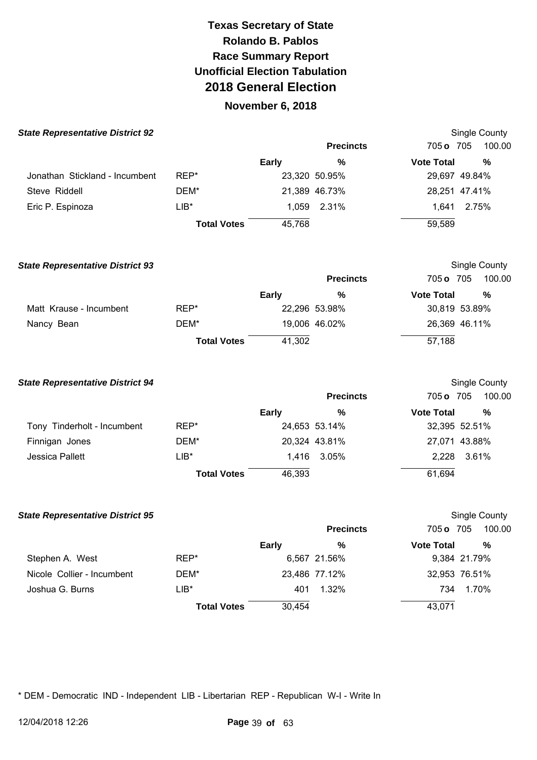## **November 6, 2018**

| <b>State Representative District 92</b> |                    |              |                  |                   | Single County |
|-----------------------------------------|--------------------|--------------|------------------|-------------------|---------------|
|                                         |                    |              | <b>Precincts</b> | 705 o 705         | 100.00        |
|                                         |                    | <b>Early</b> | %                | <b>Vote Total</b> | %             |
| Jonathan Stickland - Incumbent          | REP*               |              | 23,320 50.95%    |                   | 29,697 49.84% |
| Steve Riddell                           | DEM*               |              | 21,389 46.73%    |                   | 28,251 47.41% |
| Eric P. Espinoza                        | $LIB*$             |              | 1,059 2.31%      | 1.641             | 2.75%         |
|                                         | <b>Total Votes</b> | 45,768       |                  | 59,589            |               |

| <b>State Representative District 93</b> |                    |        |                  |                   | Single County |  |
|-----------------------------------------|--------------------|--------|------------------|-------------------|---------------|--|
|                                         |                    |        | <b>Precincts</b> | 705 o 705         | 100.00        |  |
|                                         |                    | Early  | %                | <b>Vote Total</b> | %             |  |
| Matt Krause - Incumbent                 | REP*               |        | 22,296 53.98%    |                   | 30,819 53.89% |  |
| Nancy Bean                              | DEM*               |        | 19,006 46.02%    |                   | 26,369 46.11% |  |
|                                         | <b>Total Votes</b> | 41,302 |                  | 57,188            |               |  |

| <b>State Representative District 94</b> |                    |              |                  |                   | Single County |
|-----------------------------------------|--------------------|--------------|------------------|-------------------|---------------|
|                                         |                    |              | <b>Precincts</b> | 705 o 705         | 100.00        |
|                                         |                    | <b>Early</b> | %                | <b>Vote Total</b> | %             |
| Tony Tinderholt - Incumbent             | REP*               |              | 24,653 53.14%    |                   | 32,395 52.51% |
| Finnigan Jones                          | DEM*               |              | 20,324 43.81%    |                   | 27,071 43.88% |
| Jessica Pallett                         | $LIB*$             |              | 1,416 3.05%      |                   | 2,228 3.61%   |
|                                         | <b>Total Votes</b> | 46,393       |                  | 61,694            |               |

| <b>State Representative District 95</b> |                    |              |                  |                   | Single County |
|-----------------------------------------|--------------------|--------------|------------------|-------------------|---------------|
|                                         |                    |              | <b>Precincts</b> | 705 o 705         | 100.00        |
|                                         |                    | <b>Early</b> | %                | <b>Vote Total</b> | %             |
| Stephen A. West                         | REP*               |              | 6,567 21.56%     |                   | 9,384 21.79%  |
| Nicole Collier - Incumbent              | DEM*               |              | 23,486 77.12%    |                   | 32,953 76.51% |
| Joshua G. Burns                         | $LIB*$             | 401          | 1.32%            | 734               | 1.70%         |
|                                         | <b>Total Votes</b> | 30,454       |                  | 43,071            |               |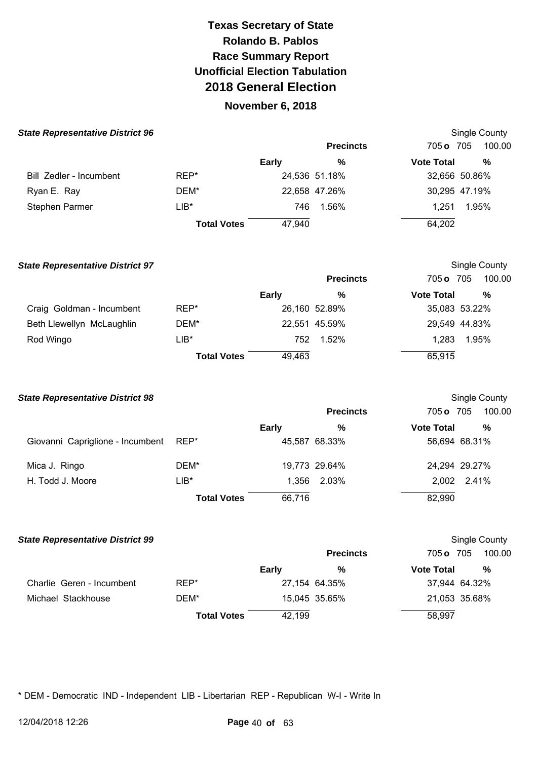### **November 6, 2018**

| <b>State Representative District 96</b> |                    |              |                  |                   | Single County |
|-----------------------------------------|--------------------|--------------|------------------|-------------------|---------------|
|                                         |                    |              | <b>Precincts</b> | 705 o 705         | 100.00        |
|                                         |                    | <b>Early</b> | %                | <b>Vote Total</b> | %             |
| Bill Zedler - Incumbent                 | REP*               |              | 24,536 51.18%    |                   | 32,656 50.86% |
| Ryan E. Ray                             | DEM*               |              | 22,658 47.26%    |                   | 30,295 47.19% |
| Stephen Parmer                          | $LIB*$             | 746          | 1.56%            | 1.251             | 1.95%         |
|                                         | <b>Total Votes</b> | 47,940       |                  | 64,202            |               |

| <b>State Representative District 97</b> |                    |              |                  | Single County     |               |  |
|-----------------------------------------|--------------------|--------------|------------------|-------------------|---------------|--|
|                                         |                    |              | <b>Precincts</b> | 705 o 705         | 100.00        |  |
|                                         |                    | <b>Early</b> | %                | <b>Vote Total</b> | %             |  |
| Craig Goldman - Incumbent               | REP*               |              | 26,160 52.89%    |                   | 35,083 53.22% |  |
| Beth Llewellyn McLaughlin               | DEM*               |              | 22,551 45.59%    |                   | 29,549 44.83% |  |
| Rod Wingo                               | LIB*               | 752          | 1.52%            | 1.283             | 1.95%         |  |
|                                         | <b>Total Votes</b> | 49,463       |                  | 65,915            |               |  |

| <b>State Representative District 98</b> |                    |              |                  |                   | Single County |
|-----------------------------------------|--------------------|--------------|------------------|-------------------|---------------|
|                                         |                    |              | <b>Precincts</b> | 705 o 705         | 100.00        |
|                                         |                    | <b>Early</b> | %                | <b>Vote Total</b> | %             |
| Giovanni Capriglione - Incumbent        | REP*               |              | 45,587 68.33%    |                   | 56,694 68.31% |
| Mica J. Ringo                           | DEM*               |              | 19,773 29.64%    |                   | 24,294 29.27% |
| H. Todd J. Moore                        | $LIB*$             |              | 1,356 2.03%      |                   | 2,002 2.41%   |
|                                         | <b>Total Votes</b> | 66,716       |                  | 82,990            |               |

| <b>State Representative District 99</b> |                    |              |                  |                   | Single County |  |  |
|-----------------------------------------|--------------------|--------------|------------------|-------------------|---------------|--|--|
|                                         |                    |              | <b>Precincts</b> | 705 o 705         | 100.00        |  |  |
|                                         |                    | <b>Early</b> | %                | <b>Vote Total</b> | %             |  |  |
| Charlie Geren - Incumbent               | REP*               |              | 27,154 64.35%    |                   | 37,944 64.32% |  |  |
| Michael Stackhouse                      | DEM*               |              | 15,045 35.65%    |                   | 21,053 35.68% |  |  |
|                                         | <b>Total Votes</b> | 42,199       |                  | 58,997            |               |  |  |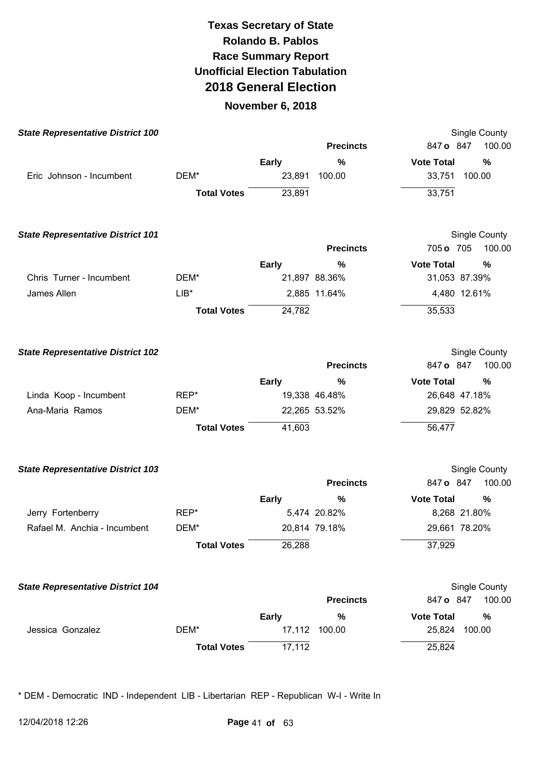#### **November 6, 2018**

| <b>State Representative District 100</b> |                    |              |                  | <b>Single County</b>      |
|------------------------------------------|--------------------|--------------|------------------|---------------------------|
|                                          |                    |              | <b>Precincts</b> | 847 o 847<br>100.00       |
|                                          |                    | <b>Early</b> | $\%$             | <b>Vote Total</b><br>%    |
| Eric Johnson - Incumbent                 | DEM*               | 23,891       | 100.00           | 100.00<br>33,751          |
|                                          | <b>Total Votes</b> | 23,891       |                  | 33,751                    |
| <b>State Representative District 101</b> |                    |              |                  | <b>Single County</b>      |
|                                          |                    |              | <b>Precincts</b> | 100.00<br>705 o 705       |
|                                          |                    | <b>Early</b> | $\%$             | <b>Vote Total</b><br>$\%$ |
| Chris Turner - Incumbent                 | DEM*               |              | 21,897 88.36%    | 31,053 87.39%             |
| James Allen                              | $LIB*$             |              | 2,885 11.64%     | 4,480 12.61%              |
|                                          | <b>Total Votes</b> | 24,782       |                  | 35,533                    |
| <b>State Representative District 102</b> |                    |              |                  | Single County             |
|                                          |                    |              | <b>Precincts</b> | 847 o 847<br>100.00       |
|                                          |                    | <b>Early</b> | %                | <b>Vote Total</b><br>%    |
| Linda Koop - Incumbent                   | REP*               |              | 19,338 46.48%    | 26,648 47.18%             |
| Ana-Maria Ramos                          | DEM*               |              | 22,265 53.52%    | 29,829 52.82%             |
|                                          | <b>Total Votes</b> | 41,603       |                  | 56,477                    |
| <b>State Representative District 103</b> |                    |              |                  | Single County             |
|                                          |                    |              | <b>Precincts</b> | 100.00<br>847 o 847       |
|                                          |                    | <b>Early</b> | %                | <b>Vote Total</b><br>%    |
| Jerry Fortenberry                        | REP*               |              | 5,474 20.82%     | 8,268 21.80%              |
| Rafael M. Anchia - Incumbent             | DEM*               |              | 20,814 79.18%    | 29,661 78.20%             |
|                                          | <b>Total Votes</b> | 26,288       |                  | 37,929                    |
| <b>State Representative District 104</b> |                    |              |                  | Single County             |
|                                          |                    |              | <b>Precincts</b> | 100.00<br>847 o 847       |
|                                          |                    | <b>Early</b> | %                | <b>Vote Total</b><br>%    |
| Jessica Gonzalez                         | DEM*               |              | 17,112 100.00    | 25,824<br>100.00          |
|                                          | <b>Total Votes</b> | 17,112       |                  | 25,824                    |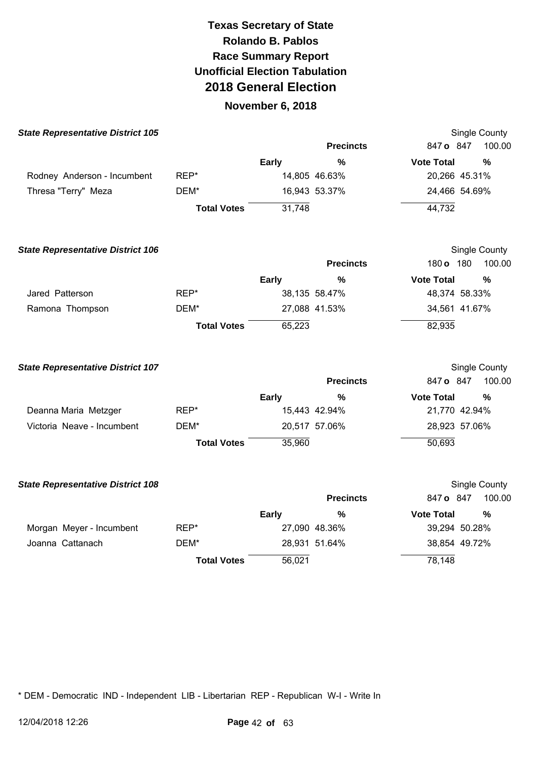### **November 6, 2018**

| <b>State Representative District 105</b> |                    |              |                  |                   | Single County |
|------------------------------------------|--------------------|--------------|------------------|-------------------|---------------|
|                                          |                    |              | <b>Precincts</b> | 847 o 847         | 100.00        |
|                                          |                    | <b>Early</b> | $\frac{0}{0}$    | <b>Vote Total</b> | %             |
| Rodney Anderson - Incumbent              | REP*               |              | 14,805 46.63%    | 20,266 45.31%     |               |
| Thresa "Terry" Meza                      | DEM*               |              | 16,943 53.37%    | 24,466 54.69%     |               |
|                                          | <b>Total Votes</b> | 31,748       |                  | 44,732            |               |
| <b>State Representative District 106</b> |                    |              |                  |                   | Single County |
|                                          |                    |              | <b>Precincts</b> | 180 o 180         | 100.00        |
|                                          |                    | <b>Early</b> | %                | <b>Vote Total</b> | $\frac{0}{0}$ |
| Jared Patterson                          | REP*               |              | 38,135 58.47%    | 48,374 58.33%     |               |
| Ramona Thompson                          | DEM*               |              | 27,088 41.53%    | 34,561 41.67%     |               |
|                                          | <b>Total Votes</b> | 65,223       |                  | 82,935            |               |
| <b>State Representative District 107</b> |                    |              |                  |                   | Single County |
|                                          |                    |              | <b>Precincts</b> | 847 o 847         | 100.00        |
|                                          |                    | <b>Early</b> | %                | <b>Vote Total</b> | $\frac{0}{0}$ |
| Deanna Maria Metzger                     | REP*               |              | 15,443 42.94%    | 21,770 42.94%     |               |
| Victoria Neave - Incumbent               | DEM*               |              | 20,517 57.06%    | 28,923 57.06%     |               |
|                                          | <b>Total Votes</b> | 35,960       |                  | 50,693            |               |
| <b>State Representative District 108</b> |                    |              |                  |                   | Single County |
|                                          |                    |              | <b>Precincts</b> | 847 o 847         | 100.00        |
|                                          |                    | <b>Early</b> | %                | <b>Vote Total</b> | %             |
| Morgan Meyer - Incumbent                 | REP*               |              | 27,090 48.36%    | 39,294 50.28%     |               |
| Joanna Cattanach                         | DEM*               |              | 28,931 51.64%    | 38,854 49.72%     |               |
|                                          | <b>Total Votes</b> | 56,021       |                  | 78,148            |               |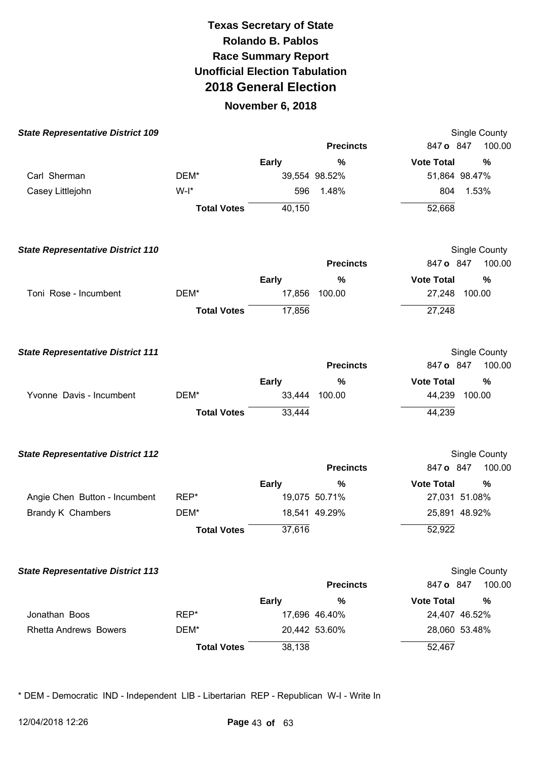### **November 6, 2018**

| <b>State Representative District 109</b> |                    |              |                  |                   | Single County        |
|------------------------------------------|--------------------|--------------|------------------|-------------------|----------------------|
|                                          |                    |              | <b>Precincts</b> | 847 o 847         | 100.00               |
|                                          |                    | <b>Early</b> | %                | <b>Vote Total</b> | %                    |
| Carl Sherman                             | DEM*               |              | 39,554 98.52%    |                   | 51,864 98.47%        |
| Casey Littlejohn                         | $W-I^*$            | 596          | 1.48%            | 804               | 1.53%                |
|                                          | <b>Total Votes</b> | 40,150       |                  | 52,668            |                      |
| <b>State Representative District 110</b> |                    |              |                  |                   | Single County        |
|                                          |                    |              | <b>Precincts</b> | 847 o 847         | 100.00               |
|                                          |                    | <b>Early</b> | $\%$             | <b>Vote Total</b> | %                    |
| Toni Rose - Incumbent                    | DEM*               | 17,856       | 100.00           |                   | 27,248 100.00        |
|                                          | <b>Total Votes</b> | 17,856       |                  | 27,248            |                      |
| <b>State Representative District 111</b> |                    |              |                  |                   | Single County        |
|                                          |                    |              | <b>Precincts</b> | 847 o 847         | 100.00               |
|                                          |                    | <b>Early</b> | $\%$             | <b>Vote Total</b> | %                    |
| Yvonne Davis - Incumbent                 | DEM*               | 33,444       | 100.00           | 44,239            | 100.00               |
|                                          | <b>Total Votes</b> | 33,444       |                  | 44,239            |                      |
| <b>State Representative District 112</b> |                    |              |                  |                   | <b>Single County</b> |
|                                          |                    |              | <b>Precincts</b> | 847 o 847         | 100.00               |
|                                          |                    | <b>Early</b> | %                | <b>Vote Total</b> | %                    |
| Angie Chen Button - Incumbent            | REP*               |              | 19,075 50.71%    |                   | 27,031 51.08%        |
| Brandy K Chambers                        | DEM*               |              | 18,541 49.29%    |                   | 25,891 48.92%        |
|                                          | <b>Total Votes</b> | 37,616       |                  | 52,922            |                      |
| <b>State Representative District 113</b> |                    |              |                  |                   | Single County        |
|                                          |                    |              | <b>Precincts</b> | 847 o 847         | 100.00               |
|                                          |                    | <b>Early</b> | %                | <b>Vote Total</b> | %                    |
| Jonathan Boos                            | REP*               |              | 17,696 46.40%    |                   | 24,407 46.52%        |
| <b>Rhetta Andrews Bowers</b>             | DEM*               |              | 20,442 53.60%    |                   | 28,060 53.48%        |
|                                          | <b>Total Votes</b> | 38,138       |                  | 52,467            |                      |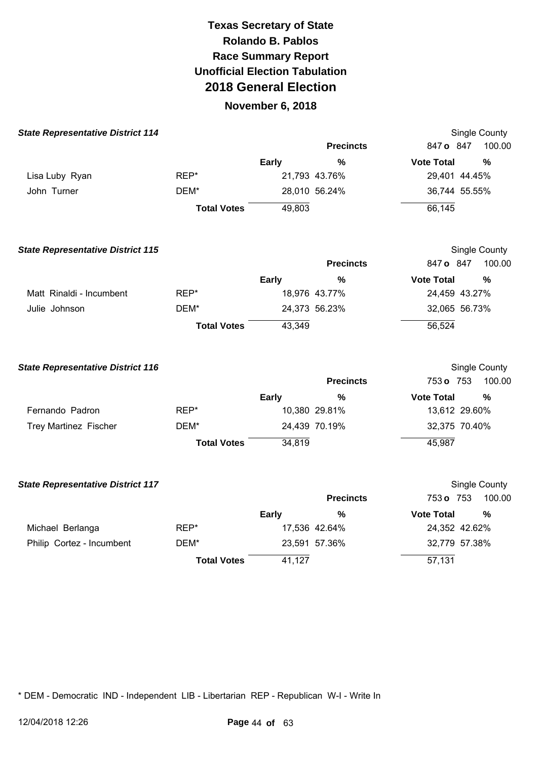### **November 6, 2018**

| <b>State Representative District 114</b> |                    |              |                  | Single County                      |
|------------------------------------------|--------------------|--------------|------------------|------------------------------------|
|                                          |                    |              | <b>Precincts</b> | 100.00<br>847 o 847                |
|                                          |                    | <b>Early</b> | $\frac{0}{0}$    | <b>Vote Total</b><br>$\frac{0}{0}$ |
| Lisa Luby Ryan                           | REP*               |              | 21,793 43.76%    | 29,401 44.45%                      |
| John Turner                              | DEM*               |              | 28,010 56.24%    | 36,744 55.55%                      |
|                                          | <b>Total Votes</b> | 49,803       |                  | 66,145                             |
| <b>State Representative District 115</b> |                    |              |                  | Single County                      |
|                                          |                    |              | <b>Precincts</b> | 847 o 847<br>100.00                |
|                                          |                    | <b>Early</b> | %                | <b>Vote Total</b><br>%             |
| Matt Rinaldi - Incumbent                 | REP*               |              | 18,976 43.77%    | 24,459 43.27%                      |
| Julie Johnson                            | DEM*               |              | 24,373 56.23%    | 32,065 56.73%                      |
|                                          | <b>Total Votes</b> | 43,349       |                  | 56,524                             |
| <b>State Representative District 116</b> |                    |              |                  | Single County                      |
|                                          |                    |              | <b>Precincts</b> | 753 o 753<br>100.00                |
|                                          |                    | <b>Early</b> | %                | <b>Vote Total</b><br>%             |
| Fernando Padron                          | REP*               |              | 10,380 29.81%    | 13,612 29.60%                      |
| Trey Martinez Fischer                    | DEM*               |              | 24,439 70.19%    | 32,375 70.40%                      |
|                                          | <b>Total Votes</b> | 34,819       |                  | 45,987                             |
| <b>State Representative District 117</b> |                    |              |                  | Single County                      |
|                                          |                    |              | <b>Precincts</b> | 100.00<br>753 o 753                |
|                                          |                    | <b>Early</b> | %                | <b>Vote Total</b><br>$\frac{0}{0}$ |
| Michael Berlanga                         | REP*               |              | 17,536 42.64%    | 24,352 42.62%                      |
| Philip Cortez - Incumbent                | DEM*               |              | 23,591 57.36%    | 32,779 57.38%                      |

\* DEM - Democratic IND - Independent LIB - Libertarian REP - Republican W-I - Write In

**Total Votes** 

41,127

57,131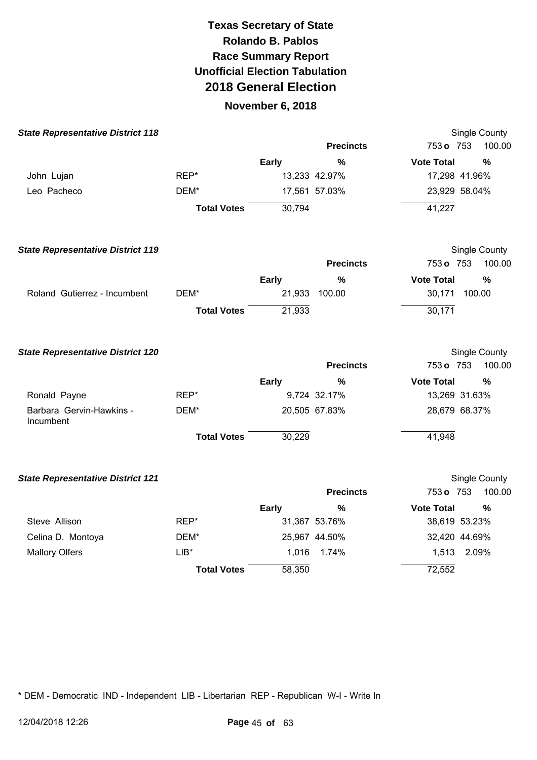### **November 6, 2018**

| <b>State Representative District 118</b> |                    |              |                  |                   | Single County |
|------------------------------------------|--------------------|--------------|------------------|-------------------|---------------|
|                                          |                    |              | <b>Precincts</b> | 753 o 753         | 100.00        |
|                                          |                    | <b>Early</b> | $\frac{0}{0}$    | <b>Vote Total</b> | %             |
| John Lujan                               | REP*               |              | 13,233 42.97%    | 17,298 41.96%     |               |
| Leo Pacheco                              | DEM*               |              | 17,561 57.03%    | 23,929 58.04%     |               |
|                                          | <b>Total Votes</b> | 30,794       |                  | 41,227            |               |
| <b>State Representative District 119</b> |                    |              |                  |                   | Single County |
|                                          |                    |              | <b>Precincts</b> | 753 o 753         | 100.00        |
|                                          |                    | Early        | $\frac{0}{0}$    | <b>Vote Total</b> | %             |
| Roland Gutierrez - Incumbent             | DEM*               |              | 21,933 100.00    | 30,171            | 100.00        |
|                                          | <b>Total Votes</b> | 21,933       |                  | 30,171            |               |
| <b>State Representative District 120</b> |                    |              |                  |                   | Single County |
|                                          |                    |              | <b>Precincts</b> | 753 o 753         | 100.00        |
|                                          |                    | <b>Early</b> | %                | <b>Vote Total</b> | %             |
| Ronald Payne                             | REP*               |              | 9,724 32.17%     | 13,269 31.63%     |               |
| Barbara Gervin-Hawkins -<br>Incumbent    | DEM*               |              | 20,505 67.83%    | 28,679 68.37%     |               |
|                                          | <b>Total Votes</b> | 30,229       |                  | 41,948            |               |
| <b>State Representative District 121</b> |                    |              |                  |                   | Single County |
|                                          |                    |              | <b>Precincts</b> | 753 o 753         | 100.00        |
|                                          |                    | <b>Early</b> | %                | <b>Vote Total</b> | %             |
| Steve Allison                            | REP*               |              | 31,367 53.76%    | 38,619 53.23%     |               |
| Celina D. Montoya                        | DEM*               |              | 25,967 44.50%    | 32,420 44.69%     |               |
| <b>Mallory Olfers</b>                    | $LIB*$             | 1,016        | 1.74%            | 1,513             | 2.09%         |
|                                          | <b>Total Votes</b> | 58,350       |                  | 72,552            |               |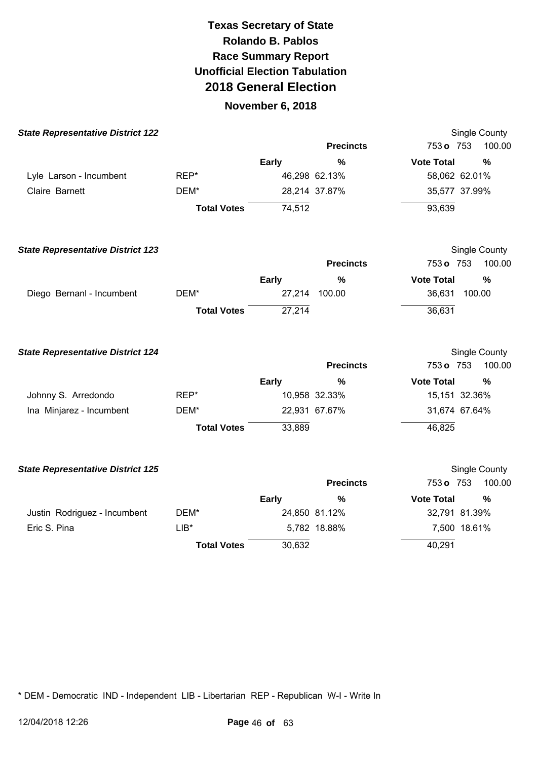### **November 6, 2018**

| <b>State Representative District 122</b> |                    |              |                  | Single County     |               |
|------------------------------------------|--------------------|--------------|------------------|-------------------|---------------|
|                                          |                    |              | <b>Precincts</b> | 753 o 753         | 100.00        |
|                                          |                    | Early        | $\%$             | <b>Vote Total</b> | %             |
| Lyle Larson - Incumbent                  | REP*               |              | 46,298 62.13%    | 58,062 62.01%     |               |
| Claire Barnett                           | DEM*               |              | 28,214 37.87%    | 35,577 37.99%     |               |
|                                          | <b>Total Votes</b> | 74,512       |                  | 93,639            |               |
| <b>State Representative District 123</b> |                    |              |                  | Single County     |               |
|                                          |                    |              | <b>Precincts</b> | 753 o 753         | 100.00        |
|                                          |                    | <b>Early</b> | $\%$             | <b>Vote Total</b> | %             |
| Diego Bernanl - Incumbent                | DEM*               |              | 27,214 100.00    | 36,631<br>100.00  |               |
|                                          | <b>Total Votes</b> | 27,214       |                  | 36,631            |               |
| <b>State Representative District 124</b> |                    |              |                  | Single County     |               |
|                                          |                    |              | <b>Precincts</b> | 753 o 753         | 100.00        |
|                                          |                    | <b>Early</b> | %                | <b>Vote Total</b> | %             |
| Johnny S. Arredondo                      | REP*               |              | 10,958 32.33%    | 15,151 32.36%     |               |
| Ina Minjarez - Incumbent                 | DEM*               |              | 22,931 67.67%    | 31,674 67.64%     |               |
|                                          | <b>Total Votes</b> | 33,889       |                  | 46,825            |               |
| <b>State Representative District 125</b> |                    |              |                  | Single County     |               |
|                                          |                    |              | <b>Precincts</b> | 753 o 753         | 100.00        |
|                                          |                    | Early        | $\frac{0}{0}$    | <b>Vote Total</b> | $\frac{0}{0}$ |
| Justin Rodriguez - Incumbent             | DEM*               |              | 24,850 81.12%    | 32,791 81.39%     |               |
| Eric S. Pina                             | $LIB*$             |              | 5,782 18.88%     | 7,500 18.61%      |               |
|                                          | <b>Total Votes</b> | 30,632       |                  | 40,291            |               |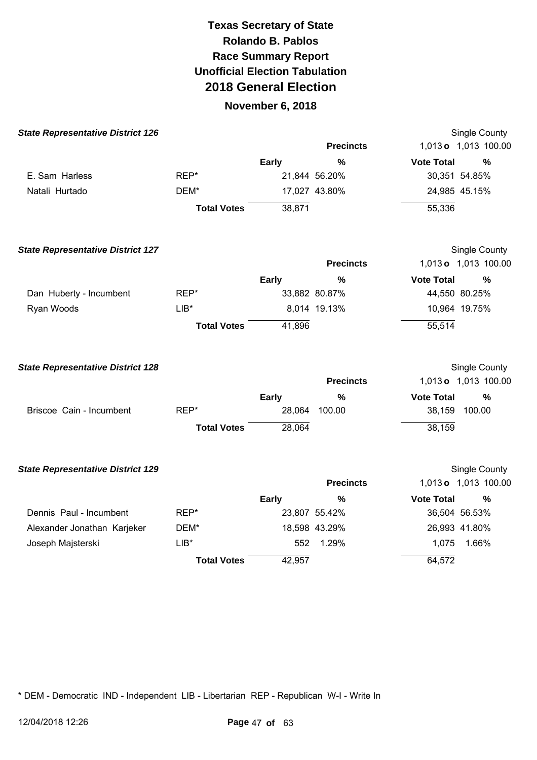### **November 6, 2018**

| <b>State Representative District 126</b> |                    |              |                  |                   | <b>Single County</b> |
|------------------------------------------|--------------------|--------------|------------------|-------------------|----------------------|
|                                          |                    |              | <b>Precincts</b> |                   | 1,013 o 1,013 100.00 |
|                                          |                    | <b>Early</b> | $\frac{0}{0}$    | <b>Vote Total</b> | $\frac{0}{0}$        |
| E. Sam Harless                           | REP*               |              | 21,844 56.20%    | 30,351 54.85%     |                      |
| Natali Hurtado                           | DEM*               |              | 17,027 43.80%    | 24,985 45.15%     |                      |
|                                          | <b>Total Votes</b> | 38,871       |                  | 55,336            |                      |
| <b>State Representative District 127</b> |                    |              |                  |                   | Single County        |
|                                          |                    |              | <b>Precincts</b> |                   | 1,013 o 1,013 100.00 |
|                                          |                    | <b>Early</b> | $\frac{0}{0}$    | <b>Vote Total</b> | %                    |
| Dan Huberty - Incumbent                  | REP*               |              | 33,882 80.87%    | 44,550 80.25%     |                      |
| Ryan Woods                               | $LIB*$             |              | 8,014 19.13%     | 10,964 19.75%     |                      |
|                                          | <b>Total Votes</b> | 41,896       |                  | 55,514            |                      |
| <b>State Representative District 128</b> |                    |              |                  |                   | Single County        |
|                                          |                    |              | <b>Precincts</b> |                   | 1,013 o 1,013 100.00 |
|                                          |                    | <b>Early</b> | %                | <b>Vote Total</b> | %                    |
| Briscoe Cain - Incumbent                 | REP*               | 28,064       | 100.00           | 38,159 100.00     |                      |
|                                          | <b>Total Votes</b> | 28,064       |                  | 38,159            |                      |
| <b>State Representative District 129</b> |                    |              |                  |                   | <b>Single County</b> |
|                                          |                    |              | <b>Precincts</b> |                   | 1,013 o 1,013 100.00 |
|                                          |                    | <b>Early</b> | %                | <b>Vote Total</b> | $\%$                 |
| Dennis Paul - Incumbent                  | REP*               |              | 23,807 55.42%    | 36,504 56.53%     |                      |
| Alexander Jonathan Karjeker              | DEM*               |              | 18,598 43.29%    | 26,993 41.80%     |                      |

\* DEM - Democratic IND - Independent LIB - Libertarian REP - Republican W-I - Write In

LIB\*

**Total Votes** 

Joseph Majsterski

552 1.29%

1,075 1.66%

64,572

42,957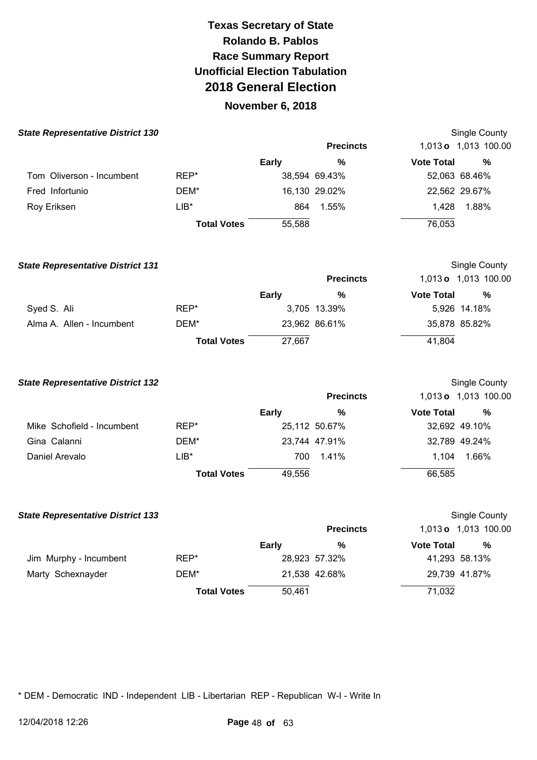### **November 6, 2018**

| <b>State Representative District 130</b> |                    |              |                  |                   | Single County        |  |
|------------------------------------------|--------------------|--------------|------------------|-------------------|----------------------|--|
|                                          |                    |              | <b>Precincts</b> |                   | 1,013 o 1,013 100.00 |  |
|                                          |                    | <b>Early</b> | %                | <b>Vote Total</b> | %                    |  |
| Tom Oliverson - Incumbent                | REP*               |              | 38,594 69.43%    |                   | 52,063 68.46%        |  |
| Fred Infortunio                          | DEM*               |              | 16,130 29.02%    |                   | 22,562 29.67%        |  |
| Roy Eriksen                              | LIB*               | 864          | 1.55%            | 1.428             | 1.88%                |  |
|                                          | <b>Total Votes</b> | 55,588       |                  | 76,053            |                      |  |

| <b>State Representative District 131</b> |                    |              |                  |                   | Single County        |
|------------------------------------------|--------------------|--------------|------------------|-------------------|----------------------|
|                                          |                    |              | <b>Precincts</b> |                   | 1,013 o 1,013 100.00 |
|                                          |                    | <b>Early</b> | %                | <b>Vote Total</b> | %                    |
| Syed S. Ali                              | REP*               |              | 3,705 13.39%     |                   | 5,926 14.18%         |
| Alma A. Allen - Incumbent                | DEM*               |              | 23,962 86.61%    |                   | 35,878 85.82%        |
|                                          | <b>Total Votes</b> | 27,667       |                  | 41,804            |                      |

| <b>State Representative District 132</b> |                    |        |                  |                   | Single County        |
|------------------------------------------|--------------------|--------|------------------|-------------------|----------------------|
|                                          |                    |        | <b>Precincts</b> |                   | 1,013 o 1,013 100.00 |
|                                          |                    | Early  | %                | <b>Vote Total</b> | %                    |
| Mike Schofield - Incumbent               | REP*               |        | 25,112 50.67%    |                   | 32,692 49.10%        |
| Gina Calanni                             | DEM*               |        | 23,744 47.91%    |                   | 32,789 49.24%        |
| Daniel Arevalo                           | $LIB*$             | 700    | 1.41%            | 1.104             | 1.66%                |
|                                          | <b>Total Votes</b> | 49,556 |                  | 66,585            |                      |

| <b>State Representative District 133</b> |                    |              |                  |                   | Single County        |
|------------------------------------------|--------------------|--------------|------------------|-------------------|----------------------|
|                                          |                    |              | <b>Precincts</b> |                   | 1,013 o 1,013 100.00 |
|                                          |                    | <b>Early</b> | %                | <b>Vote Total</b> | %                    |
| Jim Murphy - Incumbent                   | REP*               |              | 28,923 57.32%    |                   | 41,293 58.13%        |
| Marty Schexnayder                        | DEM*               |              | 21,538 42.68%    |                   | 29,739 41.87%        |
|                                          | <b>Total Votes</b> | 50,461       |                  | 71,032            |                      |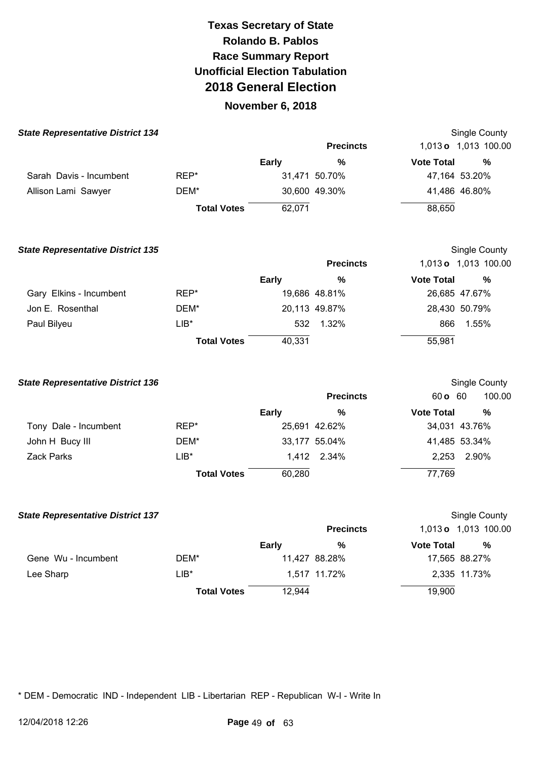### **November 6, 2018**

| <b>State Representative District 134</b> |                    |              |                  |                   | Single County        |
|------------------------------------------|--------------------|--------------|------------------|-------------------|----------------------|
|                                          |                    |              | <b>Precincts</b> |                   | 1,013 o 1,013 100.00 |
|                                          |                    | <b>Early</b> | %                | <b>Vote Total</b> | %                    |
| Sarah Davis - Incumbent                  | REP*               |              | 31,471 50.70%    |                   | 47,164 53.20%        |
| Allison Lami Sawyer                      | DEM*               |              | 30,600 49.30%    |                   | 41,486 46.80%        |
|                                          | <b>Total Votes</b> | 62,071       |                  | 88,650            |                      |

**State Representative District 135**  Gary Elkins - Incumbent Jon E. Rosenthal Paul Bilyeu REP\* DEM\* LIB\* **Total Votes Early**  19,686 48.81% 20,113 49.87% 532 1.32% 40,331 **Precincts %**  Single County 1,013 **o** 1,013 100.00 **Vote Total %**  26,685 47.67% 28,430 50.79% 866 1.55% 55,981

| <b>State Representative District 136</b> |                    |              |                  |                   | Single County |
|------------------------------------------|--------------------|--------------|------------------|-------------------|---------------|
|                                          |                    |              | <b>Precincts</b> | 60 <b>c</b> 60    | 100.00        |
|                                          |                    | <b>Early</b> | %                | <b>Vote Total</b> | %             |
| Tony Dale - Incumbent                    | REP*               |              | 25,691 42.62%    |                   | 34,031 43.76% |
| John H Bucy III                          | DEM*               |              | 33,177 55.04%    |                   | 41,485 53.34% |
| <b>Zack Parks</b>                        | $LIB*$             |              | 1.412 2.34%      | 2.253             | 2.90%         |
|                                          | <b>Total Votes</b> | 60,280       |                  | 77,769            |               |

| <b>State Representative District 137</b> |                    |              |                  |                   | Single County        |
|------------------------------------------|--------------------|--------------|------------------|-------------------|----------------------|
|                                          |                    |              | <b>Precincts</b> |                   | 1,013 o 1,013 100.00 |
|                                          |                    | <b>Early</b> | %                | <b>Vote Total</b> | %                    |
| Gene Wu - Incumbent                      | DEM*               |              | 11,427 88.28%    |                   | 17,565 88.27%        |
| Lee Sharp                                | $LIB*$             |              | 1,517 11.72%     |                   | 2,335 11.73%         |
|                                          | <b>Total Votes</b> | 12,944       |                  | 19,900            |                      |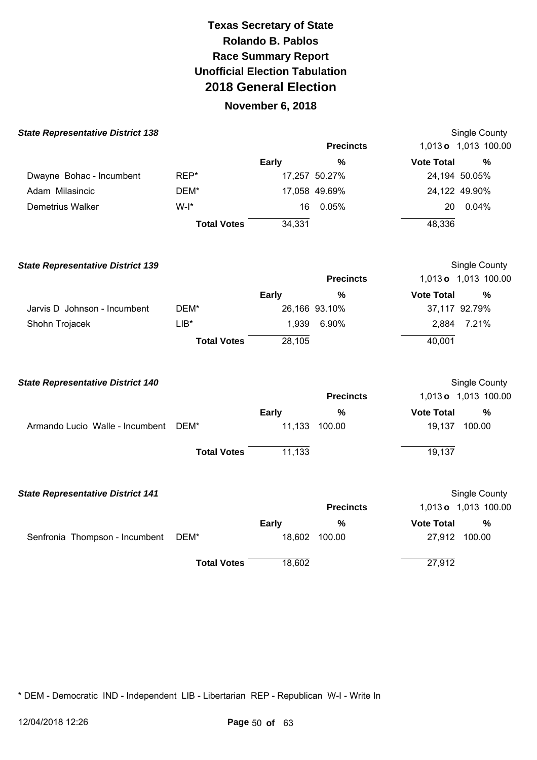### **November 6, 2018**

| <b>State Representative District 138</b> |                    |              |                  | Single County                      |
|------------------------------------------|--------------------|--------------|------------------|------------------------------------|
|                                          |                    |              | <b>Precincts</b> | 1,013 o 1,013 100.00               |
|                                          |                    | <b>Early</b> | $\frac{0}{0}$    | <b>Vote Total</b><br>$\frac{0}{0}$ |
| Dwayne Bohac - Incumbent                 | REP*               |              | 17,257 50.27%    | 24,194 50.05%                      |
| Adam Milasincic                          | DEM*               |              | 17,058 49.69%    | 24,122 49.90%                      |
| <b>Demetrius Walker</b>                  | $W-I^*$            | 16           | 0.05%            | 0.04%<br>20                        |
|                                          | <b>Total Votes</b> | 34,331       |                  | 48,336                             |
| <b>State Representative District 139</b> |                    |              |                  | Single County                      |
|                                          |                    |              | <b>Precincts</b> | 1,013 o 1,013 100.00               |
|                                          |                    | <b>Early</b> | $\frac{0}{0}$    | <b>Vote Total</b><br>%             |
| Jarvis D Johnson - Incumbent             | DEM*               |              | 26,166 93.10%    | 37,117 92.79%                      |
| Shohn Trojacek                           | $LIB*$             |              | 1,939 6.90%      | 2,884<br>7.21%                     |
|                                          | <b>Total Votes</b> | 28,105       |                  | 40,001                             |
| <b>State Representative District 140</b> |                    |              |                  | Single County                      |
|                                          |                    |              | <b>Precincts</b> | 1,013 o 1,013 100.00               |
|                                          |                    | <b>Early</b> | %                | <b>Vote Total</b><br>$\frac{0}{0}$ |
| Armando Lucio Walle - Incumbent          | DEM*               |              | 11,133 100.00    | 19,137 100.00                      |
|                                          | <b>Total Votes</b> | 11,133       |                  | 19, 137                            |
| <b>State Representative District 141</b> |                    |              |                  | Single County                      |
|                                          |                    |              | <b>Precincts</b> | 1,013 o 1,013 100.00               |
|                                          |                    | <b>Early</b> | $\%$             | <b>Vote Total</b><br>%             |
| Senfronia Thompson - Incumbent           | DEM*               |              | 18,602 100.00    | 27,912 100.00                      |
|                                          | <b>Total Votes</b> | 18,602       |                  | 27,912                             |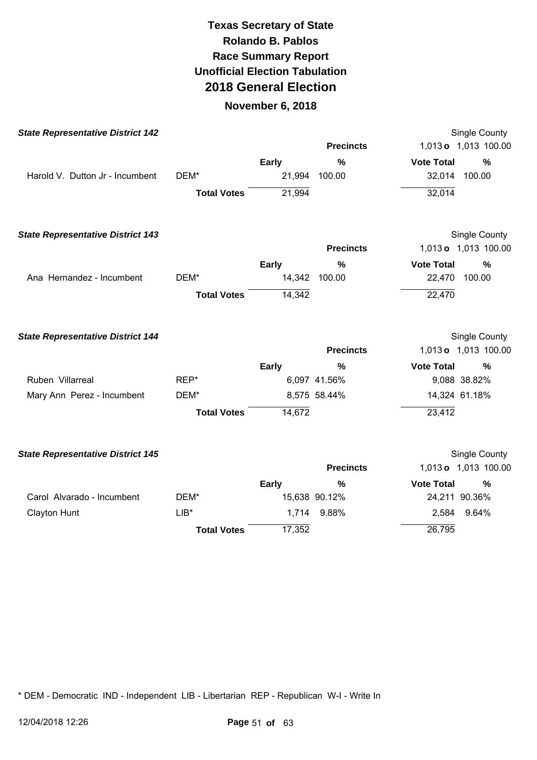### **November 6, 2018**

| <b>State Representative District 142</b> |                    |              |                  |                   | Single County        |
|------------------------------------------|--------------------|--------------|------------------|-------------------|----------------------|
|                                          |                    |              | <b>Precincts</b> |                   | 1,013 o 1,013 100.00 |
|                                          |                    | <b>Early</b> | $\frac{0}{0}$    | <b>Vote Total</b> | $\frac{0}{0}$        |
| Harold V. Dutton Jr - Incumbent          | DEM*               | 21,994       | 100.00           | 32,014            | 100.00               |
|                                          | <b>Total Votes</b> | 21,994       |                  | 32,014            |                      |
| <b>State Representative District 143</b> |                    |              |                  |                   | <b>Single County</b> |
|                                          |                    |              | <b>Precincts</b> |                   | 1,013 o 1,013 100.00 |
|                                          |                    | <b>Early</b> | $\frac{0}{0}$    | <b>Vote Total</b> | $\%$                 |
| Ana Hernandez - Incumbent                | DEM*               |              | 14,342 100.00    | 22,470            | 100.00               |
|                                          | <b>Total Votes</b> | 14,342       |                  | 22,470            |                      |
| <b>State Representative District 144</b> |                    |              |                  |                   | Single County        |
|                                          |                    |              | <b>Precincts</b> |                   | 1,013 o 1,013 100.00 |
|                                          |                    | <b>Early</b> | $\frac{0}{0}$    | <b>Vote Total</b> | $\frac{0}{0}$        |
| Ruben Villarreal                         | REP*               |              | 6,097 41.56%     |                   | 9,088 38.82%         |
| Mary Ann Perez - Incumbent               | DEM*               |              | 8,575 58.44%     |                   | 14,324 61.18%        |
|                                          | <b>Total Votes</b> | 14,672       |                  | 23,412            |                      |
| <b>State Representative District 145</b> |                    |              |                  |                   | Single County        |
|                                          |                    |              | <b>Precincts</b> |                   | 1,013 o 1,013 100.00 |
|                                          |                    | <b>Early</b> | $\%$             | <b>Vote Total</b> | %                    |
| Carol Alvarado - Incumbent               | DEM*               |              | 15,638 90.12%    |                   | 24,211 90.36%        |
| Clayton Hunt                             | $LIB*$             | 1,714        | 9.88%            | 2,584             | 9.64%                |
|                                          | <b>Total Votes</b> | 17,352       |                  | 26,795            |                      |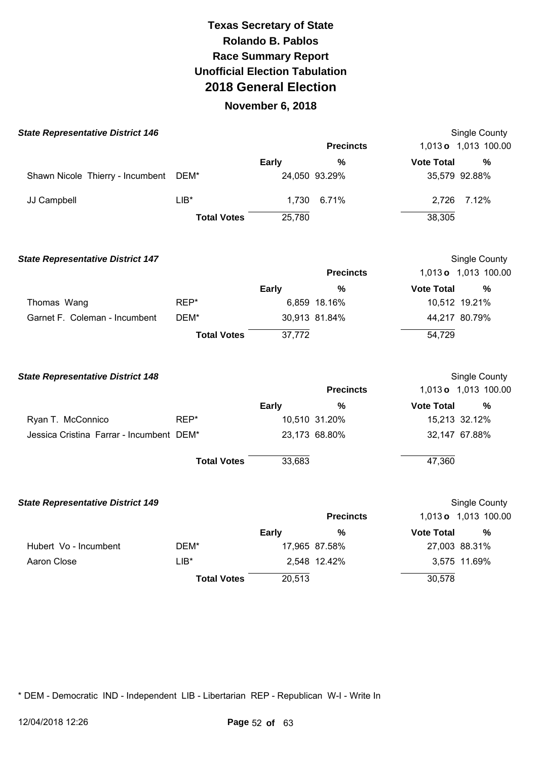#### **November 6, 2018**

| <b>State Representative District 146</b> |                    |        |                  |                   | Single County        |
|------------------------------------------|--------------------|--------|------------------|-------------------|----------------------|
|                                          |                    |        | <b>Precincts</b> |                   | 1,013 o 1,013 100.00 |
|                                          |                    | Early  | %                | <b>Vote Total</b> | %                    |
| Shawn Nicole Thierry - Incumbent         | DEM*               |        | 24,050 93.29%    |                   | 35,579 92.88%        |
| JJ Campbell                              | $LIB*$             |        | 1,730 6.71%      |                   | 2,726 7.12%          |
|                                          | <b>Total Votes</b> | 25,780 |                  | 38,305            |                      |

**State Representative District 147**  Thomas Wang Garnet F. Coleman - Incumbent REP\* DEM\* **Total Votes Early**  6,859 18.16% 30,913 81.84% 37,772 **Precincts %**  Single County 1,013 **o** 1,013 100.00 **Vote Total %**  10,512 19.21% 44,217 80.79% 54,729

| <b>State Representative District 148</b> |                    |              |                  |                   | Single County        |
|------------------------------------------|--------------------|--------------|------------------|-------------------|----------------------|
|                                          |                    |              | <b>Precincts</b> |                   | 1,013 o 1,013 100.00 |
|                                          |                    | <b>Early</b> | %                | <b>Vote Total</b> | %                    |
| Ryan T. McConnico                        | REP*               |              | 10,510 31.20%    |                   | 15,213 32.12%        |
| Jessica Cristina Farrar - Incumbent DEM* |                    |              | 23,173 68.80%    |                   | 32,147 67.88%        |
|                                          | <b>Total Votes</b> | 33,683       |                  | 47,360            |                      |

| <b>State Representative District 149</b> |                    |        |                  |                   | Single County        |
|------------------------------------------|--------------------|--------|------------------|-------------------|----------------------|
|                                          |                    |        | <b>Precincts</b> |                   | 1,013 o 1,013 100.00 |
|                                          |                    | Early  | %                | <b>Vote Total</b> | %                    |
| Hubert Vo - Incumbent                    | DEM*               |        | 17,965 87.58%    |                   | 27,003 88.31%        |
| Aaron Close                              | LIB*               |        | 2,548 12.42%     |                   | 3,575 11.69%         |
|                                          | <b>Total Votes</b> | 20,513 |                  | 30,578            |                      |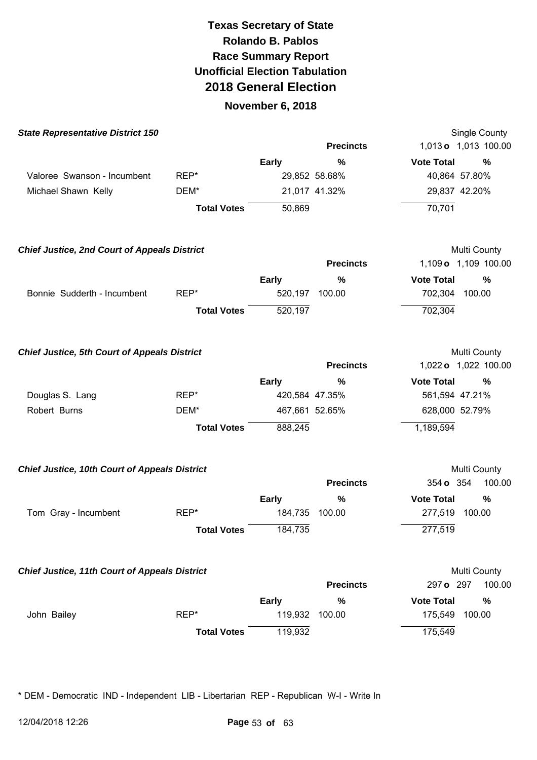### **November 6, 2018**

| <b>State Representative District 150</b>             |                    |              |                  | Single County                      |
|------------------------------------------------------|--------------------|--------------|------------------|------------------------------------|
|                                                      |                    |              | <b>Precincts</b> | 1,013 o 1,013 100.00               |
|                                                      |                    | <b>Early</b> | %                | <b>Vote Total</b><br>%             |
| Valoree Swanson - Incumbent                          | REP*               |              | 29,852 58.68%    | 40,864 57.80%                      |
| Michael Shawn Kelly                                  | DEM*               |              | 21,017 41.32%    | 29,837 42.20%                      |
|                                                      | <b>Total Votes</b> | 50,869       |                  | 70,701                             |
| <b>Chief Justice, 2nd Court of Appeals District</b>  |                    |              |                  | Multi County                       |
|                                                      |                    |              | <b>Precincts</b> | 1,109 o 1,109 100.00               |
|                                                      |                    | <b>Early</b> | $\frac{9}{6}$    | <b>Vote Total</b><br>$\frac{9}{6}$ |
| Bonnie Sudderth - Incumbent                          | REP*               | 520,197      | 100.00           | 702,304<br>100.00                  |
|                                                      | <b>Total Votes</b> | 520,197      |                  | 702,304                            |
| <b>Chief Justice, 5th Court of Appeals District</b>  |                    |              |                  | Multi County                       |
|                                                      |                    |              | <b>Precincts</b> | 1,022 o 1,022 100.00               |
|                                                      |                    | <b>Early</b> | %                | <b>Vote Total</b><br>%             |
| Douglas S. Lang                                      | REP*               |              | 420,584 47.35%   | 561,594 47.21%                     |
| Robert Burns                                         | DEM*               |              | 467,661 52.65%   | 628,000 52.79%                     |
|                                                      | <b>Total Votes</b> | 888,245      |                  | 1,189,594                          |
| <b>Chief Justice, 10th Court of Appeals District</b> |                    |              |                  | Multi County                       |
|                                                      |                    |              | <b>Precincts</b> | 354 o 354<br>100.00                |
|                                                      |                    | <b>Early</b> | %                | <b>Vote Total</b><br>%             |
| Tom Gray - Incumbent                                 | REP*               | 184,735      | 100.00           | 277,519 100.00                     |
|                                                      | <b>Total Votes</b> | 184,735      |                  | 277,519                            |
| <b>Chief Justice, 11th Court of Appeals District</b> |                    |              |                  | Multi County                       |
|                                                      |                    |              | <b>Precincts</b> | 100.00<br>297 o 297                |
|                                                      |                    | <b>Early</b> | %                | <b>Vote Total</b><br>%             |
| John Bailey                                          | REP*               | 119,932      | 100.00           | 175,549<br>100.00                  |
|                                                      | <b>Total Votes</b> | 119,932      |                  | 175,549                            |
|                                                      |                    |              |                  |                                    |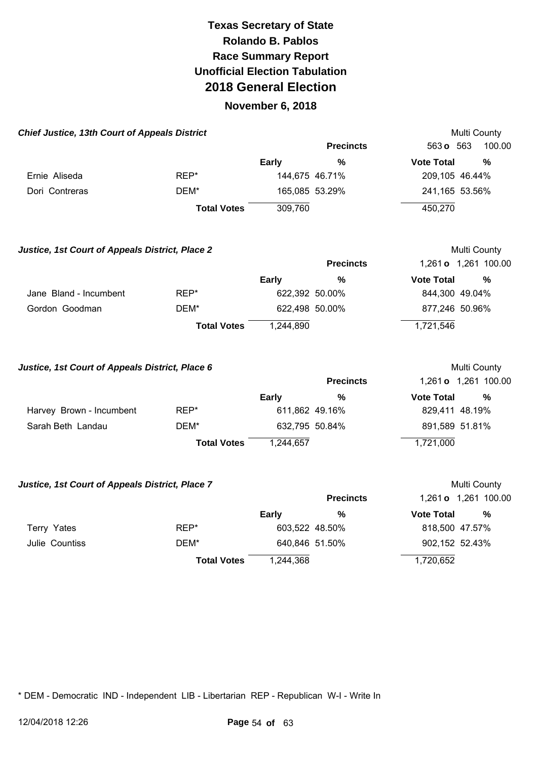#### **November 6, 2018**

| <b>Chief Justice, 13th Court of Appeals District</b>   |                    |                |                  | Multi County                                |
|--------------------------------------------------------|--------------------|----------------|------------------|---------------------------------------------|
|                                                        |                    |                | <b>Precincts</b> | 100.00<br>563 o 563                         |
|                                                        |                    | <b>Early</b>   | $\%$             | <b>Vote Total</b><br>$\%$                   |
| Ernie Aliseda                                          | REP*               |                | 144,675 46.71%   | 209,105 46.44%                              |
| Dori Contreras                                         | DEM*               |                | 165,085 53.29%   | 241,165 53.56%                              |
|                                                        | <b>Total Votes</b> | 309,760        |                  | 450,270                                     |
| <b>Justice, 1st Court of Appeals District, Place 2</b> |                    |                | <b>Precincts</b> | Multi County<br>1,261 <b>o</b> 1,261 100.00 |
|                                                        |                    | <b>Early</b>   | %                | <b>Vote Total</b><br>$\%$                   |
| Jane Bland - Incumbent                                 | REP*               | 622,392 50.00% |                  | 844,300 49.04%                              |
| Gordon Goodman                                         | DEM*               |                | 622,498 50.00%   | 877,246 50.96%                              |
|                                                        | <b>Total Votes</b> | 1,244,890      |                  | 1,721,546                                   |
| Justice, 1st Court of Appeals District, Place 6        |                    |                |                  | Multi County                                |
|                                                        |                    |                | <b>Precincts</b> | 1,261 <b>o</b> 1,261 100.00                 |
|                                                        |                    | <b>Early</b>   | %                | %<br><b>Vote Total</b>                      |

|                          |                    | <b>Early</b>   | 70 | vote rotal     | -70 |
|--------------------------|--------------------|----------------|----|----------------|-----|
| Harvey Brown - Incumbent | REP*               | 611.862 49.16% |    | 829,411 48.19% |     |
| Sarah Beth Landau        | DEM*               | 632.795 50.84% |    | 891,589 51.81% |     |
|                          | <b>Total Votes</b> | 1.244.657      |    | 1,721,000      |     |

#### **Justice, 1st Court of Appeals District, Place 7 Multi County Multi County**

|                |                    |                | <b>Precincts</b> |                   | 1,261 <b>o</b> 1,261 100.00 |
|----------------|--------------------|----------------|------------------|-------------------|-----------------------------|
|                |                    | Early          | %                | <b>Vote Total</b> | %                           |
| Terry Yates    | REP*               | 603,522 48.50% |                  | 818,500 47.57%    |                             |
| Julie Countiss | DEM*               | 640,846 51.50% |                  | 902,152 52.43%    |                             |
|                | <b>Total Votes</b> | 1,244,368      |                  | 1,720,652         |                             |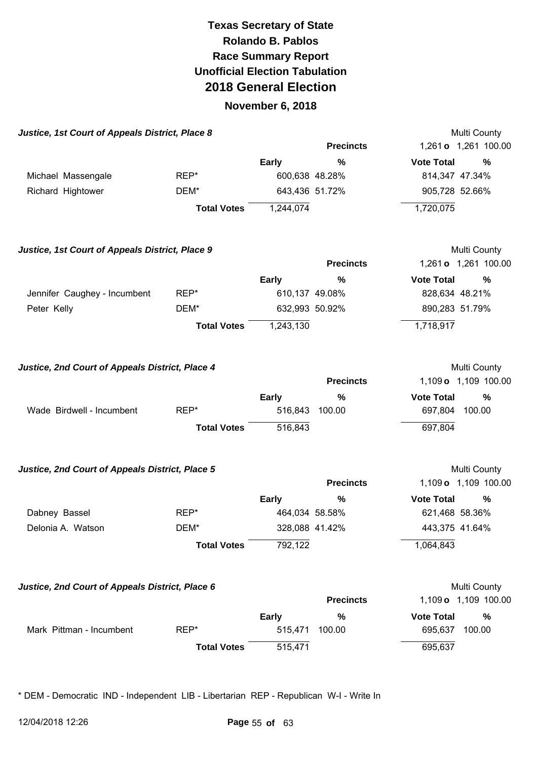#### **November 6, 2018**

| Justice, 1st Court of Appeals District, Place 8 |                    |                |                  | Multi County                         |
|-------------------------------------------------|--------------------|----------------|------------------|--------------------------------------|
|                                                 |                    |                | <b>Precincts</b> | 1,261 o 1,261 100.00                 |
|                                                 |                    | <b>Early</b>   | %                | <b>Vote Total</b><br>%               |
| Michael Massengale                              | REP*               |                | 600,638 48.28%   | 814,347 47.34%                       |
| Richard Hightower                               | DEM*               | 643,436 51.72% |                  | 905,728 52.66%                       |
|                                                 | <b>Total Votes</b> | 1,244,074      |                  | 1,720,075                            |
| Justice, 1st Court of Appeals District, Place 9 |                    |                |                  | Multi County                         |
|                                                 |                    |                | <b>Precincts</b> | 1,261 o 1,261 100.00                 |
|                                                 |                    | <b>Early</b>   | $\%$             | $\frac{0}{0}$<br><b>Vote Total</b>   |
| Jennifer Caughey - Incumbent                    | REP*               | 610,137 49.08% |                  | 828,634 48.21%                       |
| Peter Kelly                                     | DEM*               | 632,993 50.92% |                  | 890,283 51.79%                       |
|                                                 | <b>Total Votes</b> | 1,243,130      |                  | 1,718,917                            |
| Justice, 2nd Court of Appeals District, Place 4 |                    |                | <b>Precincts</b> | Multi County<br>1,109 o 1,109 100.00 |
|                                                 |                    | <b>Early</b>   | $\frac{0}{0}$    | <b>Vote Total</b><br>%               |
| Wade Birdwell - Incumbent                       | REP*               | 516,843        | 100.00           | 697,804<br>100.00                    |
|                                                 | <b>Total Votes</b> | 516,843        |                  | 697,804                              |
| Justice, 2nd Court of Appeals District, Place 5 |                    |                |                  | Multi County                         |
|                                                 |                    |                | <b>Precincts</b> | 1,109 o 1,109 100.00                 |
|                                                 |                    | <b>Early</b>   | $\%$             | <b>Vote Total</b><br>%               |
| Dabney Bassel                                   | REP*               | 464,034 58.58% |                  | 621,468 58.36%                       |
| Delonia A. Watson                               | DEM*               | 328,088 41.42% |                  | 443,375 41.64%                       |
|                                                 | <b>Total Votes</b> | 792,122        |                  | 1,064,843                            |
| Justice, 2nd Court of Appeals District, Place 6 |                    |                |                  | Multi County                         |
|                                                 |                    |                | <b>Precincts</b> | 1,109 o 1,109 100.00                 |
|                                                 |                    | <b>Early</b>   | %                | <b>Vote Total</b><br>%               |

**Total Votes** 515,471 695,637

Mark Pittman - Incumbent REP\* 615,471 100.00 695,637 100.00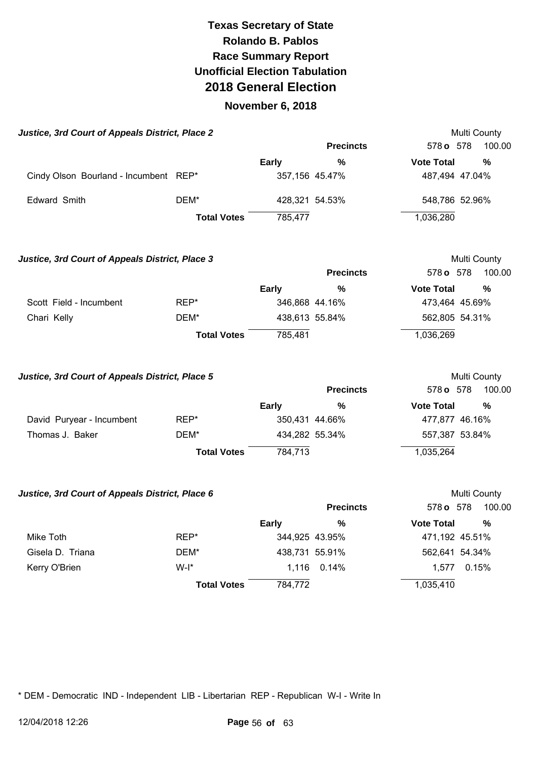#### **November 6, 2018**

| Justice, 3rd Court of Appeals District, Place 2 |                                       |                    |                |                  |                   | <b>Multi County</b> |  |
|-------------------------------------------------|---------------------------------------|--------------------|----------------|------------------|-------------------|---------------------|--|
|                                                 |                                       |                    |                | <b>Precincts</b> | 578 o 578         | 100.00              |  |
|                                                 |                                       |                    | Early          | %                | <b>Vote Total</b> | %                   |  |
|                                                 | Cindy Olson Bourland - Incumbent REP* |                    | 357,156 45.47% |                  | 487,494 47.04%    |                     |  |
|                                                 | Edward Smith                          | DEM*               | 428,321 54.53% |                  | 548,786 52.96%    |                     |  |
|                                                 |                                       | <b>Total Votes</b> | 785.477        |                  | 1,036,280         |                     |  |

**Justice, 3rd Court of Appeals District, Place 3 Multi County Multi County Precincts** 578 **o** 578 100.00 **Early % Vote Total %**  Scott Field - Incumbent REP\* 346,868 44.16% 473,464 45.69% Chari Kelly **DEM<sup>\*</sup>** DEM<sup>\*</sup> 438,613 55.84% 562,805 54.31% **Total Votes** 785,481 1,036,269

| Justice, 3rd Court of Appeals District, Place 5 |                    |                |                  | Multi County      |        |
|-------------------------------------------------|--------------------|----------------|------------------|-------------------|--------|
|                                                 |                    |                | <b>Precincts</b> | 578 <b>o</b> 578  | 100.00 |
|                                                 |                    | <b>Early</b>   | $\%$             | <b>Vote Total</b> | %      |
| David Puryear - Incumbent                       | $REP^*$            |                | 350,431 44.66%   | 477.877 46.16%    |        |
| Thomas J. Baker                                 | DEM*               | 434,282 55.34% |                  | 557,387 53.84%    |        |
|                                                 | <b>Total Votes</b> | 784.713        |                  | 1,035,264         |        |

| Justice, 3rd Court of Appeals District, Place 6 |                    |                |                  |                   | Multi County |
|-------------------------------------------------|--------------------|----------------|------------------|-------------------|--------------|
|                                                 |                    |                | <b>Precincts</b> | 578 <b>o</b> 578  | 100.00       |
|                                                 |                    | <b>Early</b>   | $\%$             | <b>Vote Total</b> | $\%$         |
| Mike Toth                                       | REP*               | 344,925 43.95% |                  | 471,192 45.51%    |              |
| Gisela D. Triana                                | DEM*               | 438,731 55.91% |                  | 562,641 54.34%    |              |
| Kerry O'Brien                                   | $W-I^*$            |                | 1,116 0.14%      | 1.577             | 0.15%        |
|                                                 | <b>Total Votes</b> | 784,772        |                  | 1,035,410         |              |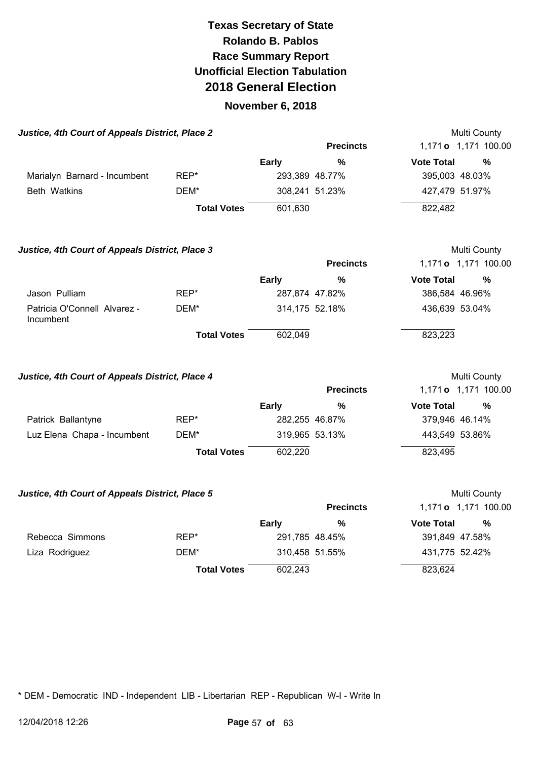#### **November 6, 2018**

| Justice, 4th Court of Appeals District, Place 2 |                    |              |                  |                   | Multi County                |
|-------------------------------------------------|--------------------|--------------|------------------|-------------------|-----------------------------|
|                                                 |                    |              | <b>Precincts</b> |                   | 1,171 <b>o</b> 1,171 100.00 |
|                                                 |                    | <b>Early</b> | %                | <b>Vote Total</b> | %                           |
| Marialyn Barnard - Incumbent                    | REP*               |              | 293,389 48.77%   | 395,003 48.03%    |                             |
| Beth Watkins                                    | DEM*               |              | 308,241 51.23%   | 427,479 51.97%    |                             |
|                                                 | <b>Total Votes</b> | 601,630      |                  | 822,482           |                             |
| Justice, 4th Court of Appeals District, Place 3 |                    |              |                  |                   | Multi County                |
|                                                 |                    |              | <b>Precincts</b> |                   | 1,171 o 1,171 100.00        |

|                                           |                    | Early          | % | <b>Vote Total</b> | % |
|-------------------------------------------|--------------------|----------------|---|-------------------|---|
| Jason Pulliam                             | REP*               | 287,874 47.82% |   | 386,584 46.96%    |   |
| Patricia O'Connell Alvarez -<br>Incumbent | DEM*               | 314,175 52.18% |   | 436,639 53.04%    |   |
|                                           | <b>Total Votes</b> | 602.049        |   | 823,223           |   |

| Justice, 4th Court of Appeals District, Place 4 |                    |              |                  | Multi County      |                      |
|-------------------------------------------------|--------------------|--------------|------------------|-------------------|----------------------|
|                                                 |                    |              | <b>Precincts</b> |                   | 1,171 o 1,171 100.00 |
|                                                 |                    | <b>Early</b> | %                | <b>Vote Total</b> | %                    |
| Patrick Ballantyne                              | REP*               |              | 282,255 46.87%   | 379,946 46.14%    |                      |
| Luz Elena Chapa - Incumbent                     | DEM*               |              | 319,965 53.13%   | 443,549 53.86%    |                      |
|                                                 | <b>Total Votes</b> | 602,220      |                  | 823,495           |                      |

| Justice, 4th Court of Appeals District, Place 5 |  |  |  |
|-------------------------------------------------|--|--|--|
|                                                 |  |  |  |

| Justice, 4th Court of Appeals District, Place 5 |                    |                |                  | Multi County      |                             |
|-------------------------------------------------|--------------------|----------------|------------------|-------------------|-----------------------------|
|                                                 |                    |                | <b>Precincts</b> |                   | 1,171 <b>o</b> 1,171 100.00 |
|                                                 |                    | Early          | $\frac{0}{0}$    | <b>Vote Total</b> | %                           |
| Rebecca Simmons                                 | REP*               | 291,785 48.45% |                  | 391,849 47.58%    |                             |
| Liza Rodriguez                                  | DEM*               | 310,458 51.55% |                  | 431,775 52.42%    |                             |
|                                                 | <b>Total Votes</b> | 602,243        |                  | 823,624           |                             |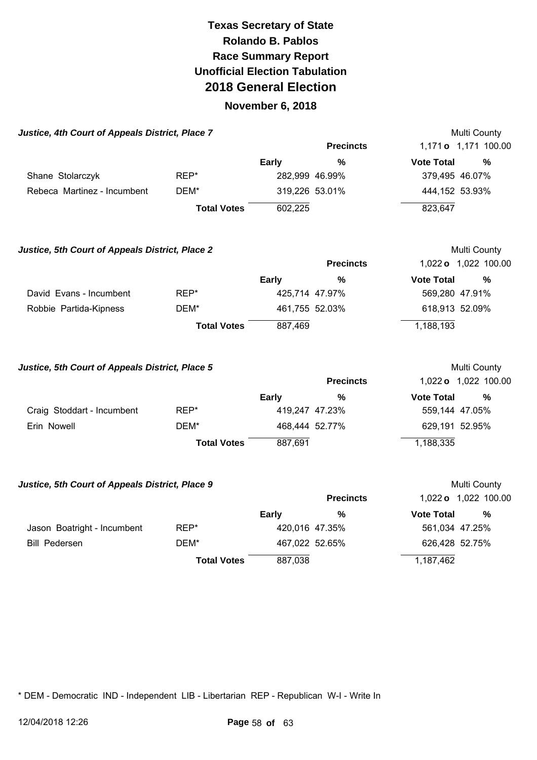#### **November 6, 2018**

| Justice, 4th Court of Appeals District, Place 7 |                    |              |                  | Multi County                |              |
|-------------------------------------------------|--------------------|--------------|------------------|-----------------------------|--------------|
|                                                 |                    |              | <b>Precincts</b> | 1,171 <b>o</b> 1,171 100.00 |              |
|                                                 |                    | <b>Early</b> | %                | <b>Vote Total</b>           | ℅            |
| Shane Stolarczyk                                | REP*               |              | 282,999 46.99%   | 379,495 46.07%              |              |
| Rebeca Martinez - Incumbent                     | DEM*               |              | 319,226 53.01%   | 444,152 53.93%              |              |
|                                                 | <b>Total Votes</b> | 602,225      |                  | 823,647                     |              |
| Justice, 5th Court of Appeals District, Place 2 |                    |              |                  |                             | Multi County |

|                         |                    |                | <b>Precincts</b> |                   | 1,022 o 1,022 100.00 |
|-------------------------|--------------------|----------------|------------------|-------------------|----------------------|
|                         |                    | Early          | %                | <b>Vote Total</b> | %                    |
| David Evans - Incumbent | REP*               | 425,714 47.97% |                  |                   | 569,280 47.91%       |
| Robbie Partida-Kipness  | DEM*               | 461,755 52.03% |                  |                   | 618,913 52.09%       |
|                         | <b>Total Votes</b> | 887,469        |                  | 1,188,193         |                      |

| Justice, 5th Court of Appeals District, Place 5 |                    | <b>Multi County</b> |                  |                   |                      |
|-------------------------------------------------|--------------------|---------------------|------------------|-------------------|----------------------|
|                                                 |                    |                     | <b>Precincts</b> |                   | 1,022 o 1,022 100.00 |
|                                                 |                    | Early               | %                | <b>Vote Total</b> | %                    |
| Craig Stoddart - Incumbent                      | REP*               | 419,247 47.23%      |                  | 559,144 47.05%    |                      |
| Erin Nowell                                     | DEM*               | 468,444 52.77%      |                  | 629,191 52.95%    |                      |
|                                                 | <b>Total Votes</b> | 887,691             |                  | 1,188,335         |                      |

#### **Justice, 5th Court of Appeals District, Place 9 <br>
Multi County**

|                             |                    |                | <b>Precincts</b> |                   | 1,022 o 1,022 100.00 |
|-----------------------------|--------------------|----------------|------------------|-------------------|----------------------|
|                             |                    | Early          | %                | <b>Vote Total</b> | %                    |
| Jason Boatright - Incumbent | REP*               | 420,016 47.35% |                  | 561,034 47.25%    |                      |
| <b>Bill Pedersen</b>        | DEM*               | 467,022 52.65% |                  | 626,428 52.75%    |                      |
|                             | <b>Total Votes</b> | 887,038        |                  | 1,187,462         |                      |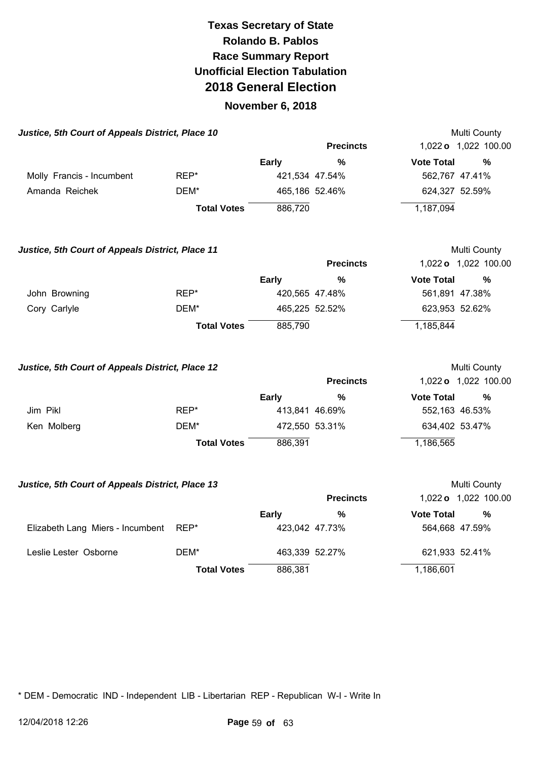#### **November 6, 2018**

| Justice, 5th Court of Appeals District, Place 10 |                    |              |                  | Multi County                  |
|--------------------------------------------------|--------------------|--------------|------------------|-------------------------------|
|                                                  |                    |              | <b>Precincts</b> | 1,022 o 1,022 100.00          |
|                                                  |                    | <b>Early</b> | %                | <b>Vote Total</b><br>%        |
| Molly Francis - Incumbent                        | REP*               |              | 421,534 47.54%   | 562,767 47.41%                |
| Amanda Reichek                                   | DEM*               |              | 465,186 52.46%   | 624,327 52.59%                |
|                                                  | <b>Total Votes</b> | 886,720      |                  | 1,187,094                     |
| Justice, 5th Court of Appeals District, Place 11 |                    |              |                  | Multi County                  |
|                                                  |                    |              | <b>Draainata</b> | $1.000 \times 1.000$ $100.00$ |

|               |                    |                | <b>Precincts</b> |                   | 1,022 o 1,022 100.00 |
|---------------|--------------------|----------------|------------------|-------------------|----------------------|
|               |                    | Early          | %                | <b>Vote Total</b> | $\frac{0}{0}$        |
| John Browning | REP*               | 420,565 47.48% |                  | 561,891 47.38%    |                      |
| Cory Carlyle  | DEM*               | 465,225 52.52% |                  | 623,953 52.62%    |                      |
|               | <b>Total Votes</b> | 885,790        |                  | 1,185,844         |                      |

| Justice, 5th Court of Appeals District, Place 12 |                    |                |                  |                   | Multi County         |
|--------------------------------------------------|--------------------|----------------|------------------|-------------------|----------------------|
|                                                  |                    |                | <b>Precincts</b> |                   | 1,022 o 1,022 100.00 |
|                                                  |                    | Early          | %                | <b>Vote Total</b> | %                    |
| Jim Pikl                                         | REP*               | 413,841 46.69% |                  | 552,163 46.53%    |                      |
| Ken Molberg                                      | DEM*               | 472,550 53.31% |                  | 634,402 53.47%    |                      |
|                                                  | <b>Total Votes</b> | 886.391        |                  | 1,186,565         |                      |

#### **Justice, 5th Court of Appeals District, Place 13 Multi County Multi County**

|                                  |                    |         | <b>Precincts</b> |                   | 1,022 o 1,022 100.00 |
|----------------------------------|--------------------|---------|------------------|-------------------|----------------------|
|                                  |                    | Early   | %                | <b>Vote Total</b> | %                    |
| Elizabeth Lang Miers - Incumbent | REP*               |         | 423,042 47.73%   |                   | 564,668 47.59%       |
| Leslie Lester Osborne            | DEM*               |         | 463,339 52.27%   | 621,933 52.41%    |                      |
|                                  | <b>Total Votes</b> | 886,381 |                  | 1,186,601         |                      |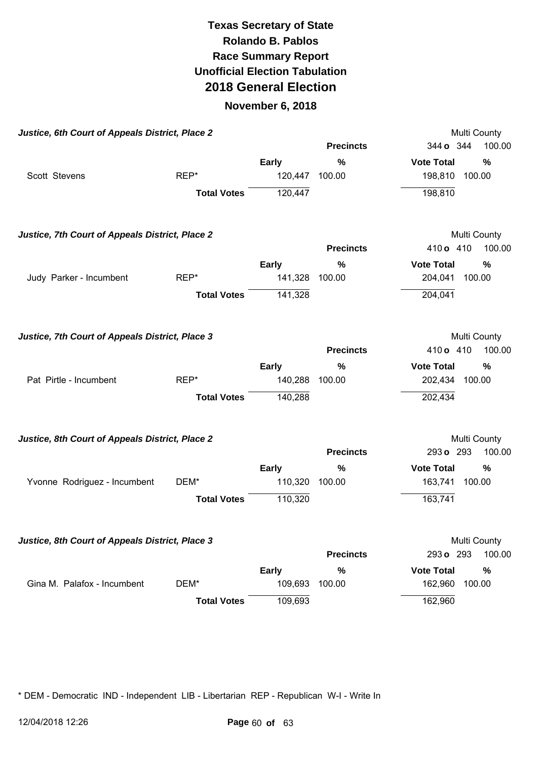#### **November 6, 2018**

| Justice, 6th Court of Appeals District, Place 2 |                    |                |                  | Multi County              |
|-------------------------------------------------|--------------------|----------------|------------------|---------------------------|
|                                                 |                    |                | <b>Precincts</b> | 344 o 344<br>100.00       |
|                                                 |                    | <b>Early</b>   | %                | <b>Vote Total</b><br>%    |
| Scott Stevens                                   | REP*               | 120,447        | 100.00           | 198,810<br>100.00         |
|                                                 | <b>Total Votes</b> | 120,447        |                  | 198,810                   |
| Justice, 7th Court of Appeals District, Place 2 |                    |                |                  | Multi County              |
|                                                 |                    |                | <b>Precincts</b> | 100.00<br>410 o 410       |
|                                                 |                    | <b>Early</b>   | %                | <b>Vote Total</b><br>$\%$ |
| Judy Parker - Incumbent                         | REP*               | 141,328 100.00 |                  | 204,041 100.00            |
|                                                 | <b>Total Votes</b> | 141,328        |                  | 204,041                   |
| Justice, 7th Court of Appeals District, Place 3 |                    |                |                  | Multi County              |
|                                                 |                    |                | <b>Precincts</b> | 410 o 410<br>100.00       |
|                                                 |                    | <b>Early</b>   | $\frac{0}{0}$    | <b>Vote Total</b><br>%    |
| Pat Pirtle - Incumbent                          | REP*               | 140,288        | 100.00           | 202,434<br>100.00         |
|                                                 | <b>Total Votes</b> | 140,288        |                  | 202,434                   |
| Justice, 8th Court of Appeals District, Place 2 |                    |                |                  | Multi County              |
|                                                 |                    |                | <b>Precincts</b> | 293 o 293<br>100.00       |
|                                                 |                    | <b>Early</b>   | $\%$             | <b>Vote Total</b><br>%    |
| Yvonne Rodriguez - Incumbent                    | DEM*               | 110,320        | 100.00           | 163,741<br>100.00         |
|                                                 | <b>Total Votes</b> | 110,320        |                  | 163,741                   |
| Justice, 8th Court of Appeals District, Place 3 |                    |                |                  | <b>Multi County</b>       |
|                                                 |                    |                | <b>Precincts</b> | 293 o 293<br>100.00       |
|                                                 |                    | <b>Early</b>   | %                | <b>Vote Total</b><br>%    |
| Gina M. Palafox - Incumbent                     | DEM*               | 109,693        | 100.00           | 162,960<br>100.00         |
|                                                 | <b>Total Votes</b> | 109,693        |                  | 162,960                   |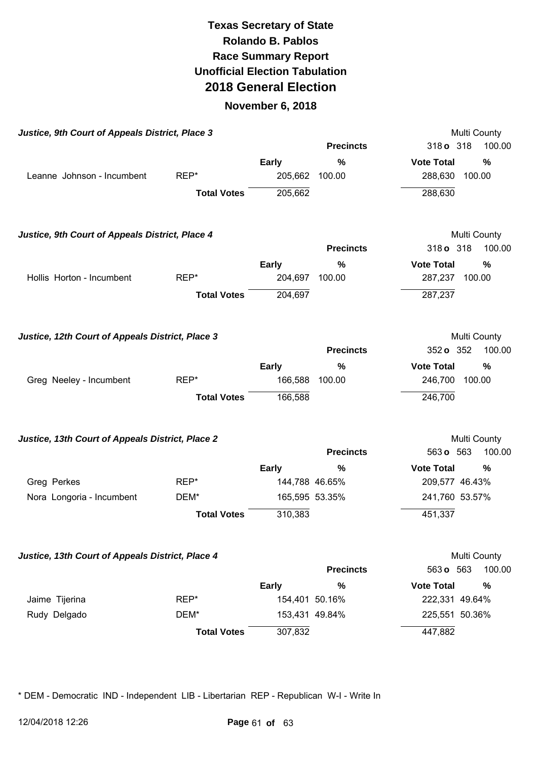#### **November 6, 2018**

|                                                  | Justice, 9th Court of Appeals District, Place 3 |                |                  | Multi County                       |
|--------------------------------------------------|-------------------------------------------------|----------------|------------------|------------------------------------|
|                                                  |                                                 |                | <b>Precincts</b> | 318 o 318<br>100.00                |
|                                                  |                                                 | Early          | $\%$             | <b>Vote Total</b><br>%             |
| Leanne Johnson - Incumbent                       | REP*                                            | 205,662        | 100.00           | 288,630 100.00                     |
|                                                  | <b>Total Votes</b>                              | 205,662        |                  | 288,630                            |
| Justice, 9th Court of Appeals District, Place 4  |                                                 |                |                  | Multi County                       |
|                                                  |                                                 |                | <b>Precincts</b> | 100.00<br>318 o 318                |
|                                                  |                                                 | <b>Early</b>   | $\%$             | <b>Vote Total</b><br>$\frac{0}{0}$ |
| Hollis Horton - Incumbent                        | REP*                                            | 204,697        | 100.00           | 287,237 100.00                     |
|                                                  | <b>Total Votes</b>                              | 204,697        |                  | 287,237                            |
| Justice, 12th Court of Appeals District, Place 3 |                                                 |                |                  | Multi County                       |
|                                                  |                                                 |                | <b>Precincts</b> | 352 o 352<br>100.00                |
|                                                  |                                                 | <b>Early</b>   | $\%$             | <b>Vote Total</b><br>%             |
| Greg Neeley - Incumbent                          | REP*                                            | 166,588        | 100.00           | 246,700<br>100.00                  |
|                                                  | <b>Total Votes</b>                              | 166,588        |                  | 246,700                            |
| Justice, 13th Court of Appeals District, Place 2 |                                                 |                |                  | Multi County                       |
|                                                  |                                                 |                | <b>Precincts</b> | 563 o 563<br>100.00                |
|                                                  |                                                 | <b>Early</b>   | %                | <b>Vote Total</b><br>%             |
| Greg Perkes                                      | REP*                                            | 144,788 46.65% |                  | 209,577 46.43%                     |
| Nora Longoria - Incumbent                        | DEM*                                            | 165,595 53.35% |                  | 241,760 53.57%                     |
|                                                  | <b>Total Votes</b>                              | 310,383        |                  | 451,337                            |
| Justice, 13th Court of Appeals District, Place 4 |                                                 |                |                  | Multi County                       |
|                                                  |                                                 |                | <b>Precincts</b> | 100.00<br>563 o 563                |
|                                                  |                                                 | Early          | %                | <b>Vote Total</b><br>%             |
| Jaime Tijerina                                   | REP*                                            | 154,401 50.16% |                  | 222,331 49.64%                     |
| Rudy Delgado                                     | DEM*                                            | 153,431 49.84% |                  | 225,551 50.36%                     |
|                                                  | <b>Total Votes</b>                              | 307,832        |                  | 447,882                            |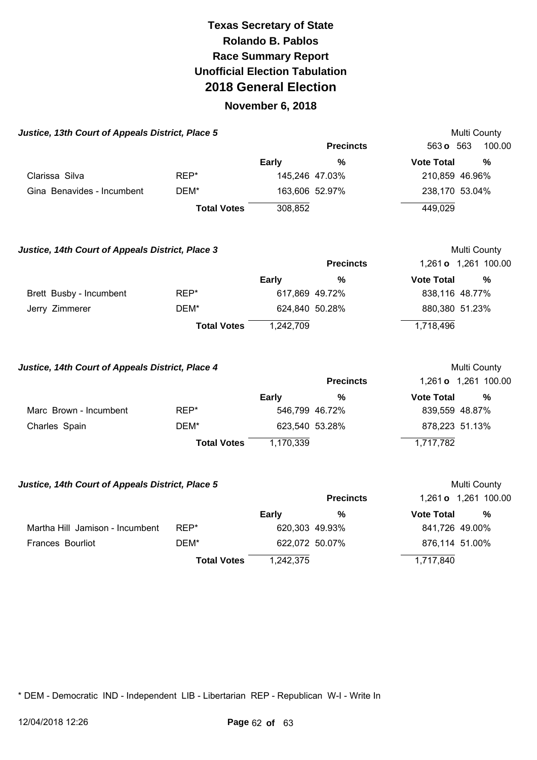#### **November 6, 2018**

| Justice, 13th Court of Appeals District, Place 5 |                    |              |                  | <b>Multi County</b>         |        |
|--------------------------------------------------|--------------------|--------------|------------------|-----------------------------|--------|
|                                                  |                    |              | <b>Precincts</b> | 563 <b>o</b> 563            | 100.00 |
|                                                  |                    | <b>Early</b> | $\frac{9}{6}$    | <b>Vote Total</b>           | $\%$   |
| Clarissa Silva                                   | REP*               |              | 145,246 47.03%   | 210,859 46.96%              |        |
| Gina Benavides - Incumbent                       | DEM*               |              | 163,606 52.97%   | 238,170 53.04%              |        |
|                                                  | <b>Total Votes</b> | 308,852      |                  | 449,029                     |        |
| Justice, 14th Court of Appeals District, Place 3 |                    |              |                  | Multi County                |        |
|                                                  |                    |              | <b>Precincts</b> | 1,261 <b>o</b> 1,261 100.00 |        |
|                                                  |                    | <b>Early</b> | $\%$             | <b>Vote Total</b>           | %      |
| Brett Busby - Incumbent                          | REP*               |              | 617,869 49.72%   | 838,116 48.77%              |        |
| Jerry Zimmerer                                   | DEM*               |              | 624,840 50.28%   | 880,380 51.23%              |        |
|                                                  | <b>Total Votes</b> | 1,242,709    |                  | 1,718,496                   |        |
|                                                  |                    |              |                  |                             |        |

Justice, 14th Court of Appeals District, Place 4 **Access 12 and 20 and 20 and 20 and 20 and 20 and 20 and 20 and 20 and 20 and 20 and 20 and 20 and 20 and 20 and 20 and 20 and 20 and 20 and 20 and 20 and 20 and 20 and 20 a Precincts** 1,261 **o** 1,261 100.00 **Early % Vote Total %**  Marc Brown - Incumbent REP\* 646,799 46.72% 839,559 48.87% Charles Spain **DEM<sup>\*</sup>** DEM<sup>\*</sup> 623,540 53.28% 878,223 51.13% **Total Votes** 1,170,339 1,717,782

#### **Justice, 14th Court of Appeals District, Place 5 <br>
Multi County**

|                                 |                    |           | <b>Precincts</b> |                   | 1,261 <b>o</b> 1,261 100.00 |
|---------------------------------|--------------------|-----------|------------------|-------------------|-----------------------------|
|                                 |                    | Early     | %                | <b>Vote Total</b> | %                           |
| Martha Hill Jamison - Incumbent | $REP^*$            |           | 620,303 49.93%   | 841,726 49.00%    |                             |
| Frances Bourliot                | DEM*               |           | 622,072 50.07%   | 876,114 51.00%    |                             |
|                                 | <b>Total Votes</b> | 1,242,375 |                  | 1,717,840         |                             |